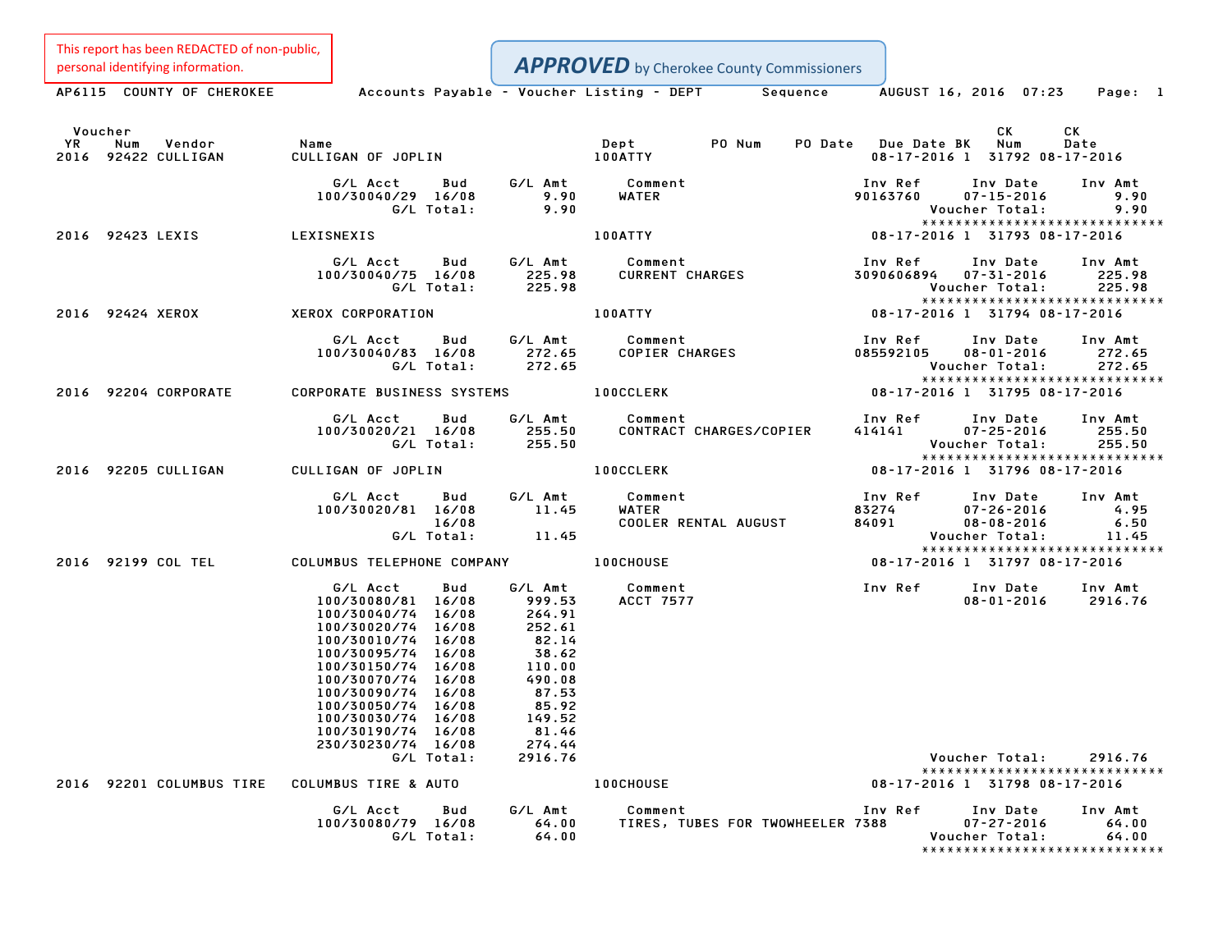This report has been REDACTED of non-public, personal identifying information.

|               | personal identifying information.    |                                                                                                                                                                                                                                                                                         |                                                                                                                            | <b>APPROVED</b> by Cherokee County Commissioners                                                           |                           |                                                                    |                                                                   |
|---------------|--------------------------------------|-----------------------------------------------------------------------------------------------------------------------------------------------------------------------------------------------------------------------------------------------------------------------------------------|----------------------------------------------------------------------------------------------------------------------------|------------------------------------------------------------------------------------------------------------|---------------------------|--------------------------------------------------------------------|-------------------------------------------------------------------|
|               |                                      |                                                                                                                                                                                                                                                                                         |                                                                                                                            | AP6115 COUNTY OF CHEROKEE Accounts Payable - Voucher Listing - DEPT Sequence AUGUST 16, 2016 07:23 Page: 1 |                           |                                                                    |                                                                   |
| Voucher<br>YR | Num<br>Vendor<br>2016 92422 CULLIGAN | Name<br>CULLIGAN OF JOPLIN                                                                                                                                                                                                                                                              |                                                                                                                            | PO Num<br>Dept<br><b>100ATTY</b>                                                                           | PO Date Due Date BK       | <b>CK</b><br>Num<br>08-17-2016 1 31792 08-17-2016                  | СK<br>Date                                                        |
|               |                                      | G/L Acct<br><b>Bud</b><br>100/30040/29 16/08<br>G/L Total:                                                                                                                                                                                                                              | G/L Amt<br>9.90<br>9.90                                                                                                    | Comment<br>WATER                                                                                           | Inv Ref<br>90163760       | Inv Date<br>$07 - 15 - 2016$<br>Voucher Total:                     | Inv Amt<br>9.90<br>9.90                                           |
|               | 2016 92423 LEXIS                     | LEXISNEXIS                                                                                                                                                                                                                                                                              |                                                                                                                            | 100ATTY                                                                                                    |                           | 08-17-2016 1 31793 08-17-2016                                      | *****************************                                     |
|               |                                      | G/L Acct<br>100/30040/75 16/08<br>G/L Total:                                                                                                                                                                                                                                            | Bud G/L Amt<br>225.98<br>225.98                                                                                            | Comment<br><b>CURRENT CHARGES</b>                                                                          | Inv Ref                   | Inv Date<br>3090606894  07-31-2016<br>Voucher Total:               | Inv Amt<br>225.98<br>225.98                                       |
|               | 2016 92424 XEROX                     | XEROX CORPORATION                                                                                                                                                                                                                                                                       |                                                                                                                            | <b>100ATTY</b>                                                                                             |                           | 08-17-2016 1 31794 08-17-2016                                      | *****************************                                     |
|               |                                      | G/L Acct<br>Bud<br>100/30040/83 16/08<br>G/L Total:                                                                                                                                                                                                                                     | G/L Amt<br>272.65<br>272.65                                                                                                | Comment<br>COPIER CHARGES                                                                                  | Inv Ref<br>085592105      | Inv Date<br>$08 - 01 - 2016$<br>Voucher Total:                     | Inv Amt<br>272.65<br>272.65                                       |
|               | 2016 92204 CORPORATE                 | <b>CORPORATE BUSINESS SYSTEMS</b>                                                                                                                                                                                                                                                       |                                                                                                                            | <b>100CCLERK</b>                                                                                           |                           | 08-17-2016 1 31795 08-17-2016                                      | *****************************                                     |
|               |                                      | G/L Acct<br>Bud<br>100/30020/21 16/08<br>G/L Total:                                                                                                                                                                                                                                     | G/L Amt<br>255.50<br>255.50                                                                                                | Comment<br>CONTRACT CHARGES/COPIER                                                                         | Inv Ref<br>414141         | Inv Date<br>$07 - 25 - 2016$<br>Voucher Total:                     | Inv Amt<br>255.50<br>255.50                                       |
|               | 2016 92205 CULLIGAN                  | CULLIGAN OF JOPLIN                                                                                                                                                                                                                                                                      |                                                                                                                            | <b>100CCLERK</b>                                                                                           |                           | 08-17-2016 1 31796 08-17-2016                                      | *****************************                                     |
|               |                                      | G/L Acct<br><b>Bud</b><br>100/30020/81 16/08<br>16/08<br>G/L Total:                                                                                                                                                                                                                     | G/L Amt<br>11.45<br>11.45                                                                                                  | Comment<br>WATER<br>COOLER RENTAL AUGUST                                                                   | Inv Ref<br>83274<br>84091 | Inv Date<br>$07 - 26 - 2016$<br>$08 - 08 - 2016$<br>Voucher Total: | Inv Amt<br>4.95<br>6.50<br>11.45<br>***************************** |
|               | 2016 92199 COL TEL                   | COLUMBUS TELEPHONE COMPANY                                                                                                                                                                                                                                                              |                                                                                                                            | <b>100CHOUSE</b>                                                                                           |                           | 08-17-2016 1 31797 08-17-2016                                      |                                                                   |
|               |                                      | G/L Acct<br>Bud<br>100/30080/81 16/08<br>100/30040/74 16/08<br>100/30020/74 16/08<br>100/30010/74 16/08<br>100/30095/74 16/08<br>100/30150/74 16/08<br>100/30070/74 16/08<br>100/30090/74 16/08<br>100/30050/74 16/08<br>100/30030/74 16/08<br>100/30190/74 16/08<br>230/30230/74 16/08 | G/L Amt<br>999.53<br>264.91<br>252.61<br>82.14<br>38.62<br>110.00<br>490.08<br>87.53<br>85.92<br>149.52<br>81.46<br>274.44 | Comment<br><b>ACCT 7577</b>                                                                                | <b>Inv Ref</b>            | Inv Date<br>$08 - 01 - 2016$                                       | Inv Amt<br>2916.76                                                |
|               |                                      | G/L Total:                                                                                                                                                                                                                                                                              | 2916.76                                                                                                                    |                                                                                                            |                           | Voucher Total:                                                     | 2916.76<br>*****************************                          |
|               | 2016 92201 COLUMBUS TIRE             | COLUMBUS TIRE & AUTO                                                                                                                                                                                                                                                                    |                                                                                                                            | 100CHOUSE                                                                                                  |                           | 08-17-2016 1 31798 08-17-2016                                      |                                                                   |
|               |                                      | G/L Acct<br>Bud<br>100/30080/79 16/08<br>G/L Total:                                                                                                                                                                                                                                     | G/L Amt<br>64.00<br>64.00                                                                                                  | Comment<br>TIRES, TUBES FOR TWOWHEELER 7388                                                                | Inv Ref                   | Inv Date<br>$07 - 27 - 2016$<br>Voucher Total:                     | Inv Amt<br>64.00<br>64.00<br>*****************************        |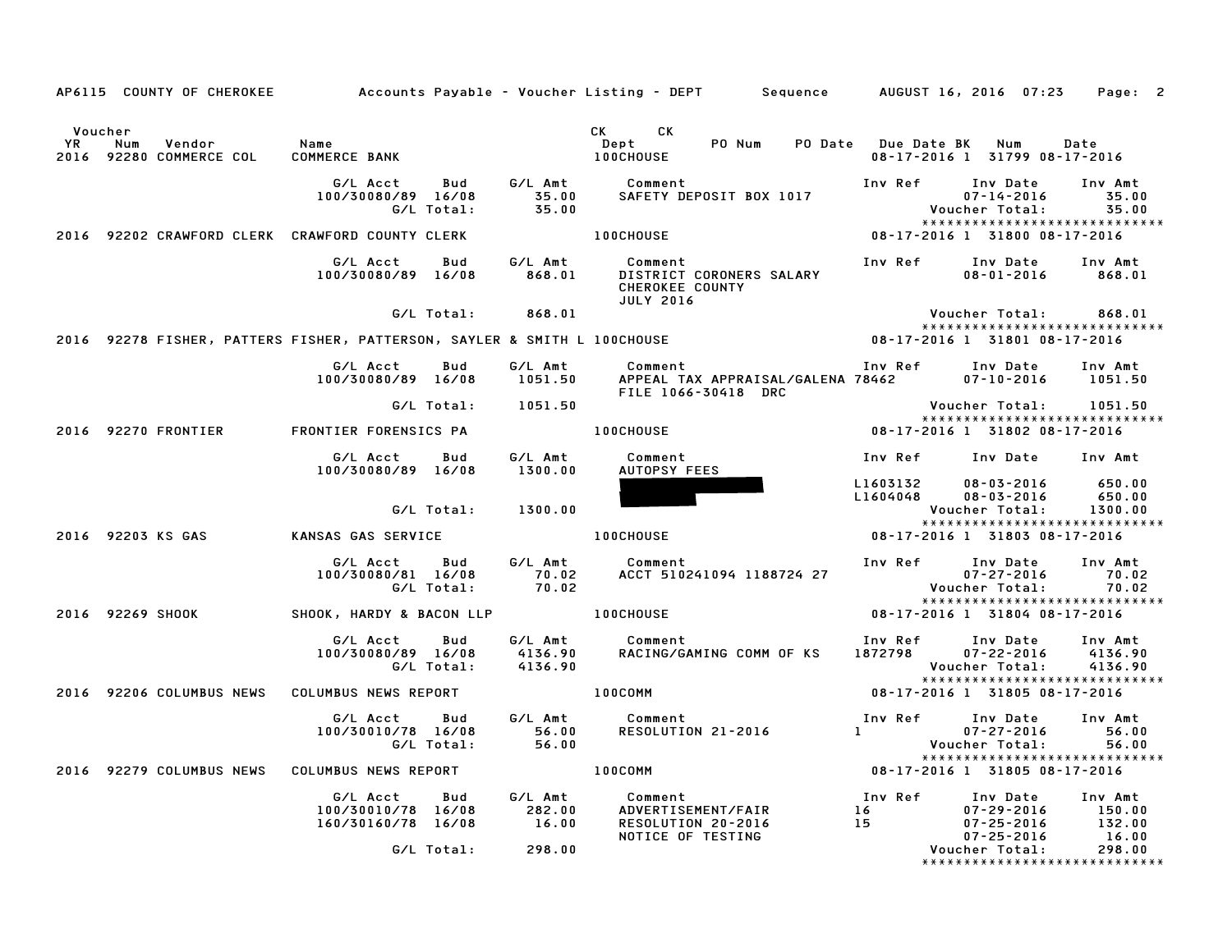|                                                               |                                                             |                               | AP6115 COUNTY OF CHEROKEE Accounts Payable – Voucher Listing – DEPT Sequence AUGUST 16, 2016 07:23 |                                                      | Page: 2                                                                                                      |
|---------------------------------------------------------------|-------------------------------------------------------------|-------------------------------|----------------------------------------------------------------------------------------------------|------------------------------------------------------|--------------------------------------------------------------------------------------------------------------|
| Voucher<br>YR.<br>Num<br>Vendor<br>92280 COMMERCE COL<br>2016 | Name<br>COMMERCE BANK                                       |                               | CK CK<br>PO Num<br>Dept<br><b>100CHOUSE</b>                                                        | PO Date Due Date BK<br>08-17-2016 1 31799 08-17-2016 | Num<br>Date                                                                                                  |
|                                                               | G/L Acct<br>Bud<br>100/30080/89 16/08<br>G/L Total:         | G/L Amt<br>35.00<br>35.00     | Comment<br>SAFETY DEPOSIT BOX 1017                                                                 | Inv Ref<br>Voucher Total:                            | Inv Date<br>Inv Amt<br>$07 - 14 - 2016$<br>35.00<br>35.00<br>*****************************                   |
| 2016 92202 CRAWFORD CLERK CRAWFORD COUNTY CLERK               |                                                             |                               | <b>100CHOUSE</b>                                                                                   | 08-17-2016 1 31800 08-17-2016                        |                                                                                                              |
|                                                               | G/L Acct<br>Bud<br>100/30080/89 16/08                       | G/L Amt<br>868.01             | Comment<br>DISTRICT CORONERS SALARY<br><b>CHEROKEE COUNTY</b><br><b>JULY 2016</b>                  | Inv Ref                                              | Inv Date<br>Inv Amt<br>$08 - 01 - 2016$<br>868.01                                                            |
|                                                               | G/L Total:                                                  | 868.01                        |                                                                                                    | Voucher Total:                                       | 868.01<br>*****************************                                                                      |
|                                                               |                                                             |                               | 2016 92278 FISHER, PATTERS FISHER, PATTERSON, SAYLER & SMITH L 100CHOUSE                           | 08-17-2016 1 31801 08-17-2016                        |                                                                                                              |
|                                                               | G/L Acct<br>Bud<br>100/30080/89 16/08                       | G/L Amt<br>1051.50            | Comment<br>APPEAL TAX APPRAISAL/GALENA 78462<br>FILE 1066-30418 DRC                                | Inv Ref Inv Date                                     | Inv Amt<br>07-10-2016<br>1051.50                                                                             |
|                                                               | G/L Total:                                                  | 1051.50                       |                                                                                                    | Voucher Total:                                       | 1051.50<br>******************************                                                                    |
| 2016 92270 FRONTIER                                           | FRONTIER FORENSICS PA                                       |                               | <b>100CHOUSE</b>                                                                                   | 08-17-2016 1 31802 08-17-2016                        |                                                                                                              |
|                                                               | G/L Acct<br>Bud<br>100/30080/89 16/08                       | G/L Amt<br>1300.00            | Comment<br><b>AUTOPSY FEES</b>                                                                     | Inv Ref                                              | Inv Date Inv Amt                                                                                             |
|                                                               | G/L Total:                                                  | 1300.00                       |                                                                                                    | L1603132<br>L1604048<br>Voucher Total:               | $08 - 03 - 2016$<br>650.00<br>$08 - 03 - 2016$<br>650.00<br>1300.00                                          |
| 2016 92203 KS GAS                                             | KANSAS GAS SERVICE                                          |                               | <b>100CHOUSE</b>                                                                                   | 08-17-2016 1 31803 08-17-2016                        | *****************************                                                                                |
|                                                               | Bud<br>G/L Acct<br>100/30080/81 16/08<br>G/L Total:         | G/L Amt<br>70.02<br>70.02     | Comment<br>ACCT 510241094 1188724 27                                                               | Inv Ref<br>Voucher Total:                            | Inv Date<br>Inv Amt<br>$07 - 27 - 2016$<br>70.02<br>70.02                                                    |
| 2016 92269 SHOOK                                              | SHOOK, HARDY & BACON LLP                                    | <b>100CHOUSE</b>              |                                                                                                    | 08-17-2016 1 31804 08-17-2016                        | *****************************                                                                                |
|                                                               | G/L Acct<br>Bud<br>100/30080/89 16/08<br>G/L Total:         | G/L Amt<br>4136.90<br>4136.90 | Comment<br>RACING/GAMING COMM OF KS                                                                | Inv Ref<br>1872798<br>Voucher Total:                 | Inv Date<br>Inv Amt<br>$07 - 22 - 2016$<br>4136.90<br>4136.90                                                |
| 2016 92206 COLUMBUS NEWS COLUMBUS NEWS REPORT                 |                                                             |                               | 100COMM                                                                                            | 08-17-2016 1 31805 08-17-2016                        | *****************************                                                                                |
|                                                               | G/L Acct<br>Bud<br>100/30010/78 16/08<br>G/L Total:         | G/L Amt<br>56.00<br>56.00     | Comment<br>Comment<br>RESOLUTION 21-2016                                                           | Inv Ref<br>$1$ and $1$ and $1$<br>Voucher Total:     | Inv Date<br>Inv Amt<br>$07 - 27 - 2016$<br>56.00<br>56.00<br>*****************************                   |
| 2016 92279 COLUMBUS NEWS COLUMBUS NEWS REPORT                 |                                                             | 100COMM                       |                                                                                                    | 08-17-2016 1 31805 08-17-2016                        |                                                                                                              |
|                                                               | G/L Acct<br>Bud<br>100/30010/78 16/08<br>160/30160/78 16/08 | G/L Amt<br>282.00<br>16.00    | Comment<br>ADVERTISEMENT/FAIR<br>RESOLUTION 20-2016<br>NOTICE OF TESTING                           | Inv Ref<br>16<br>15                                  | Inv Date<br>Inv Amt<br>$07 - 29 - 2016$<br>150.00<br>$07 - 25 - 2016$<br>132.00<br>$07 - 25 - 2016$<br>16.00 |
|                                                               | G/L Total:                                                  | 298.00                        |                                                                                                    | Voucher Total:                                       | 298.00                                                                                                       |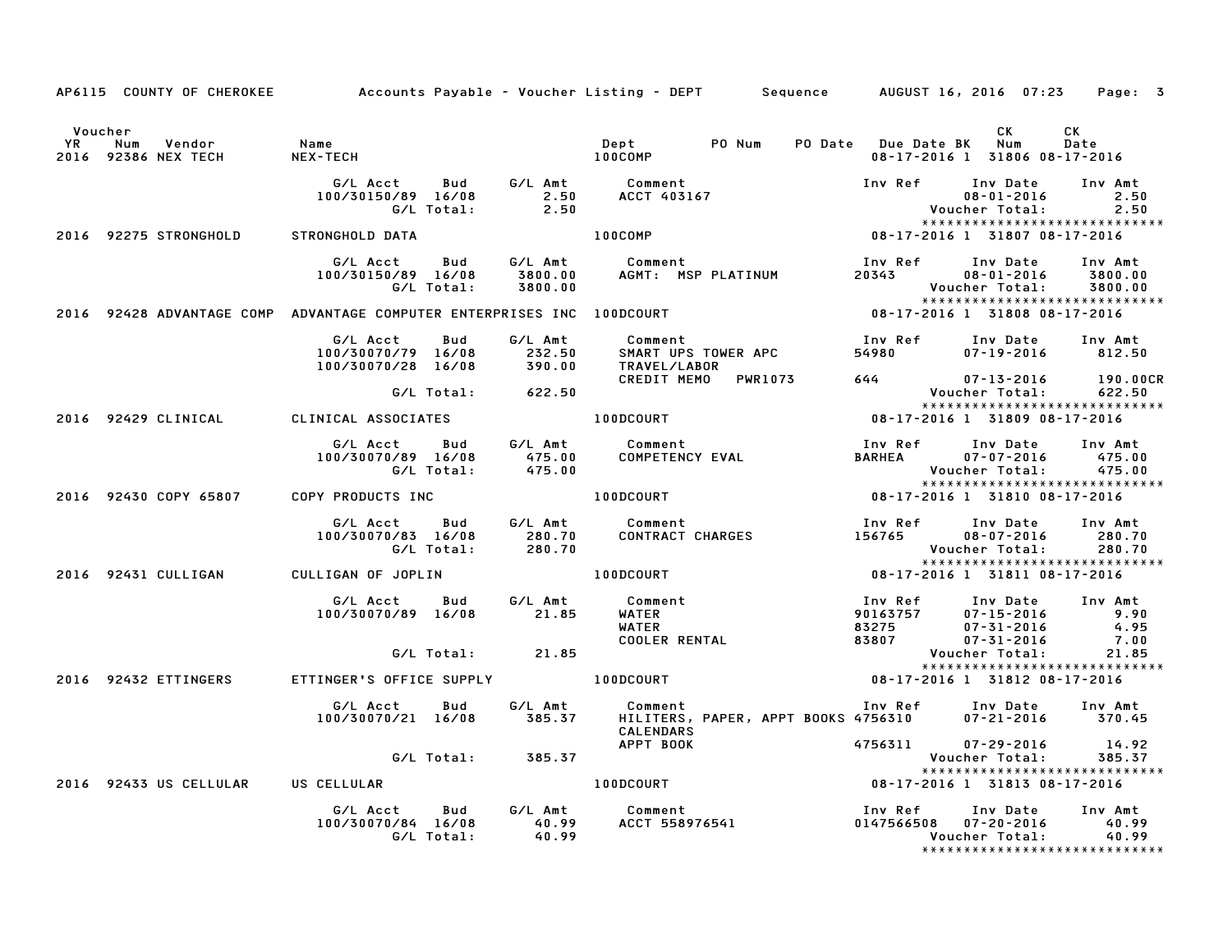|         |                                       |                                    | AP6115 COUNTY OF CHEROKEE Accounts Payable - Voucher Listing - DEPT Sequence AUGUST 16, 2016 07:23 Page: 3                                                                                                                              |                                                       |                                     |            |
|---------|---------------------------------------|------------------------------------|-----------------------------------------------------------------------------------------------------------------------------------------------------------------------------------------------------------------------------------------|-------------------------------------------------------|-------------------------------------|------------|
| Voucher | 2016 92386 NEX TECH                   |                                    |                                                                                                                                                                                                                                         |                                                       | CK<br>08-17-2016 1 31806 08-17-2016 | CK<br>Date |
|         |                                       |                                    | 6/L Acct Bud 6/L Amt Comment Inv Ref Inv Date Inv Amt<br>100/30150/89 16/08 2.50 ACCT 403167 08-01-2016 2.50<br>6/L Total: 2.50 02-50 08-01-2016 2.50<br>100COMP 100COMP 08-17-2016 131807 08-17-2016                                   |                                                       |                                     |            |
|         | 2016 92275 STRONGHOLD STRONGHOLD DATA |                                    |                                                                                                                                                                                                                                         |                                                       |                                     |            |
|         |                                       |                                    | G/LAcct Bud G/LAmt Comment InvRef InvDate InvAmt<br>100/30150/89 16/08 3800.00 AGMT: MSPPLATINUM 20343 08-01-2016 3800.00<br>C/LTotal: 3800.00 AGMT: MSPPLATINUM 20343 08-01-2016 3800.00<br>2016 92428ADVANTAGECOMPADVANTAGECOMPUTEREN |                                                       |                                     |            |
|         |                                       |                                    |                                                                                                                                                                                                                                         |                                                       |                                     |            |
|         |                                       |                                    | 6/L Acct Bud G/L Amt Comment Inv Ref Inv Date Inv Amt<br>100/30070/79 16/08 232.50 SMART UPS TOWER APC 54980 07–19–2016 812.50<br>100/30070/28 16/08 390.00 TRAVEL/LABOR<br>CREDIT MEMO PWR1073 644 07–13–2016 190.000                  |                                                       |                                     |            |
|         |                                       |                                    | 190.00CR<br>G/L Total: 622.50 CREDIT MEMO PWR1073 644 07-13-2016 190.00CR<br>CLINICAL CLINICAL ASSOCIATES 100DCOURT 100DCOURT 08-17-2016 131809 08-17-2016                                                                              |                                                       |                                     |            |
|         |                                       |                                    |                                                                                                                                                                                                                                         |                                                       |                                     |            |
|         |                                       |                                    | G/L Acct Bud G/L Amt Comment Inv Ref Inv Date Inv Amt<br>100/30070/89 16/08    475.00    COMPETENCY EVAL    BARHEA    07-07-2016    475.00<br>G/L Total:    475.00    G/L Total:    475.00                                              | Voucher Total: 475.00<br>**************************** |                                     |            |
|         |                                       |                                    | 2016 92430 COPY 65807 COPY PRODUCTS INC <b>100DCOURT</b> 100DCOURT 08-17-2016 1 31810 08-17-2016                                                                                                                                        |                                                       |                                     |            |
|         |                                       |                                    | 6/L Acct Bud G/L Amt Comment Inv Ref Inv Date Inv Amt<br>100/30070/83 16/08 280.70 CONTRACT CHARGES 156765 08-07-2016 280.70<br>6/L Total: 280.70 2016 92431 CULLIGAN CULLIGAN OF JOPLIN 100DCOURT 100DCOURT 100-17-2016 131811 08-1    |                                                       |                                     |            |
|         |                                       |                                    |                                                                                                                                                                                                                                         |                                                       |                                     |            |
|         |                                       |                                    | 6/L Acct Bud G/L Amt Comment Inv Ref Inv Date Inv Amt<br>100/30070/89 16/08 21.85 WATER 90163757 07-15-2016 9.90<br>4.95 COOLER RENTAL 83275 07-31-2016 4.95<br>6/L Total: 21.85<br>2016 92432 ETTINGER'S OFFICE SUPPLY 100DCOURT 08-1  |                                                       |                                     |            |
|         |                                       |                                    |                                                                                                                                                                                                                                         |                                                       |                                     |            |
|         |                                       |                                    |                                                                                                                                                                                                                                         |                                                       |                                     |            |
|         |                                       |                                    | G/L Acct Bud G/L Amt Comment Inv Ref Inv Date Inv Amt<br>100/30070/21 16/08 385.37 HILITERS, PAPER, APPT BOOKS 4756310 07-21-2016 370.45<br>CALENDARS                                                                                   |                                                       |                                     |            |
|         |                                       | G/L Total: 385.37                  |                                                                                                                                                                                                                                         |                                                       |                                     |            |
|         |                                       | 2016 92433 US CELLULAR US CELLULAR | APPT BOOK<br>APPT BOOK 4756311 07-29-2016 14.92<br>Voucher Total: 385.37<br>100DCOURT 08-17-2016 1 31813 08-17-2016                                                                                                                     |                                                       | *****************************       |            |
|         |                                       |                                    |                                                                                                                                                                                                                                         |                                                       |                                     |            |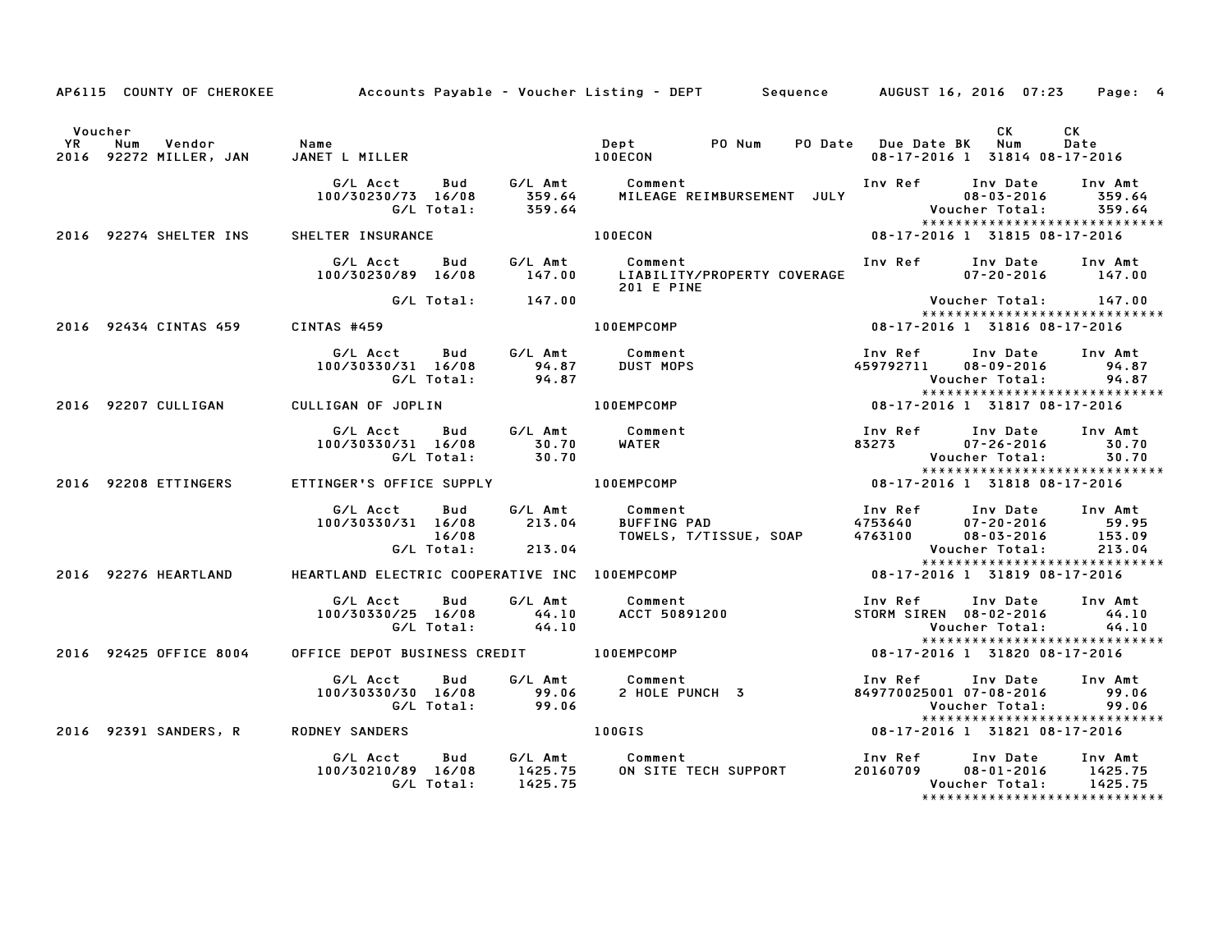|         |                        |                                               | AP6115 COUNTY OF CHEROKEE Accounts Payable – Voucher Listing – DEPT Sequence AUGUST 16, 2016 07:23                                                                                                                                      |                         | Page: 4                                                                                                                     |
|---------|------------------------|-----------------------------------------------|-----------------------------------------------------------------------------------------------------------------------------------------------------------------------------------------------------------------------------------------|-------------------------|-----------------------------------------------------------------------------------------------------------------------------|
| Voucher |                        |                                               |                                                                                                                                                                                                                                         | PO Date Due Date BK Num | CK<br>CK .<br>Date<br>08-17-2016 1 31814 08-17-2016                                                                         |
|         |                        |                                               | G/L Acct Bud G/L Amt Comment Inv Ref Inv Date Inv Amt<br>100/30230/73 16/08 359.64 MILEAGE REIMBURSEMENT JULY 08-03-2016 359.64<br>G/L Total: 359.64 MILEAGE REIMBURSEMENT JULY Voucher Total: 359.64<br>****************************** |                         |                                                                                                                             |
|         |                        |                                               | 2016 92274 SHELTER INS SHELTER INSURANCE 100ECON 100ECON 08-17-2016 1 31815 08-17-2016                                                                                                                                                  |                         |                                                                                                                             |
|         |                        |                                               | G/L Acct Bud G/L Amt Comment<br>100/30230/89 16/08 147.00 LIABILITY/PROPERTY COVERAGE 07-20-2016 147.00<br><b>201 E PINE</b>                                                                                                            |                         | Inv Ref      Inv Date     Inv Amt                                                                                           |
|         |                        | G/L Total: 147.00                             |                                                                                                                                                                                                                                         |                         | Voucher Total: 147.00<br>*****************************                                                                      |
|         |                        | 2016 92434 CINTAS 459 CINTAS #459             |                                                                                                                                                                                                                                         |                         |                                                                                                                             |
|         |                        |                                               | G/L Acct  Bud  G/L Amt  Comment<br>100/30330/31 16/08  94.87  DUST  MOPS<br>G/L Total:  94.87                                                                                                                                           |                         | Inv Ref      Inv Date     Inv Amt<br>459792711  08-09-2016  94.87<br>Voucher Total: 94.87<br>*****************************  |
|         |                        | 2016 92207 CULLIGAN CULLIGAN OF JOPLIN        | .94<br>****************************<br>1817-2016 1 31817 18-17-2016 1 3181<br>100EMPCOMP                                                                                                                                                |                         |                                                                                                                             |
|         |                        |                                               | 6/L Acct Bud 6/L Amt Comment Inv Ref Inv Date Inv Amt<br>100/30330/31 16/08 30.70 WATER 83273 07-26-2016 30.70<br>6/L Total: 30.70 WATER 83273 07-26-2016 30.70<br>ETTINGER'S OFFICE SUPPLY 100EMPCOMP 100EMPCOMP 08-17-2016 1 31818 08 |                         |                                                                                                                             |
|         | 2016 92208 ETTINGERS   |                                               |                                                                                                                                                                                                                                         |                         | *****************************                                                                                               |
|         |                        |                                               | G/L Acct Bud G/L Amt Comment Inv Ref Inv Date Inv Amt<br>100/30330/31 16/08 213.04 BUFFING PAD 4753640 07–20–2016 59.95<br>16/08 16/08 TOWELS, T/TISSUE, SOAP 4763100 08–03–2016 153.09<br>G/L Total: 213.04 Voucher Total: 213.04      |                         |                                                                                                                             |
|         | 2016 92276 HEARTLAND   | HEARTLAND ELECTRIC COOPERATIVE INC 100EMPCOMP | $08-17-2016$ 1 31819 08-17-2016                                                                                                                                                                                                         |                         |                                                                                                                             |
|         |                        | G/L Total: 44.10                              |                                                                                                                                                                                                                                         |                         | Inv Ref      Inv Date     Inv Amt<br>STORM SIREN 08-02-2016 44.10<br>Voucher Total: 44.10                                   |
|         | 2016 92425 OFFICE 8004 |                                               | OFFICE DEPOT BUSINESS CREDIT 100EMPCOMP 08-17-2016 1 31820 08-17-2016                                                                                                                                                                   |                         | *****************************                                                                                               |
|         |                        |                                               |                                                                                                                                                                                                                                         |                         | Inv Ref      Inv Date     Inv Amt<br>849770025001 07-08-2016 99.06<br>Voucher Total: 99.06<br>***************************** |
|         | 2016 92391 SANDERS, R  | <b>RODNEY SANDERS</b>                         | <b>100GIS</b>                                                                                                                                                                                                                           |                         | $08-17-2016$ 1 31821 08-17-2016                                                                                             |
|         |                        |                                               | G/L Acct   Bud    G/L Amt     Comment                         Inv Ref    Inv Date   Inv Amt<br>100/30210/89 16/08    1425.75     ON SITE TECH SUPPORT           20160709     08–01–2016    1425.75<br>G/L Total:     1425.75            |                         | *****************************                                                                                               |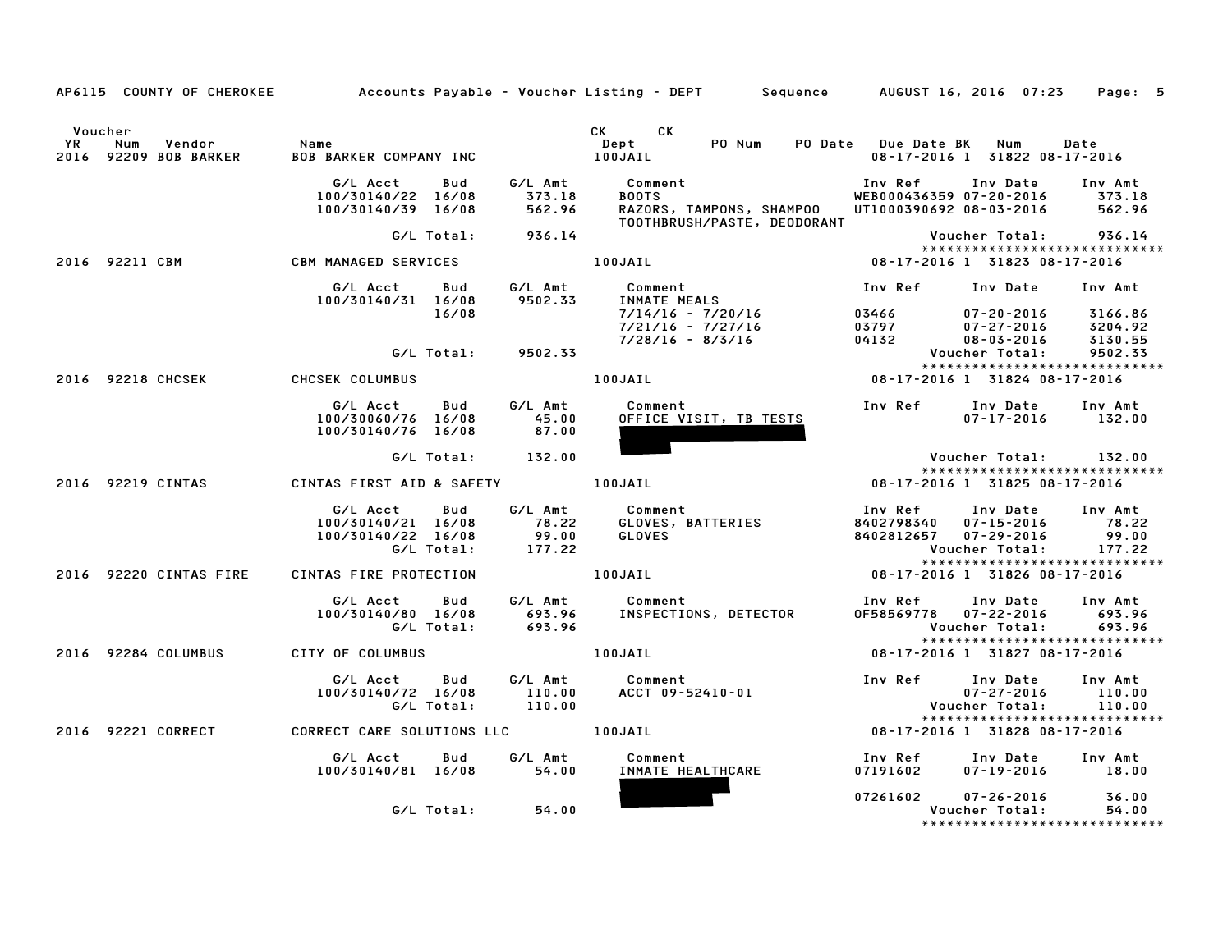|                      |                                        |                                                            |                     |                                                                             | AP6115 COUNTY OF CHEROKEE Accounts Payable - Voucher Listing - DEPT Sequence AUGUST 16, 2016 07:23 |                                                                  |                                                                                     | Page: 5                     |
|----------------------|----------------------------------------|------------------------------------------------------------|---------------------|-----------------------------------------------------------------------------|----------------------------------------------------------------------------------------------------|------------------------------------------------------------------|-------------------------------------------------------------------------------------|-----------------------------|
| Voucher<br><b>YR</b> | Vendor<br>Num<br>2016 92209 BOB BARKER | Name<br><b>BOB BARKER COMPANY INC</b>                      |                     | 100JAIL                                                                     | CK CK<br>PO Num<br>Dept                                                                            | PO Date Due Date BK Num                                          | 08-17-2016 1 31822 08-17-2016                                                       | Date                        |
|                      |                                        | G/L Acct<br>100/30140/22 16/08<br>100/30140/39 16/08       | Bud                 | G⁄L Amt<br>373.18<br>562.96                                                 | Comment<br>DOOTS<br><b>BOOTS</b><br>RAZORS, TAMPONS, SHAMPOO<br>TOOTHBRUSH/PASTE, DEODORANT        | WEB000436359 07-20-2016 373.18<br>UT1000390692 08-03-2016 562.96 | Inv Ref Inv Date Inv Amt                                                            |                             |
|                      |                                        |                                                            |                     | G/L Total: 936.14                                                           |                                                                                                    |                                                                  | Voucher Total: 936.14<br>*****************************                              |                             |
|                      | 2016 92211 CBM                         | <b>CBM MANAGED SERVICES</b>                                |                     |                                                                             | 100JAIL                                                                                            | 08-17-2016 1 31823 08-17-2016                                    |                                                                                     |                             |
|                      |                                        | G/L Acct<br>100/30140/31 16/08                             | <b>Bud</b><br>16/08 | G/L Amt<br>9502.33                                                          | Comment<br>INMATE MEALS<br>7/14/16 - 7/20/16                                                       | Inv Ref                                                          | Inv Date                                                                            | Inv Amt                     |
|                      |                                        |                                                            |                     |                                                                             | 7/21/16 - 7/27/16<br>7/28/16 - 8/3/16                                                              | 03466 07-20-2016 3166.86<br>03797<br>04132                       | 07-27-2016 3204.92<br>08-03-2016                                                    | 3130.55                     |
|                      |                                        |                                                            |                     | G/L Total: 9502.33                                                          |                                                                                                    |                                                                  | Voucher Total:<br>*****************************                                     | 9502.33                     |
|                      | 2016 92218 CHCSEK                      | <b>CHCSEK COLUMBUS</b>                                     |                     |                                                                             | 100JAIL                                                                                            | 08-17-2016 1 31824 08-17-2016                                    |                                                                                     |                             |
|                      |                                        | G/L Acct<br>100/30060/76 16/08<br>100/30140/76 16/08       | <b>Bud</b>          | G/L Amt<br>45.00<br>87.00                                                   | Comment<br>OFFICE VISIT, TB TESTS                                                                  | Inv Ref                                                          | Inv Date<br>$07 - 17 - 2016$                                                        | Inv Amt<br>132.00           |
|                      |                                        |                                                            |                     | $G/L$ Total: $132.00$                                                       |                                                                                                    |                                                                  | Voucher Total:         132.00                                                       |                             |
|                      | 2016 92219 CINTAS                      | CINTAS FIRST AID & SAFETY 100JAIL                          |                     |                                                                             |                                                                                                    | 08-17-2016 1 31825 08-17-2016                                    | ******************************                                                      |                             |
|                      |                                        |                                                            |                     |                                                                             |                                                                                                    |                                                                  |                                                                                     |                             |
|                      |                                        | G/L Acct<br>100/30140/21 16/08 78.22<br>100/30140/22 16/08 | Bud<br>G/L Total:   | $\begin{array}{r} \text{.012} \\ \text{99.00} \\ \text{177.22} \end{array}$ | G/L Amt Comment<br>GLOVES, BATTERIES<br>GLOVES                                                     | Inv Ref<br>8402798340<br>8402812657 07-29-2016                   | Inv Date<br>$07 - 15 - 2016$ 78.22<br>457 07-29-2016 99.00<br>Voucher Total: 177.22 | Inv Amt                     |
|                      | 2016 92220 CINTAS FIRE                 | CINTAS FIRE PROTECTION 100JAIL                             |                     |                                                                             |                                                                                                    | 08-17-2016 1 31826 08-17-2016                                    | *****************************                                                       |                             |
|                      |                                        | G/L Acct<br>100/30140/80 16/08                             | Bud                 | G/L Amt<br>693.96<br>G/L Total: 693.96                                      | Comment<br>INSPECTIONS, DETECTOR                                                                   | Inv Ref      Inv Date     Inv Amt<br>0F58569778 07-22-2016       | Voucher Total:                                                                      | 693.96<br>693.96            |
|                      | 2016 92284 COLUMBUS                    | <b>CITY OF COLUMBUS</b>                                    |                     |                                                                             | 100JAIL                                                                                            |                                                                  | *****************************<br>08-17-2016 1 31827 08-17-2016                      |                             |
|                      |                                        | G/L Acct<br>100/30140/72 16/08                             | Bud<br>G/L Total:   | G/L Amt<br>110.00<br>110.00                                                 | Comment<br>ACCT 09-52410-01                                                                        | Inv Ref                                                          | Inv Date<br>$07 - 27 - 2016$<br>Voucher Total:                                      | Inv Amt<br>110.00<br>110.00 |
|                      | 2016 92221 CORRECT                     | CORRECT CARE SOLUTIONS LLC 100JAIL                         |                     |                                                                             |                                                                                                    | 08-17-2016 1 31828 08-17-2016                                    | *****************************                                                       |                             |
|                      |                                        | G/L Acct                                                   | Bud                 | G∕L Amt                                                                     | Comment                                                                                            | Inv Ref                                                          | Inv Date                                                                            | Inv Amt                     |
|                      |                                        | 100/30140/81 16/08                                         |                     | 54.00                                                                       | INMATE HEALTHCARE                                                                                  | 07191602                                                         | $07 - 19 - 2016$                                                                    | 18.00                       |
|                      |                                        |                                                            | G/L Total:          | 54.00                                                                       |                                                                                                    | 07261602 07-26-2016                                              | Voucher Total:<br>*****************************                                     | 36.00<br>54.00              |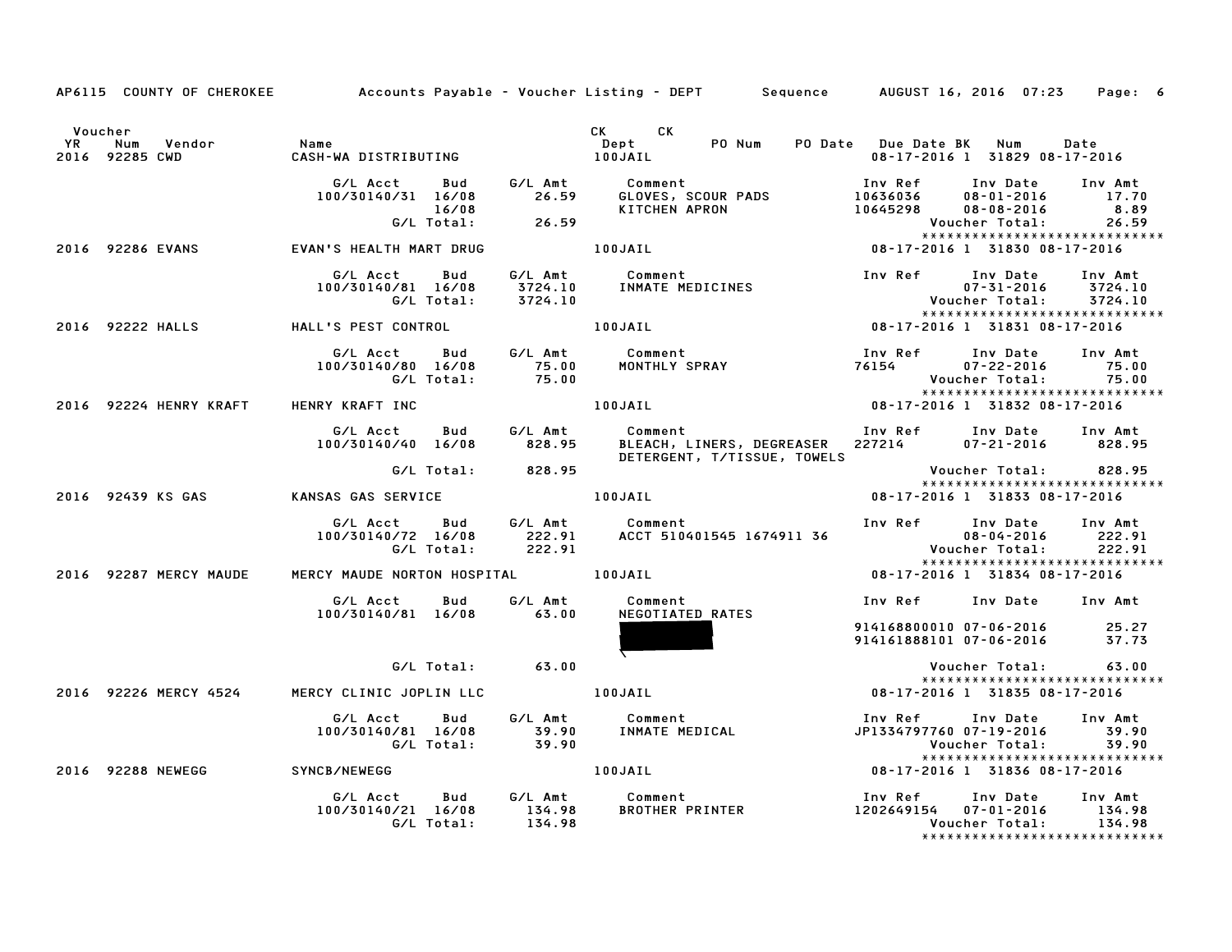Voucher CK CK YR Num Vendor Name Dept PO Num PO Date Due Date BK Num Date Voucher<br>2016 YR Num Vendor – Name Name – 100 Million – Dept – PO-Num PO-Date Due-Date BK Num Date<br>2016 92285 CWD – CASH-WA DISTRIBUTING – 100JAIL – 100JAIL – 100-17-2016 1 31829 08-17-2016 G/L Acct Bud G/L Amt Comment Inv Ref Inv Date Inv Amt 100/30140/31 16/08 26.59 GLOVES, SCOUR PADS <sup>10636036</sup> 08-01-2016 17.70 16/08 KITCHEN APRON <sup>10645298</sup> 08-08-2016 8.89 G/L Total: 26.59 Voucher Total: 26.59 10645298 08-08-2016 8.89<br>Voucher Total: 26.59<br>\*\*\*\*\*\*\*\*\*\*\*\*\*\*\*\*\*\*\*\*\*\*\*\*\*\*\*\*\*\*\*\*\*\*\* <sup>2016</sup> <sup>92286</sup> EVANS EVAN'S HEALTH MART DRUG 100JAIL 08-17-2016 <sup>1</sup> <sup>31830</sup> 08-17-2016 G/L Acct Bud G/L Amt Comment Inv Ref Inv Date Inv Amt 100/30140/81 16/08 3724.10 INMATE MEDICINES 07-31-2016 3724.10 G/L Total: 3724.10 Voucher Total: 3724.10 \*\*\*\*\*\*\*\*\*\*\*\*\*\*\*\*\*\*\*\*\*\*\*\*\*\*\*\*\* <sup>2016</sup> <sup>92222</sup> HALLS HALL'S PEST CONTROL 100JAIL 08-17-2016 <sup>1</sup> <sup>31831</sup> 08-17-2016 G/L Acct Bud G/L Amt Comment Inv Ref Inv Date Inv Amt 100/30140/80 16/08 75.00 MONTHLY SPRAY <sup>76154</sup> 07-22-2016 75.00 G/L Total: 75.00 Voucher Total: 75.00 \*\*\*\*\*\*\*\*\*\*\*\*\*\*\*\*\*\*\*\*\*\*\*\*\*\*\*\*\* <sup>2016</sup> <sup>92224</sup> HENRY KRAFT HENRY KRAFT INC 100JAIL 08-17-2016 <sup>1</sup> <sup>31832</sup> 08-17-2016 G/L Acct Bud G/L Amt Comment Inv Ref Inv Date Inv Amt 100/30140/40 16/08 828.95 BLEACH, LINERS, DEGREASER <sup>227214</sup> 07-21-2016 828.95 Comment<br>BLEACH, LINERS, DEGREASER 100/30140/40 16/08 828.95 BLEACH, LINERS, DEGREASER 227214 07-21-2016 828.95<br>DETERGENT, T/TISSUE, TOWELS Woucher Total: 828.95 \*\*\*\*\*\*\*\*\*\*\*\*\*\*\*\*\*\*\*\*\*\*\*\*\*\*\*\*\* <sup>2016</sup> <sup>92439</sup> KS GAS KANSAS GAS SERVICE 100JAIL 08-17-2016 <sup>1</sup> <sup>31833</sup> 08-17-2016 G/L Acct Bud G/L Amt Comment Inv Ref Inv Date Inv Amt 100/30140/72 16/08 222.91 ACCT <sup>510401545</sup> <sup>1674911</sup> <sup>36</sup> 08-04-2016 222.91 G/L Total: 222.91 Voucher Total: 222.91 \*\*\*\*\*\*\*\*\*\*\*\*\*\*\*\*\*\*\*\*\*\*\*\*\*\*\*\*\* <sup>2016</sup> <sup>92287</sup> MERCY MAUDE MERCY MAUDE NORTON HOSPITAL 100JAIL 08-17-2016 <sup>1</sup> <sup>31834</sup> 08-17-2016 G/L Acct Bud G/L Amt Comment Inv Ref Inv Date Inv Amt 100/30140/81 16/08 63.00 NEGOTIATED RATES Inv Ref Inv Date Inv Amt<br>914168800010 07–06–2016 25.27 elet 168800010 07-06-2016<br>14161888101 07-06-2016 37.73  $\overline{\phantom{a}}$ G/L Total: 63.00 Voucher Total: 63.00 Voucher Total: 63.00<br>\*\*\*\*\*\*\*\*\*\*\*\*\*\*\*\*\*\*\*\*\*\*\*\*\*\*\*\* <sup>2016</sup> <sup>92226</sup> MERCY <sup>4524</sup> MERCY CLINIC JOPLIN LLC 100JAIL 08-17-2016 <sup>1</sup> <sup>31835</sup> 08-17-2016 G/L Acct Bud G/L Amt Comment Inv Ref Inv Date Inv Amt 100/30140/81 16/08 39.90 INMATE MEDICAL JP1334797760 07-19-2016 39.90 G/L Total: 39.90 Voucher Total: 39.90 \*\*\*\*\*\*\*\*\*\*\*\*\*\*\*\*\*\*\*\*\*\*\*\*\*\*\*\*\* <sup>2016</sup> <sup>92288</sup> NEWEGG SYNCB/NEWEGG 100JAIL 08-17-2016 <sup>1</sup> <sup>31836</sup> 08-17-2016 G/L Acct Bud G/L Amt Comment Inv Ref Inv Date Inv Amt 100/30140/21 16/08 134.98 BROTHER PRINTER <sup>1202649154</sup> 07-01-2016 134.98 G/L Total: 134.98 Voucher Total: 134.98 \*\*\*\*\*\*\*\*\*\*\*\*\*\*\*\*\*\*\*\*\*\*\*\*\*\*\*\*\*

AP6115 COUNTY OF CHEROKEE Accounts Payable - Voucher Listing - DEPT Sequence AUGUST 16, 2016 07:23 Page: 6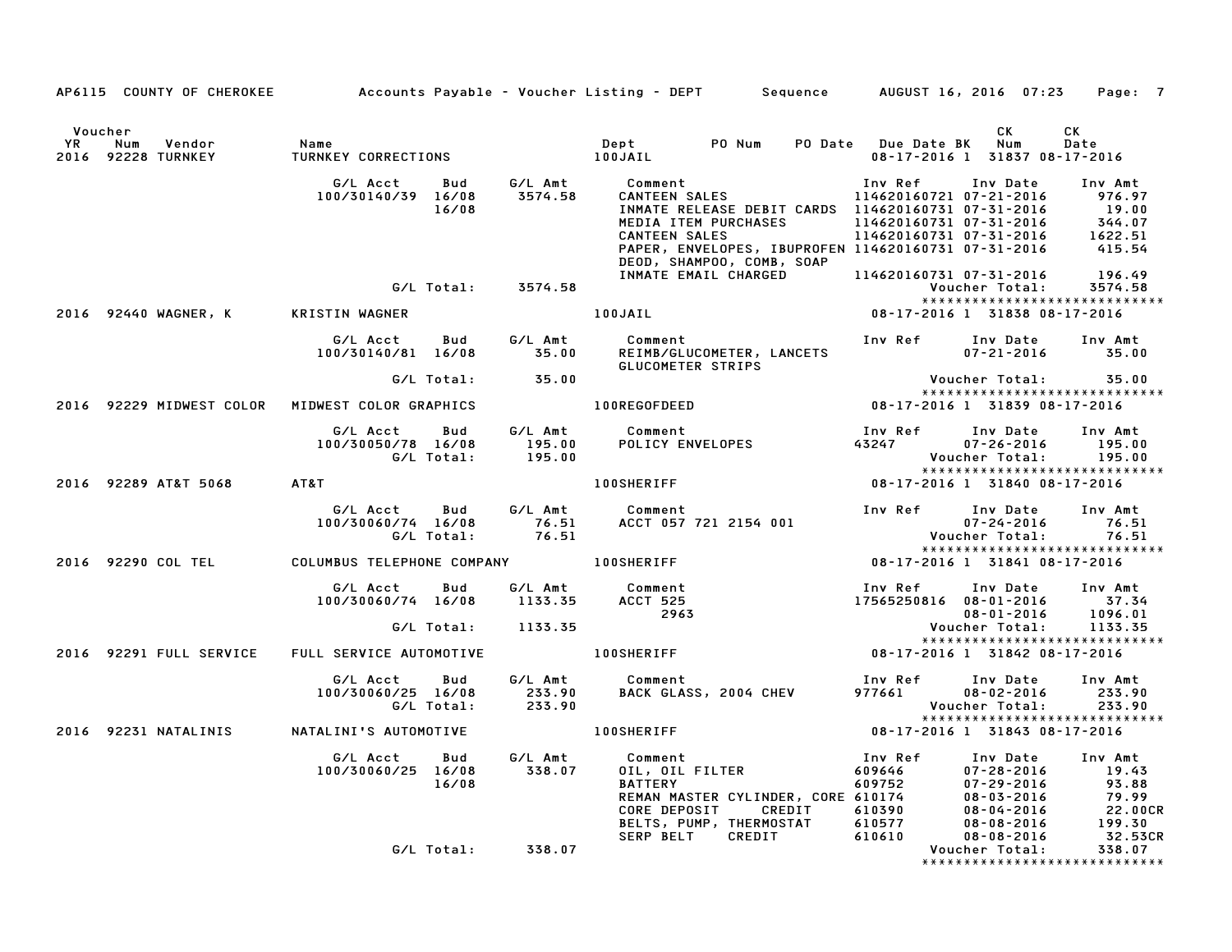|               |                                     |                                                                                                                                                                                                                                                        |                    | AP6115 COUNTY OF CHEROKEE Accounts Payable - Voucher Listing - DEPT Sequence AUGUST 16, 2016 07:23                                                                                                                                                                                                                                |                                                                                         | Page: 7                      |
|---------------|-------------------------------------|--------------------------------------------------------------------------------------------------------------------------------------------------------------------------------------------------------------------------------------------------------|--------------------|-----------------------------------------------------------------------------------------------------------------------------------------------------------------------------------------------------------------------------------------------------------------------------------------------------------------------------------|-----------------------------------------------------------------------------------------|------------------------------|
| Voucher<br>YR | Vendor<br>Num<br>2016 92228 TURNKEY | Name<br>TURNKF                                                                                                                                                                                                                                         |                    |                                                                                                                                                                                                                                                                                                                                   | CK<br>08-17-2016 1 31837 08-17-2016                                                     | CK<br>Date                   |
|               |                                     | G/L Acct<br>Bud<br>100/30140/39 16/08<br>16/08                                                                                                                                                                                                         | G/L Amt<br>3574.58 | Comment<br>CANTEEN SALES<br>INMATE RELEASE DEBIT CARDS 114620160731 07-31-2016<br>MEDIA ITEM PURCHASES 114620160731 07-31-2016 344.07<br>CANTEEN SALES 114620160731 07-31-2016 1622.51<br>PAPER, ENVELOPES, IBUPROFEN 114620160731 07-31-2016 415.54<br>DEOD, SHAMPOO, COMB, SOAP<br>INMATE EMAIL CHARGED 114620160731 07-31-2016 | Inv Ref      Inv Date<br>114620160721 07-21-2016                                        | Amt - 976.97<br>סנ<br>196.49 |
|               |                                     | G/L Total: 3574.58                                                                                                                                                                                                                                     |                    |                                                                                                                                                                                                                                                                                                                                   | Voucher Total:<br>*****************************                                         | 3574.58                      |
|               | 2016 92440 WAGNER, K                | KRISTIN WAGNER                                                                                                                                                                                                                                         |                    | 100JAIL <b>Andrew Strutter</b>                                                                                                                                                                                                                                                                                                    | 08-17-2016 1 31838 08-17-2016                                                           |                              |
|               |                                     | 100/30140/81 16/08 35.00                                                                                                                                                                                                                               |                    | Comment<br>REIMB/GLUCOMETER, LANCETS<br>GLUCOMETER STRIPS                                                                                                                                                                                                                                                                         | Inv Ref Inv Date Inv Amt<br>$07 - 21 - 2016$ 35.00                                      |                              |
|               |                                     | $G/L$ Total: $35.00$                                                                                                                                                                                                                                   |                    |                                                                                                                                                                                                                                                                                                                                   | Voucher Total: 35.00                                                                    |                              |
|               |                                     | 2016 92229 MIDWEST COLOR MIDWEST COLOR GRAPHICS                                                                                                                                                                                                        |                    | 100REGOFDEED                                                                                                                                                                                                                                                                                                                      | *****************************                                                           |                              |
|               |                                     | G/L Acct<br>Bud<br>100/30050/78 16/08                                                                                                                                                                                                                  |                    | G/L Amt Comment                                                                                                                                                                                                                                                                                                                   | Inv Date<br>$07 - 26 - 2016$<br>Voucher Total:                                          | Inv Amt<br>195.00<br>195.00  |
|               | 2016 92289 AT&T 5068                | AT&T                                                                                                                                                                                                                                                   |                    | 100SHERIFF NAME OF STREET                                                                                                                                                                                                                                                                                                         | *****************************<br>08-17-2016 1 31840 08-17-2016                          |                              |
|               |                                     |                                                                                                                                                                                                                                                        |                    | G/L Acct Bud G/L Amt Comment Inv Ref<br>100/30060/74 16/08 76.51 ACCT 057 721 2154 001 6/L Total: 76.51 ACCT 057 721 2154 001                                                                                                                                                                                                     | Inv Date Inv Amt<br>$07 - 24 - 2016$<br>Voucher Total:<br>***************************** | 76.51<br>76.51               |
|               |                                     | 2016 92290 COL TEL COLUMBUS TELEPHONE COMPANY 100SHERIFF                                                                                                                                                                                               |                    |                                                                                                                                                                                                                                                                                                                                   | 08-17-2016 1 31841 08-17-2016                                                           |                              |
|               |                                     | س کار سابط سابر تاریخ سابر تاریخی تاریخی تاریخی تاریخی تاریخی تاریخی تاریخی تاریخی تاریخی تاریخی تاریخی تاریخی<br>ACCT 525 تاریخی تاریخی تاریخی تاریخی تاریخی تاریخی تاریخی تاریخی تاریخی تاریخی تاریخی تاریخی تاریخی تاریخی تار<br>G/L Total: 1133.35 |                    | Comment<br>ACCT 525<br>2963<br>2963<br>2963<br>2963<br>2963<br>2963<br>2963<br>2963<br>2963<br>2963<br>2963<br>2963<br>2963<br>2963<br>2963<br>2963<br>2963<br>2963<br>2963<br>2963<br>2963<br>2963<br>2963<br>2963<br>2963<br>2963<br>2963<br>2963<br>2963<br>2963<br>2963<br>2963<br>2963<br>2963<br>                           |                                                                                         |                              |
|               | 2016 92291 FULL SERVICE             |                                                                                                                                                                                                                                                        |                    | FULL SERVICE AUTOMOTIVE 100SHERIFF                                                                                                                                                                                                                                                                                                | *****************************<br>08-17-2016 1 31842 08-17-2016                          |                              |
|               |                                     | G/L Acct<br>Bud<br>100/30060/25 16/08                                                                                                                                                                                                                  | G⁄L Amt            | Comment<br><b>COMMENT</b><br>BACK GLASS, 2004 CHEV                                                                                                                                                                                                                                                                                | Inv Ref<br>Inv Date Inv Amt<br>977661<br>$08 - 02 - 2016$<br>Voucher Total:             | 233.90<br>233.90             |
|               |                                     | 2016 92231 NATALINIS NATALINI'S AUTOMOTIVE                                                                                                                                                                                                             |                    | 100SHERIFF                                                                                                                                                                                                                                                                                                                        | ******************************<br>08-17-2016 1 31843 08-17-2016                         |                              |
|               |                                     | G/L Acct<br>Bud<br>100/30060/25 16/08<br>16/08                                                                                                                                                                                                         | G/L Amt<br>338.07  | Comment<br>OIL, OIL FILTER<br>100 111 ERY<br>111 ERY<br>19.43<br>19.43<br>19.43<br>19.43<br>19.43<br>19.43<br>19.43<br>19.43<br>19.43<br>19.43<br>19.43<br>19.43<br>19.43<br>19.43<br>19.43<br>19.43<br>19.43<br>19.43<br>19.43<br>19.43<br>19.43<br>19.43<br>19.88<br>19.88<br>19.99<br>19.99<br>19.99<br>19.99<br>19.9          |                                                                                         |                              |
|               |                                     | G/L Total: 338.07                                                                                                                                                                                                                                      |                    |                                                                                                                                                                                                                                                                                                                                   |                                                                                         |                              |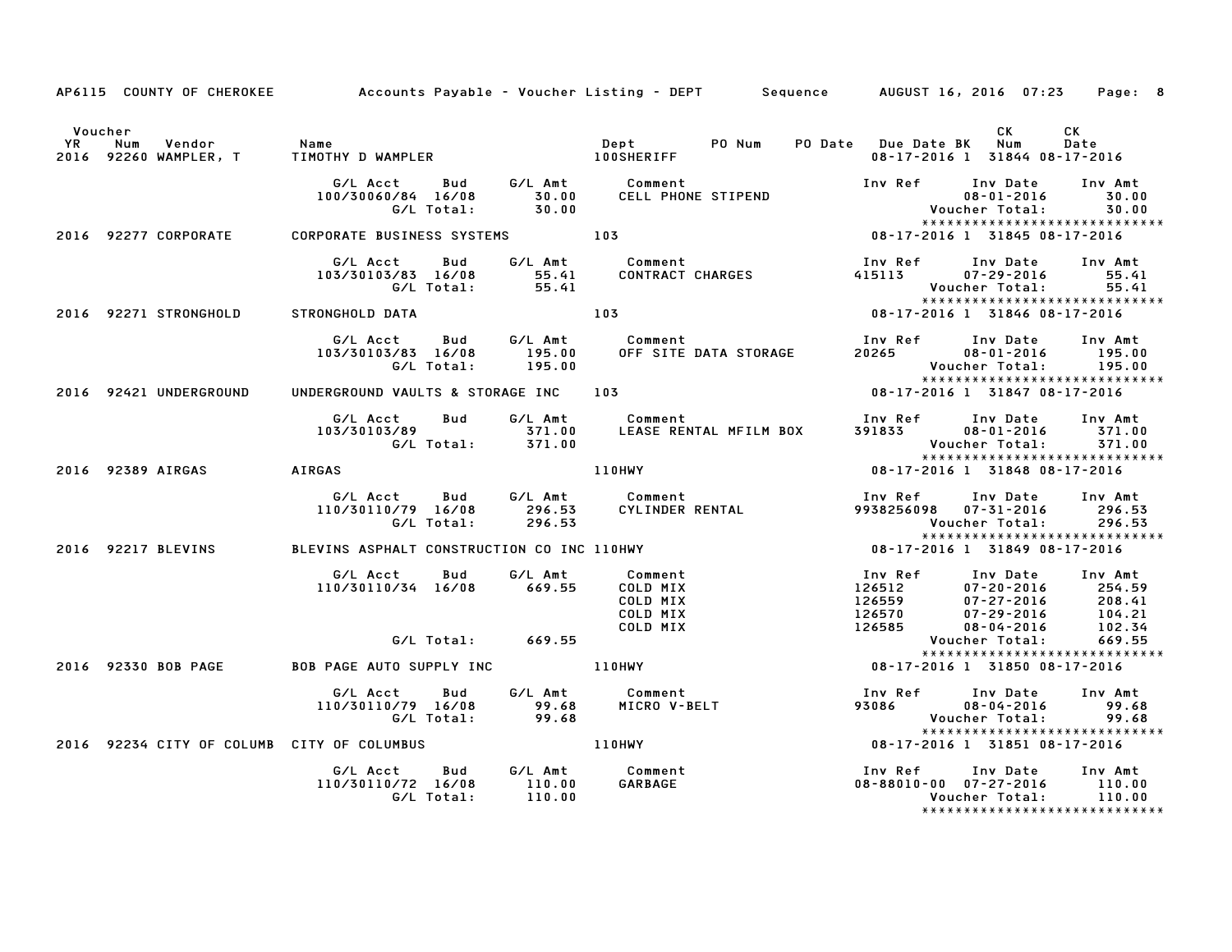|         |                        |                                                              |        | AP6115 COUNTY OF CHEROKEE Accounts Payable - Voucher Listing - DEPT Sequence AUGUST 16, 2016 07:23 Page: 8 |                                                                                                   |                                                                                              |                             |
|---------|------------------------|--------------------------------------------------------------|--------|------------------------------------------------------------------------------------------------------------|---------------------------------------------------------------------------------------------------|----------------------------------------------------------------------------------------------|-----------------------------|
| Voucher |                        |                                                              |        |                                                                                                            |                                                                                                   | CK<br>08-17-2016 1 31844 08-17-2016                                                          | CK<br>Date                  |
|         |                        | G/L Acct      Bud      G/L Amt         Comment               |        | 100/30060/84 16/08 30.00 CELL PHONE STIPEND<br>G/L Total: 30.00                                            |                                                                                                   | Inv Ref Inv Date                                                                             | Inv Amt<br>30.00            |
|         |                        |                                                              |        |                                                                                                            |                                                                                                   | 08-17-2016 1 31845 08-17-2016                                                                |                             |
|         |                        |                                                              |        | 103/30103/83 16/08 55.41 CONTRACT CHARGES<br>G/L Total: 55.41 CONTRACT CHARGES                             | 415113                                                                                            | Inv Ref      Inv Date     Inv Amt<br>$07 - 29 - 2016$ 55.41<br>Voucher Total: 55.41          |                             |
|         | 2016 92271 STRONGHOLD  | STRONGHOLD DATA                                              |        | 103                                                                                                        |                                                                                                   |                                                                                              |                             |
|         |                        | G/L Total: 195.00                                            |        |                                                                                                            | 20265                                                                                             | Inv Ref      Inv Date     Inv Amt<br>$08 - 01 - 2016$ 195.00                                 |                             |
|         | 2016 92421 UNDERGROUND | UNDERGROUND VAULTS & STORAGE INC 103                         |        |                                                                                                            |                                                                                                   | *****************************<br>$08 - 17 - 2016$ 1 31847 08-17-2016                         |                             |
|         |                        |                                                              |        |                                                                                                            |                                                                                                   | Inv Ref      Inv Date<br>391833        08–01–2016<br><b>Voucher Total:</b>                   | Inv Amt<br>371.00<br>371.00 |
|         | 2016 92389 AIRGAS      | <b>AIRGAS</b>                                                |        | <b>110HWY</b>                                                                                              |                                                                                                   | *****************************<br>08-17-2016 1 31848 08-17-2016                               |                             |
|         |                        | G/L Total:                                                   | 296.53 |                                                                                                            |                                                                                                   | Inv Ref      Inv Date<br>9938256098  07-31-2016<br>Voucher Total:                            | Inv Amt<br>296.53<br>296.53 |
|         | 2016 92217 BLEVINS     |                                                              |        | BLEVINS ASPHALT CONSTRUCTION CO INC 110HWY   1984 08-17-2016 1 31849 08-17-2016                            |                                                                                                   | *****************************                                                                |                             |
|         |                        | G/L Acct Bud G/L Amt<br>110/30110/34 16/08 669.55            |        | Comment<br>COLD MIX<br>COLD MIX<br>COLD MIX<br>COLD MIX                                                    | 126512<br>126559<br>------<br>126570               07-29-2016<br>126585                08-04-2016 | Inv Ref Inv Date Inv Amt<br>07-20-2016 254.59<br>07-27-2016 208.41<br>07-29-2016 104.21      | 102.34                      |
|         |                        | G/L Total: 669.55                                            |        |                                                                                                            |                                                                                                   | Voucher Total:<br>*****************************                                              | 669.55                      |
|         | 2016 92330 BOB PAGE    | BOB PAGE AUTO SUPPLY INC <b>110HWY</b>                       |        |                                                                                                            |                                                                                                   | 08-17-2016 1 31850 08-17-2016                                                                |                             |
|         |                        | G/L Acct Bud<br>110/30110/79 16/08 99.68<br>G/L Total: 99.68 |        | G/L Amt           Comment<br>99.68       MICRO V-BELT                                                      | 93086 08-04-2016                                                                                  | Inv Ref Inv Date Inv Amt<br>Voucher Total:<br>*****************************                  | 99.68<br>99.68              |
|         |                        | 2016 92234 CITY OF COLUMB CITY OF COLUMBUS                   |        | 110HWY                                                                                                     |                                                                                                   | 08-17-2016 1 31851 08-17-2016                                                                |                             |
|         |                        |                                                              |        | GARBAGE                                                                                                    | Inv Ref                                                                                           | Inv Date<br>08-88010-00 07-27-2016 110.00<br>Voucher Total:<br>***************************** | Inv Amt<br>110.00           |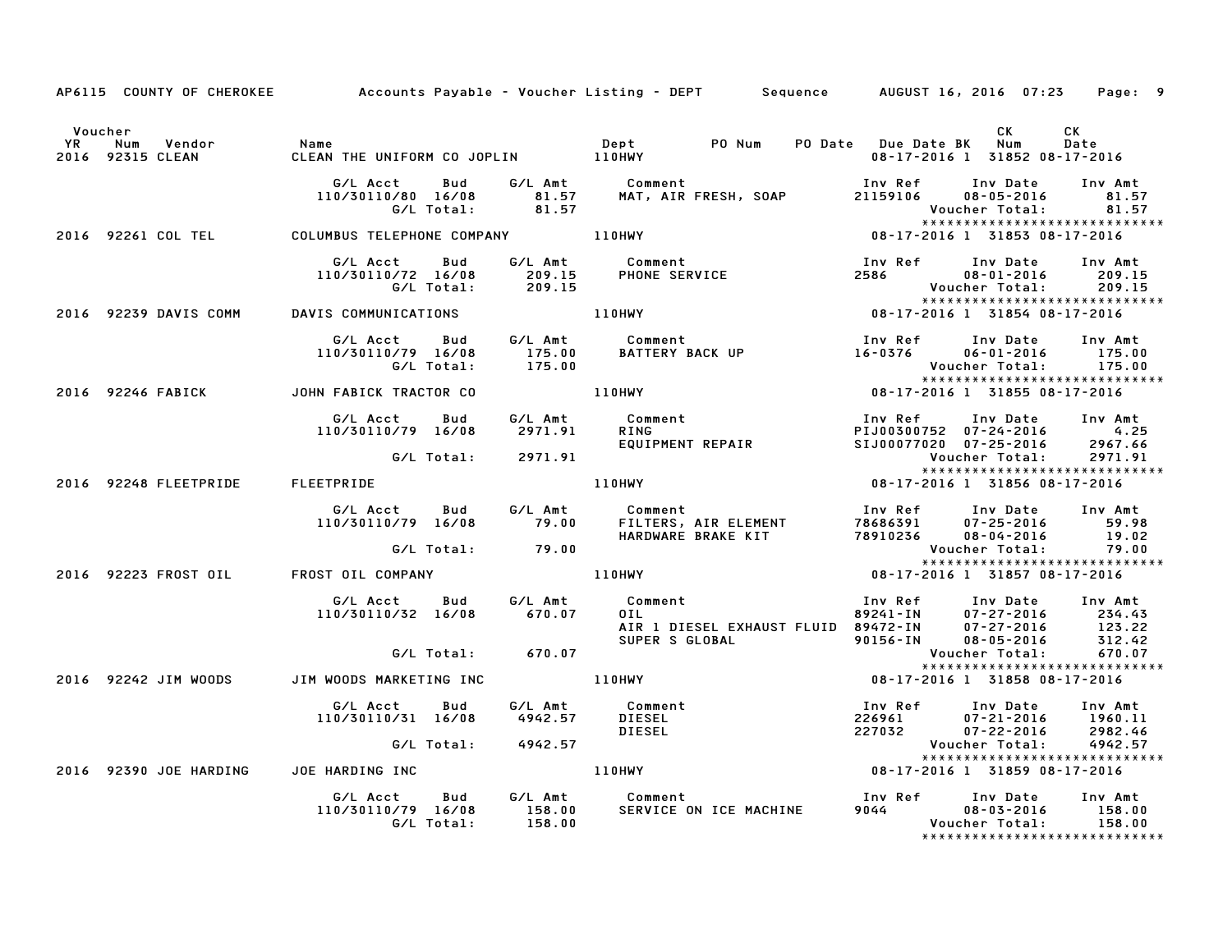|         |                                                  |                                                                                                  | AP6115 COUNTY OF CHEROKEE Accounts Payable - Voucher Listing - DEPT Sequence AUGUST 16, 2016 07:23                                                                                                                                                               |                                                  |                                     | Page: 9    |
|---------|--------------------------------------------------|--------------------------------------------------------------------------------------------------|------------------------------------------------------------------------------------------------------------------------------------------------------------------------------------------------------------------------------------------------------------------|--------------------------------------------------|-------------------------------------|------------|
| Voucher | YR Num Vendor - Name<br>2016 92315 CLEAN - CLEAN |                                                                                                  |                                                                                                                                                                                                                                                                  |                                                  | CK<br>08-17-2016 1 31852 08-17-2016 | CK<br>Date |
|         |                                                  |                                                                                                  | 6/L Acct Bud G/L Amt Comment<br>110/30110/80 16/08 81.57 MAT, AIR FRESH, SOAP 21159106 08-05-2016 81.57<br>6/L Total: 81.57 MAT, AIR FRESH, SOAP 21159106 08-05-2016 81.57<br>110HWY 110HWY 08-17-2016 1 31853 08-17-2016                                        |                                                  | *****************************       |            |
|         |                                                  | 2016 92261 COL TEL COLUMBUS TELEPHONE COMPANY 110HWY                                             |                                                                                                                                                                                                                                                                  |                                                  |                                     |            |
|         |                                                  |                                                                                                  | G/L Acct Bud G/L Amt Comment Inv Ref<br>110/30110/72 16/08 209.15 PHONE SERVICE 2586<br>G/L Total: 209.15 PHONE SERVICE 2586                                                                                                                                     | 2586 08-01-2016 209.15<br>2586 08-01-2016 209.15 | Inv Date Inv Amt                    |            |
|         |                                                  | 2016 92239 DAVIS COMM DAVIS COMMUNICATIONS 110HWY                                                |                                                                                                                                                                                                                                                                  |                                                  | *****************************       |            |
|         |                                                  |                                                                                                  | G/L Acct Bud G/L Amt Comment Inv Ref Inv Date Inv Amt<br>110/30110/79 16/08 175.00 BATTERY BACK UP 16-0376 06-01-2016 175.00<br>G/L Total: 175.00 110HWY 16-0376 Voucher Total: 175.00<br>HN FABICK TRACTOR CO 110HWY 108-17-2016 13185                          |                                                  |                                     |            |
|         |                                                  | 2016 92246 FABICK JOHN FABICK TRACTOR CO                                                         |                                                                                                                                                                                                                                                                  |                                                  |                                     |            |
|         |                                                  | G/L Acct<br>Bud<br>110/30110/79 16/08                                                            | 6/L Amt comment<br>2971.91 RING<br>EQUIPMENT REPAIR<br>2971.91 LIOHNY REPAIR<br>2971.91 LIOHNY 110HWY 1989-17-2016<br>2987.66<br>2971.91<br>2971.91<br>2971.91<br>2981.92<br>2987.66<br>2971.91<br>2971.91<br>2987.66<br>2971.91<br>2971.91<br>2987.66<br>2971.9 |                                                  |                                     |            |
|         |                                                  | G/L Total: 2971.91                                                                               |                                                                                                                                                                                                                                                                  |                                                  |                                     |            |
|         |                                                  |                                                                                                  | 2016 92248 FLEETPRIDE FLEETPRIDE THE RESERVE THE RESERVE TO THE RESERVE THE RESERVE THE RESERVE THE RESERVE TH<br>THE RESERVE THE RESERVE THE RESERVE THE RESERVE THE RESERVE THE RESERVE THE RESERVE THE RESERVE THE RESERVE TH                                 |                                                  |                                     |            |
|         |                                                  |                                                                                                  | G/L Acct Bud G/L Amt Comment Inv Ref Inv Date Inv Amt<br>110/30110/79 16/08 79.00 FILTERS, AIR ELEMENT 78686391 07-25-2016 59.98<br>G/L Total: 79.00 HARDWARE BRAKE KIT 78910236 08-04-2016 19.02<br>03T OIL COMPANY 110HWY 110HWY 108-                          |                                                  |                                     |            |
|         |                                                  |                                                                                                  |                                                                                                                                                                                                                                                                  |                                                  |                                     |            |
|         |                                                  | 2016 92223 FROST OIL FROST OIL COMPANY                                                           |                                                                                                                                                                                                                                                                  |                                                  |                                     |            |
|         |                                                  |                                                                                                  | 6/L Acct Bud 6/L Amt Comment<br>110/30110/32 16/08 670.07 0IL<br>4IR 1 DIESEL EXHAUST FLUID 89472-IN 07-27-2016 123.22<br>6/L Total: 670.07 670.07<br>6/L Total: 670.07<br>4IR 1 DIESEL EXHAUST FLUID 89472-IN 07-27-2016 123.22<br>90156-                       |                                                  |                                     |            |
|         |                                                  |                                                                                                  |                                                                                                                                                                                                                                                                  |                                                  |                                     |            |
|         |                                                  | 2016 92242 JIM WOODS JIM WOODS MARKETING INC                                                     |                                                                                                                                                                                                                                                                  |                                                  |                                     |            |
|         |                                                  |                                                                                                  | G/L Acct Bud G/L Amt Comment<br>110/30110/31 16/08 4942.57 DIESEL 226961 07-21-2016 1960.11<br>G/L Total: 4942.57 DIESEL 227032 07-22-2016 2982.46<br>G/L Total: 4942.57 Voucher Total: 4942.57<br>JOE HARDING INC 110HWY 110HWY 08-17-201                       |                                                  |                                     |            |
|         |                                                  |                                                                                                  |                                                                                                                                                                                                                                                                  |                                                  | ******************************      |            |
|         | 2016 92390 JOE HARDING                           |                                                                                                  |                                                                                                                                                                                                                                                                  |                                                  |                                     |            |
|         |                                                  | G/L Acct  Bud  G/L Amt  Comment<br>110/30110/79  16/08  158.00  SERVICE  ON<br>G/L Total: 158.00 |                                                                                                                                                                                                                                                                  |                                                  | Voucher Total: 158.00               | 158.00     |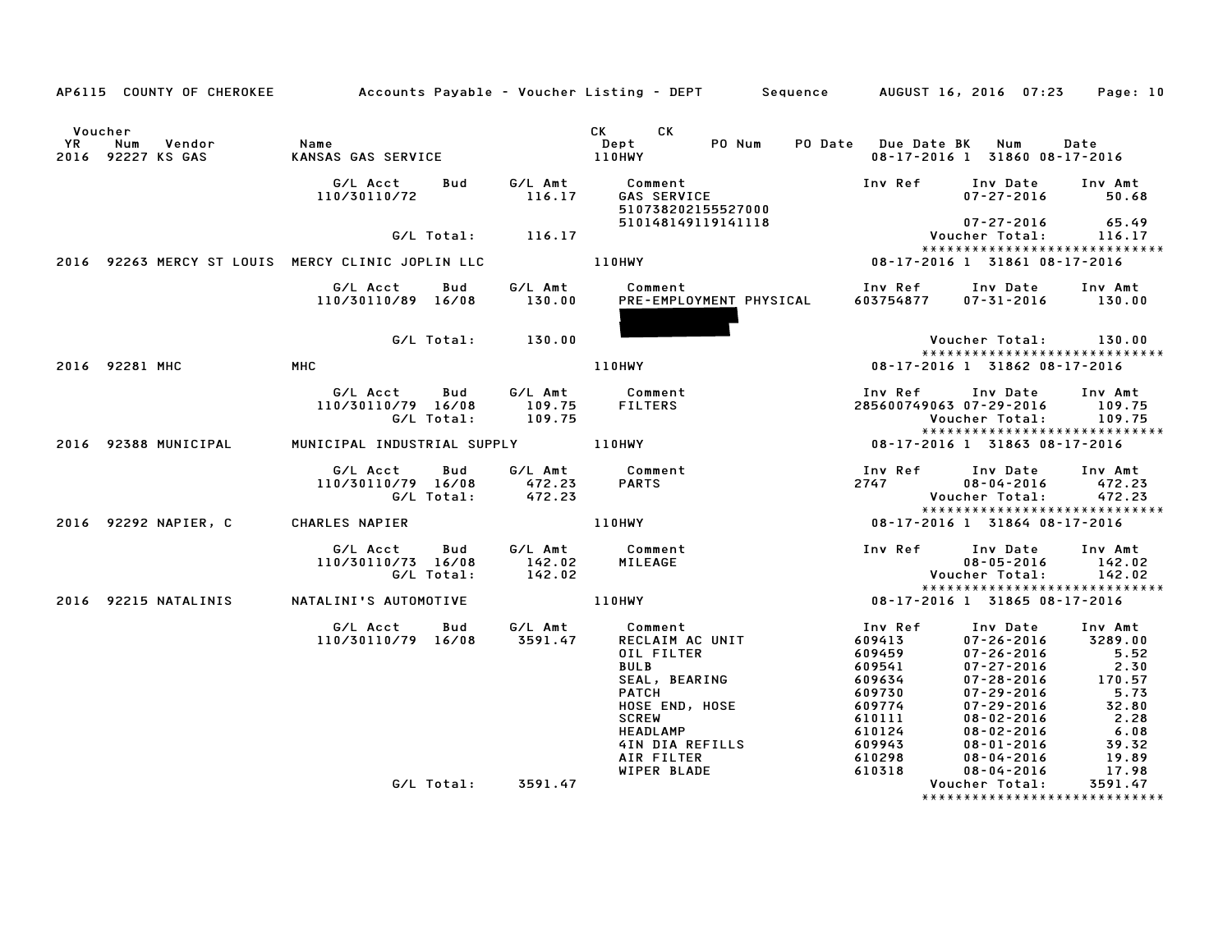|                      |                                                                                  |                                              |                   |                       | AP6115 COUNTY OF CHEROKEE Accounts Payable - Voucher Listing - DEPT Sequence AUGUST 16, 2016 07:23                                                        |                                                                                                   |                                                                                                                                                                                  | Page: 10                                                                               |
|----------------------|----------------------------------------------------------------------------------|----------------------------------------------|-------------------|-----------------------|-----------------------------------------------------------------------------------------------------------------------------------------------------------|---------------------------------------------------------------------------------------------------|----------------------------------------------------------------------------------------------------------------------------------------------------------------------------------|----------------------------------------------------------------------------------------|
| Voucher<br><b>YR</b> | Num<br>Vendor<br>2016 92227 KS GAS                                               | Name<br>KANSAS GAS SERVICE                   |                   |                       | CK CK<br>PO Num<br>Dept<br><b>110HWY</b>                                                                                                                  | PO Date Due Date BK Num                                                                           | 08-17-2016 1 31860 08-17-2016                                                                                                                                                    | Date                                                                                   |
|                      |                                                                                  | G/L Acct<br>110/30110/72                     | Bud               | $G/L$ Amt<br>$116.17$ | Comment<br>GAS SERVICE<br>510738202155527000                                                                                                              | Inv Ref                                                                                           | Inv Date<br>$07 - 27 - 2016$                                                                                                                                                     | Inv Amt<br>50.68                                                                       |
|                      |                                                                                  |                                              |                   | G/L Total: 116.17     | 510148149119141118                                                                                                                                        |                                                                                                   | 07-27-2016<br>Voucher Total:                                                                                                                                                     | 65.49<br>116.17                                                                        |
|                      |                                                                                  |                                              |                   |                       |                                                                                                                                                           |                                                                                                   | *****************************                                                                                                                                                    |                                                                                        |
|                      | 2016 92263 MERCY ST LOUIS MERCY CLINIC JOPLIN LLC ______________________________ |                                              |                   |                       |                                                                                                                                                           |                                                                                                   | 08-17-2016 1 31861 08-17-2016                                                                                                                                                    |                                                                                        |
|                      |                                                                                  | G/L Acct Bud<br>110/30110/89 16/08           |                   | G/L Amt<br>130.00     | Comment<br>PRE-EMPLOYMENT PHYSICAL                                                                                                                        | 603754877                                                                                         | Inv Ref Inv Date Inv Amt<br>$07 - 31 - 2016$ 130.00                                                                                                                              |                                                                                        |
|                      |                                                                                  |                                              | G/L Total:        | 130.00                |                                                                                                                                                           |                                                                                                   | Voucher Total: 130.00                                                                                                                                                            |                                                                                        |
|                      | 2016 92281 MHC                                                                   | <b>MHC</b>                                   |                   |                       | <b>110HWY</b>                                                                                                                                             |                                                                                                   | *****************************<br>08-17-2016 1 31862 08-17-2016                                                                                                                   |                                                                                        |
|                      |                                                                                  |                                              |                   |                       |                                                                                                                                                           |                                                                                                   |                                                                                                                                                                                  |                                                                                        |
|                      |                                                                                  | G/L Acct<br>110/30110/79 16/08               | Bud<br>G/L Total: | 109.75<br>109.75      | G/L Amt Comment<br>FILTERS                                                                                                                                | Inv Ref<br>285600749063 07-29-2016                                                                | Inv Date<br>Voucher Total:         109.75                                                                                                                                        | Inv Amt<br>109.75                                                                      |
|                      | 2016 92388 MUNICIPAL                                                             | MUNICIPAL INDUSTRIAL SUPPLY 110HWY           |                   |                       |                                                                                                                                                           |                                                                                                   | *****************************<br>08-17-2016 1 31863 08-17-2016                                                                                                                   |                                                                                        |
|                      |                                                                                  |                                              |                   |                       |                                                                                                                                                           |                                                                                                   |                                                                                                                                                                                  |                                                                                        |
|                      |                                                                                  | G/L Acct<br>110/30110/79 16/08<br>G/L Total: | Bud               | 472.23<br>472.23      | G/L Amt Comment<br>PARTS                                                                                                                                  | Inv Ref<br>2747                                                                                   | Inv Date<br>$08 - 04 - 2016$<br>Voucher Total:                                                                                                                                   | Inv Amt<br>472.23<br>472.23                                                            |
|                      |                                                                                  |                                              |                   |                       |                                                                                                                                                           |                                                                                                   | *****************************                                                                                                                                                    |                                                                                        |
|                      | 2016 92292 NAPIER, C                                                             | CHARLES NAPIER                               |                   |                       | 110HWY                                                                                                                                                    |                                                                                                   | 08-17-2016 1 31864 08-17-2016                                                                                                                                                    |                                                                                        |
|                      |                                                                                  | G/L Acct<br>110/30110/73 16/08               | Bud<br>G/L Total: | 142.02<br>142.02      | G/L Amt Comment<br>MILEAGE                                                                                                                                | Inv Ref Inv Date                                                                                  | $08 - 05 - 2016$<br>Voucher Total:                                                                                                                                               | Inv Amt<br>142.02<br>142.02                                                            |
|                      | 2016 92215 NATALINIS                                                             | NATALINI'S AUTOMOTIVE                        |                   |                       | 110HWY                                                                                                                                                    |                                                                                                   | *****************************<br>08-17-2016 1 31865 08-17-2016                                                                                                                   |                                                                                        |
|                      |                                                                                  | G/L Acct<br>110/30110/79 16/08 3591.47       | <b>Bud</b>        | G/L Amt               | Comment<br>RECLAIM AC UNIT<br>OIL FILTER<br><b>BULB</b><br>SEAL, BEARING<br>РАТСН<br><b>HOSE END, HOSE</b><br><b>SCREW</b><br>HEADLAMP<br>4IN DIA REFILLS | Inv Ref<br>609413<br>609459<br>609541<br>609634<br>609730<br>609774<br>610111<br>610124<br>609943 | Inv Date<br>$07 - 26 - 2016$<br>$07 - 26 - 2016$<br>$07 - 27 - 2016$<br>$07 - 28 - 2016$<br>$07 - 29 - 2016$<br>$07 - 29 - 2016$<br>08-02-2016<br>$08 - 02 - 2016$<br>08-01-2016 | Inv Amt<br>3289.00<br>5.52<br>2.30<br>170.57<br>5.73<br>32.80<br>2.28<br>6.08<br>39.32 |
|                      |                                                                                  |                                              |                   |                       | AIR FILTER                                                                                                                                                | 610298                                                                                            | 08-04-2016                                                                                                                                                                       | 19.89                                                                                  |
|                      |                                                                                  |                                              |                   | G/L Total: 3591.47    | WIPER BLADE                                                                                                                                               | 610318                                                                                            | 08-04-2016<br>Voucher Total:                                                                                                                                                     | 17.98<br>3591.47                                                                       |
|                      |                                                                                  |                                              |                   |                       |                                                                                                                                                           |                                                                                                   | *******************************                                                                                                                                                  |                                                                                        |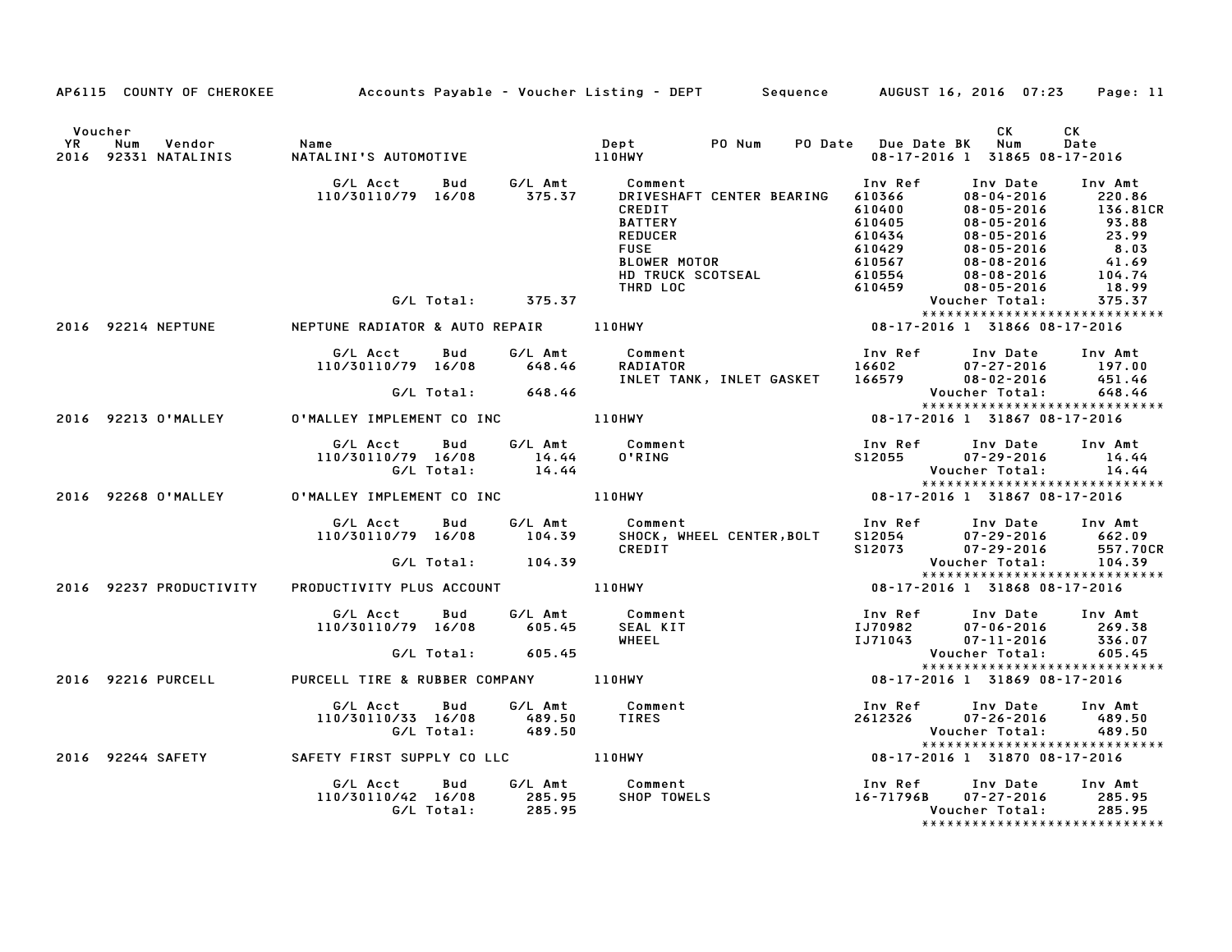|         | AP6115 COUNTY OF CHEROKEE Accounts Payable – Voucher Listing – DEPT Sequence AUGUST 16, 2016 07:23                                                                                                                                        | Page: 11                                                                                                                                                                                                                                                          |
|---------|-------------------------------------------------------------------------------------------------------------------------------------------------------------------------------------------------------------------------------------------|-------------------------------------------------------------------------------------------------------------------------------------------------------------------------------------------------------------------------------------------------------------------|
| Voucher |                                                                                                                                                                                                                                           | CK<br>CK<br>PO Date Due Date BK Num<br>Date<br>08-17-2016 1 31865 08-17-2016                                                                                                                                                                                      |
|         | G/L Acct        Bud         G/L Amt           Comment<br>110/30110/79   16/08         375.37       DRIVESHAFT CENTER  BEARI                                                                                                               | Inv Ref Inv Date Inv Amt<br>9/1 Acct Bud G/LAmt Comment ENDING<br>110/30110/79 16/08 375.37 DRIVESHAFT CENTER BEARING 610366 08-05-2016 220.86<br>REDIT 610400 08-05-2016 92216 220.86<br>REDUCE 8.03<br>REDUCE 610405 08-05-2016 93.881CR<br>BATTER PERIT 610405 |
|         |                                                                                                                                                                                                                                           |                                                                                                                                                                                                                                                                   |
|         |                                                                                                                                                                                                                                           |                                                                                                                                                                                                                                                                   |
|         | G/L Acct<br>110/30110/79 16/08 648.46                                                                                                                                                                                                     | Bud G/LAmt Comment<br>16/08 648.46 RADIATOR 16602 07–27–2016 197.00<br>197.00 INLET TANK, INLET GASKET 166579 08–02–2016 451.46<br>166579 008–02–2016 451.46<br>166579 Voucher Total: 648.46                                                                      |
|         | G/L Total: 648.46                                                                                                                                                                                                                         |                                                                                                                                                                                                                                                                   |
|         | 2016 92213 O'MALLEY O'MALLEY IMPLEMENT CO INC 110HWY                                                                                                                                                                                      | .468<br>**************************<br>188-17-2016 1 31867 08-17-2016                                                                                                                                                                                              |
|         | G/L Acct Bud G/L Amt Comment<br>I10/30110/79 16/08 14.44 0'RING S12055 07-29-2016 14.44<br>G/L Total: 14.44 0'RING S12055 07-29-2016 14.44<br>C/L Total: 14.44 10'RING S12055 07-29-2016 14.44<br>2016 92268.0'MALLEY IO MALLEY IMPLEMENT | *****************************                                                                                                                                                                                                                                     |
|         |                                                                                                                                                                                                                                           |                                                                                                                                                                                                                                                                   |
|         |                                                                                                                                                                                                                                           |                                                                                                                                                                                                                                                                   |
|         |                                                                                                                                                                                                                                           | G/L Acct Bud G/L Amt Comment Inv Ref Inv Date Inv Amt<br>110/30110/79 16/08 104.39 SHOCK, WHEEL CENTER,BOLT S12054 07–29–2016 662.09<br>CREDIT S12073 07–29–2016 557.70                                                                                           |
|         |                                                                                                                                                                                                                                           | *****************************                                                                                                                                                                                                                                     |
|         |                                                                                                                                                                                                                                           |                                                                                                                                                                                                                                                                   |
|         | 410/30110/79 16/08 605.45<br>2016 92216 PURCELL PURCELL TIRE &RUBBER COMPANY 110HWY 105 2006 92216 PURCELL<br>2016 92216 PURCELL TIRE &RUBBER COMPANY 110HWY 16HEEL<br>2016 92216 PURCELL TIRE &RUBBER COMPANY 110HWY 108-17-2016 1 318   |                                                                                                                                                                                                                                                                   |
|         |                                                                                                                                                                                                                                           | *****************************                                                                                                                                                                                                                                     |
|         |                                                                                                                                                                                                                                           |                                                                                                                                                                                                                                                                   |
|         | G/L Acct Bud G/L Amt Comment Inv Ref Inv Date Inv Amt<br>110/30110/33 16/08 489.50 TIRES 2612326 07-26-2016 489.50<br>G/L Total: 489.50 6/L Total: 489.50 Voucher Total: 489.50<br>2016 92244 SAFETY SAFETY FIRST SUPPLY COLLC 110HWY 1   | *****************************                                                                                                                                                                                                                                     |
|         |                                                                                                                                                                                                                                           |                                                                                                                                                                                                                                                                   |
|         |                                                                                                                                                                                                                                           | G/L Acct Bud G/L Amt Comment Inv Ref Inv Date Inv Amt<br>110/30110/42 16/08 285.95 SHOP TOWELS 16-71796B 07-27-2016 285.95<br>16-71796B 07-27-2016 285.95<br>*****************************                                                                        |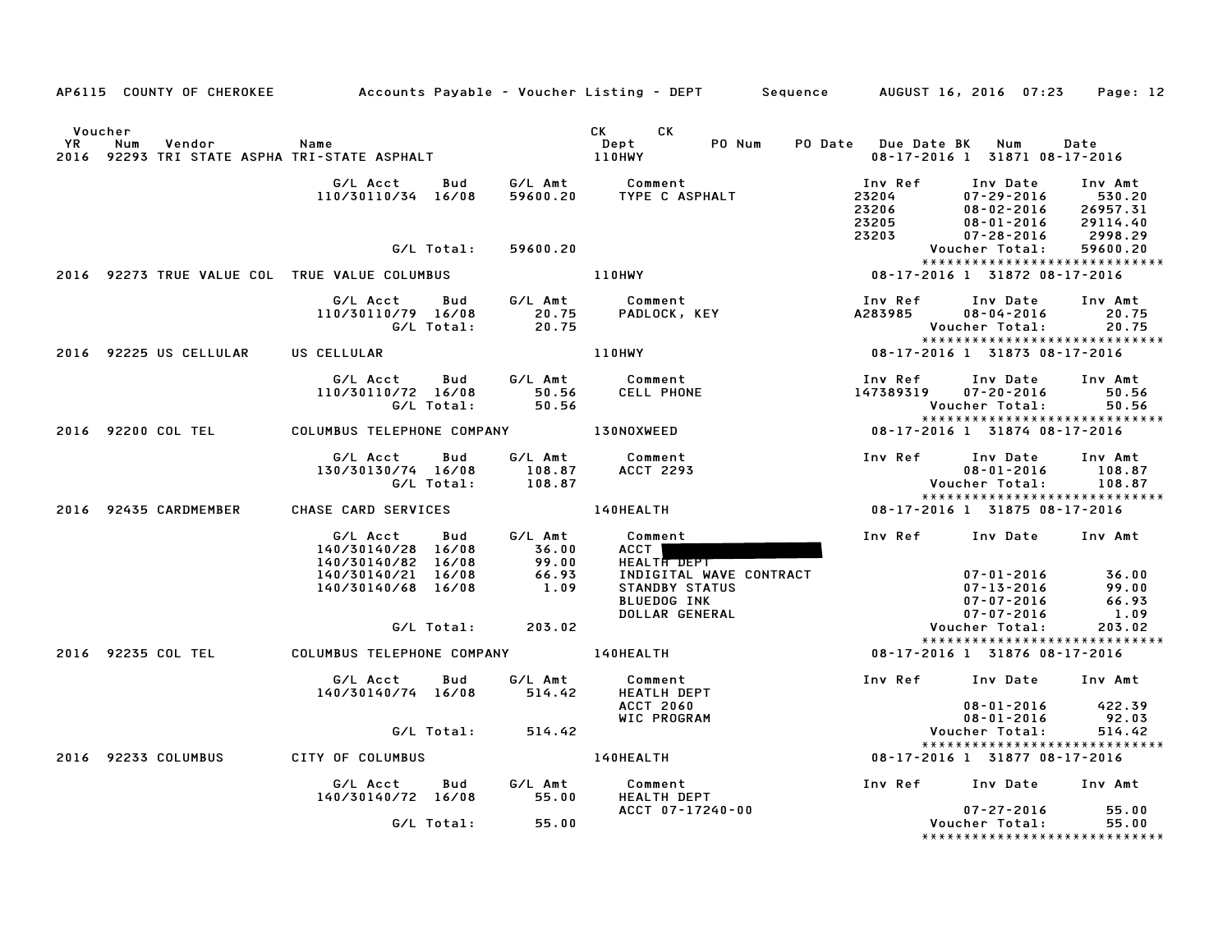|    |                                                                          |                                                      |                   |                             | AP6115 COUNTY OF CHEROKEE Accounts Payable - Voucher Listing - DEPT Sequence AUGUST 16, 2016 07:23 |                                             |                                                                                    | Page: 12                                             |
|----|--------------------------------------------------------------------------|------------------------------------------------------|-------------------|-----------------------------|----------------------------------------------------------------------------------------------------|---------------------------------------------|------------------------------------------------------------------------------------|------------------------------------------------------|
| YR | Voucher<br>Num<br>Vendor<br>2016 92293 TRI STATE ASPHA TRI-STATE ASPHALT | Name                                                 |                   |                             | CK CK<br>PO Num<br>Dept<br><b>110HWY</b>                                                           | PO Date Due Date BK Num                     | 08-17-2016 1 31871 08-17-2016                                                      | Date                                                 |
|    |                                                                          | G/L Acct<br>110/30110/34 16/08                       | Bud               | G⁄L Amt<br>59600.20         | Comment<br>TYPE C ASPHALT                                                                          | Inv Ref<br>23204<br>23206<br>23205<br>23203 | Inv Date<br>$07 - 29 - 2016$<br>$08 - 02 - 2016$<br>08-01-2016<br>$07 - 28 - 2016$ | Inv Amt<br>530.20<br>26957.31<br>29114.40<br>2998.29 |
|    |                                                                          |                                                      | G/L Total:        | 59600.20                    |                                                                                                    |                                             | Voucher Total:                                                                     | 59600.20                                             |
|    | 2016 92273 TRUE VALUE COL TRUE VALUE COLUMBUS                            |                                                      |                   |                             | 110HWY                                                                                             | 08-17-2016 1 31872 08-17-2016               | *****************************                                                      |                                                      |
|    |                                                                          | G/L Acct Bud<br>110/30110/79 16/08                   | G/L Total:        | G/L Amt<br>20.75<br>20.75   | Comment<br>PADLOCK, KEY                                                                            | Inv Ref<br>A283985                          | Inv Date<br>$08 - 04 - 2016$<br>Voucher Total:                                     | Inv Amt<br>20.75<br>20.75                            |
|    | 2016 92225 US CELLULAR                                                   | US CELLULAR                                          |                   |                             | <b>110HWY</b>                                                                                      | 08-17-2016 1 31873 08-17-2016               |                                                                                    |                                                      |
|    |                                                                          | G/L Acct<br>110/30110/72 16/08                       | Bud<br>G/L Total: | G/L Amt<br>50.56<br>50.56   | Comment<br><b>CELL PHONE</b>                                                                       | Inv Ref<br>147389319                        | Inv Date<br>$07 - 20 - 2016$<br>Voucher Total:<br>*****************************    | Inv Amt<br>50.56<br>50.56                            |
|    | 2016 92200 COL TEL                                                       | COLUMBUS TELEPHONE COMPANY 130NOXWEED                |                   |                             |                                                                                                    |                                             | 08-17-2016 1 31874 08-17-2016                                                      |                                                      |
|    |                                                                          | G/L Acct<br>130/30130/74 16/08                       | Bud<br>G/L Total: | G/L Amt<br>108.87<br>108.87 | Comment<br>ACCT 2293                                                                               | Inv Ref                                     | Inv Date<br>$08 - 01 - 2016$<br>Voucher Total:                                     | Inv Amt<br>108.87<br>108.87                          |
|    | 2016 92435 CARDMEMBER                                                    | CHASE CARD SERVICES                                  |                   |                             | <b>140HEALTH</b>                                                                                   | 08-17-2016 1 31875 08-17-2016               | *****************************                                                      |                                                      |
|    |                                                                          | G/L Acct<br>140/30140/28 16/08<br>140/30140/82 16/08 | <b>Bud</b>        | G/L Amt<br>36.00            | Comment<br>ACCT  <br>HEALTH DEPT                                                                   |                                             | Inv Ref Inv Date Inv Amt                                                           |                                                      |
|    |                                                                          | 140/30140/21 16/08<br>140/30140/68 16/08             |                   | 99.00<br>66.93<br>1.09      | INDIGITAL WAVE CONTRACT<br>STANDBY STATUS<br><b>BLUEDOG INK</b><br>DOLLAR GENERAL                  |                                             | $07 - 01 - 2016$<br>07-13-2016<br>$07 - 07 - 2016$<br>$07 - 07 - 2016$             | 36.00<br>99.00<br>66.93<br>1.09                      |
|    |                                                                          |                                                      | G/L Total:        | 203.02                      |                                                                                                    |                                             | Voucher Total:<br>*****************************                                    | 203.02                                               |
|    | 2016 92235 COL TEL                                                       | COLUMBUS TELEPHONE COMPANY 140HEALTH                 |                   |                             |                                                                                                    |                                             | 08-17-2016 1 31876 08-17-2016                                                      |                                                      |
|    |                                                                          | G/L Acct<br>140/30140/74 16/08                       | Bud               | G/L Amt<br>514.42           | Comment<br><b>HEATLH DEPT</b>                                                                      |                                             | Inv Ref Inv Date                                                                   | Inv Amt                                              |
|    |                                                                          |                                                      |                   |                             | <b>ACCT 2060</b><br>WIC PROGRAM                                                                    |                                             | 08-01-2016<br>$08 - 01 - 2016$                                                     | 422.39<br>92.03                                      |
|    |                                                                          |                                                      | G/L Total:        | 514.42                      |                                                                                                    |                                             | Voucher Total:<br>*****************************                                    | 514.42                                               |
|    | 2016 92233 COLUMBUS                                                      | CITY OF COLUMBUS                                     |                   |                             | 140HEALTH                                                                                          |                                             | 08-17-2016 1 31877 08-17-2016                                                      |                                                      |
|    |                                                                          | G/L Acct<br>140/30140/72 16/08                       | Bud               | G/L Amt<br>55.00            | Comment<br><b>HEALTH DEPT</b>                                                                      | Inv Ref Inv Date                            |                                                                                    | Inv Amt                                              |
|    |                                                                          |                                                      | G/L Total:        | 55.00                       | ACCT 07-17240-00                                                                                   |                                             | $07 - 27 - 2016$<br>Voucher Total:<br>*******************************              | 55.00<br>55.00                                       |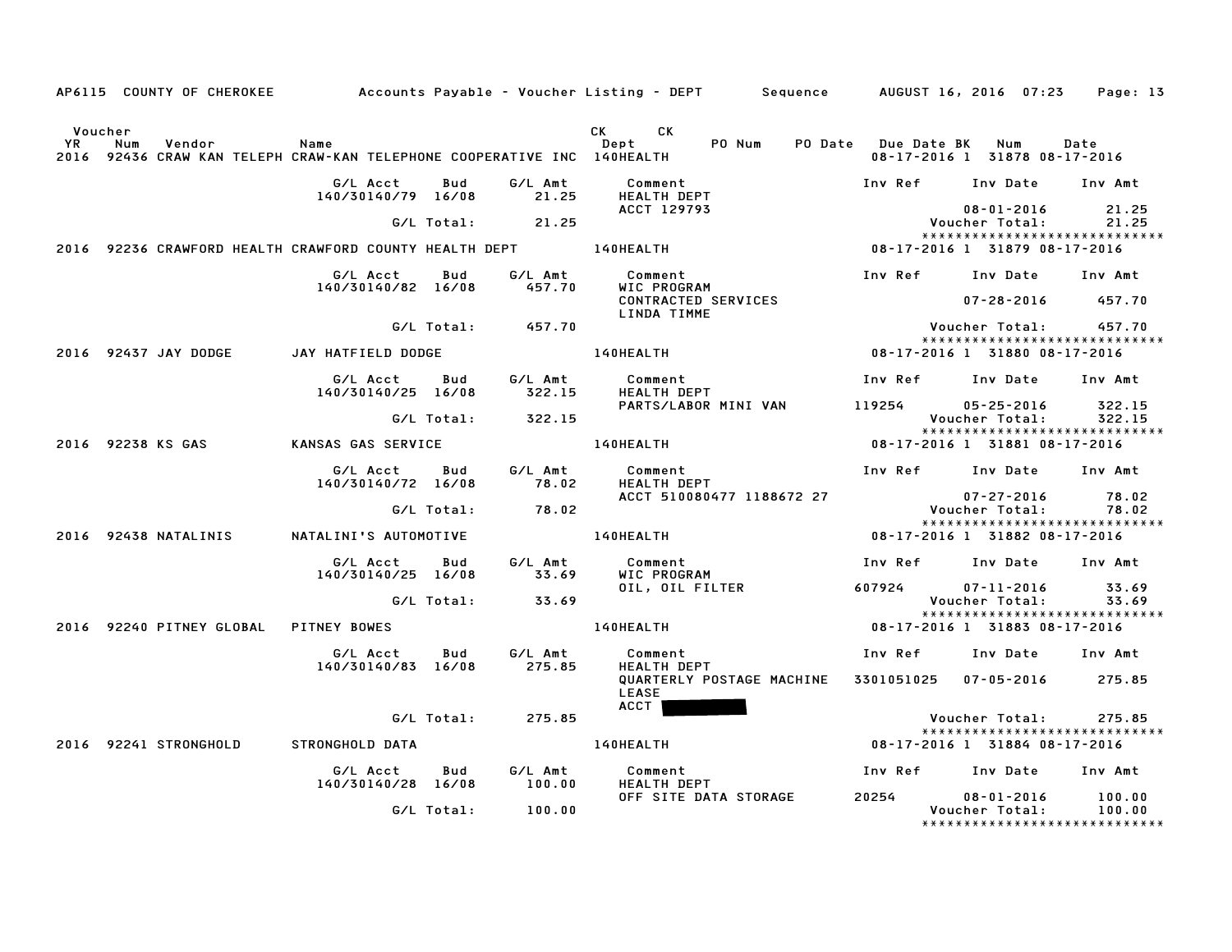|                      |     |                                       |                                                                                 |            |                           | AP6115 COUNTY OF CHEROKEE Accounts Payable - Voucher Listing - DEPT Sequence AUGUST 16, 2016 07:23 Page: 13 |                         |                                                                     |                  |
|----------------------|-----|---------------------------------------|---------------------------------------------------------------------------------|------------|---------------------------|-------------------------------------------------------------------------------------------------------------|-------------------------|---------------------------------------------------------------------|------------------|
| Voucher<br><b>YR</b> | Num | Vendor                                | Name<br>2016 92436 CRAW KAN TELEPH CRAW-KAN TELEPHONE COOPERATIVE INC 140HEALTH |            |                           | CK C<br><b>CK</b><br>PO Num<br>Dept                                                                         | PO Date Due Date BK Num | 08-17-2016 1 31878 08-17-2016                                       | Date             |
|                      |     |                                       | G/L Acct<br>140/30140/79 16/08                                                  | Bud        | G/L Amt<br>21.25          | Comment<br>HEALTH DEPT                                                                                      |                         | Inv Ref Inv Date Inv Amt                                            |                  |
|                      |     |                                       |                                                                                 |            | $G/L$ Total: 21.25        | ACCT 129793                                                                                                 |                         | 08-01-2016<br>Voucher Total:                                        | 21.25<br>21.25   |
|                      |     |                                       |                                                                                 |            |                           | 2016 92236 CRAWFORD HEALTH CRAWFORD COUNTY HEALTH DEPT 140HEALTH 10 18 18 18-17-2016 1 31879 08-17-2016     |                         | *****************************                                       |                  |
|                      |     |                                       | G/L Acct Bud<br>140/30140/82 16/08                                              |            | G/L Amt<br>457.70         | Comment<br>WIC PROGRAM                                                                                      |                         | Inv Ref Inv Date Inv Amt                                            |                  |
|                      |     |                                       |                                                                                 |            |                           | CONTRACTED SERVICES<br>LINDA TIMME                                                                          |                         | $07 - 28 - 2016$ 457.70                                             |                  |
|                      |     |                                       |                                                                                 |            | G/L Total: 457.70         |                                                                                                             |                         | Voucher Total: 457.70<br>******************************             |                  |
|                      |     | 2016 92437 JAY DODGE                  | JAY HATFIELD DODGE                                                              |            |                           | 140HEALTH <b>Andrew Strutter</b>                                                                            |                         | 08-17-2016 1 31880 08-17-2016                                       |                  |
|                      |     |                                       | G/L Acct Bud<br>140/30140/25 16/08                                              |            | G/L Amt<br>322.15         | Comment<br><b>HEALTH DEPT</b>                                                                               |                         | Inv Ref Inv Date Inv Amt                                            |                  |
|                      |     |                                       |                                                                                 |            | G/L Total: 322.15         | PARTS/LABOR MINI VAN                                                                                        | 119254                  | $05 - 25 - 2016$<br>Voucher Total:                                  | 322.15<br>322.15 |
|                      |     | 2016 92238 KS GAS                     | KANSAS GAS SERVICE                                                              |            |                           | 140HEALTH                                                                                                   |                         | *****************************<br>08-17-2016 1 31881 08-17-2016      |                  |
|                      |     |                                       | G/L Acct<br>140/30140/72 16/08                                                  | Bud        | G/L Amt<br>78.02          | Comment<br><b>HEALTH DEPT</b>                                                                               |                         | Inv Ref Inv Date Inv Amt                                            |                  |
|                      |     |                                       |                                                                                 | G/L Total: | 78.02                     | ACCT 510080477 1188672 27                                                                                   |                         | $07 - 27 - 2016$<br>Voucher Total:                                  | 78.02<br>78.02   |
|                      |     | 2016 92438 NATALINIS                  |                                                                                 |            |                           |                                                                                                             |                         | *****************************<br>08-17-2016 1 31882 08-17-2016      |                  |
|                      |     |                                       | G/L Acct                                                                        | Bud        | G/L Amt                   | Comment                                                                                                     |                         | Inv Ref Inv Date Inv Amt                                            |                  |
|                      |     |                                       | 140/30140/25 16/08                                                              |            | 33.69<br>G/L Total: 33.69 | WIC PROGRAM<br>OIL, OIL FILTER                                                                              | 607924                  | $07 - 11 - 2016$<br>Voucher Total:                                  | 33.69<br>33.69   |
|                      |     |                                       |                                                                                 |            |                           |                                                                                                             |                         | *****************************                                       |                  |
|                      |     | 2016 92240 PITNEY GLOBAL PITNEY BOWES |                                                                                 |            |                           | 140HEALTH                                                                                                   |                         | 08-17-2016 1 31883 08-17-2016                                       |                  |
|                      |     |                                       | G/L Acct<br>140/30140/83 16/08                                                  | Bud        | G/L Amt<br>275.85         | Comment<br>HEALTH DEPT                                                                                      |                         | Inv Ref      Inv Date     Inv Amt                                   |                  |
|                      |     |                                       |                                                                                 |            |                           | QUARTERLY POSTAGE MACHINE<br><b>LEASE</b><br>ACCT                                                           |                         | 3301051025  07-05-2016  275.85                                      |                  |
|                      |     |                                       |                                                                                 | G/L Total: | 275.85                    |                                                                                                             |                         | Voucher Total:                                                      | 275.85           |
|                      |     | 2016 92241 STRONGHOLD                 | STRONGHOLD DATA                                                                 |            |                           | 140HEALTH                                                                                                   |                         | *****************************<br>08-17-2016 1 31884 08-17-2016      |                  |
|                      |     |                                       | G/L Acct                                                                        | Bud        | G/L Amt                   | Comment                                                                                                     | Inv Ref Inv Date        |                                                                     | Inv Amt          |
|                      |     |                                       | 140/30140/28 16/08                                                              |            | 100.00                    | HEALTH DEPT                                                                                                 |                         |                                                                     |                  |
|                      |     |                                       |                                                                                 | G/L Total: | 100.00                    | OFF SITE DATA STORAGE                                                                                       | 20254                   | $08 - 01 - 2016$<br>Voucher Total:<br>***************************** | 100.00<br>100.00 |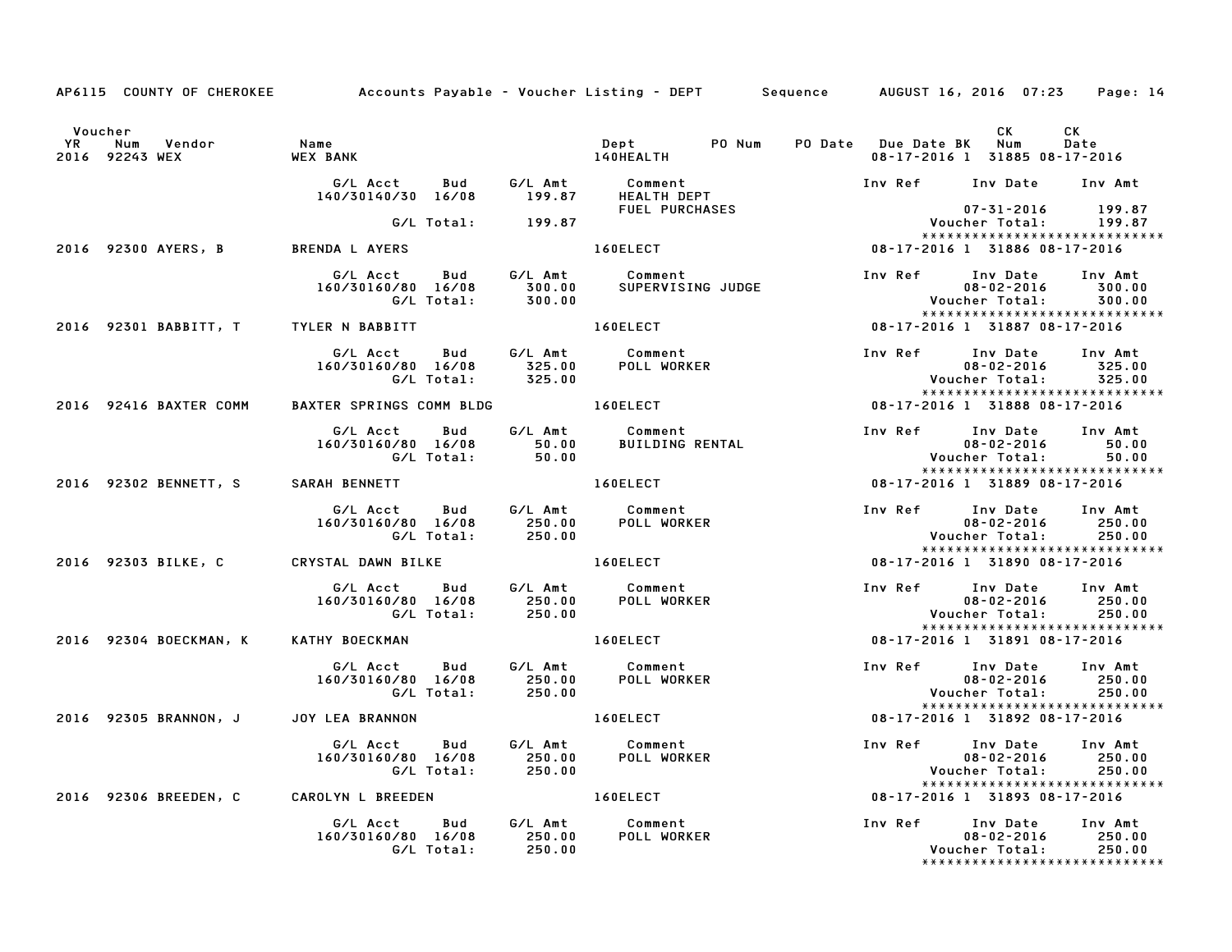|           |                                            | AP6115 COUNTY OF CHEROKEE Accounts Payable – Voucher Listing – DEPT Sequence AUGUST 16, 2016 07:23 Page: 14 |                         |                                                             |                                     |                  |                                                                              |                                                              |
|-----------|--------------------------------------------|-------------------------------------------------------------------------------------------------------------|-------------------------|-------------------------------------------------------------|-------------------------------------|------------------|------------------------------------------------------------------------------|--------------------------------------------------------------|
| <b>YR</b> | Voucher<br>Num<br>Vendor<br>2016 92243 WEX | Name<br><b>WEX BANK</b>                                                                                     |                         | Dept PO Num PO Date Due Date BK Num<br><b>140HEALTH</b>     |                                     |                  | CK<br>08-17-2016 1 31885 08-17-2016                                          | CK<br>Date                                                   |
|           |                                            |                                                                                                             |                         | FUEL PURCHASES                                              |                                     |                  | Inv Ref Inv Date Inv Amt                                                     |                                                              |
|           |                                            | G/L Total: 199.87                                                                                           |                         |                                                             |                                     |                  | 07-31-2016 - 07-31<br>199.87 - Voucher Total:                                |                                                              |
|           | 2016 92300 AYERS, B BRENDA L AYERS         |                                                                                                             |                         | 160ELECT                                                    | 08-17-2016 1 31886 08-17-2016       |                  |                                                                              | *****************************                                |
|           |                                            | 160/30160/80 16/08                                                                                          |                         |                                                             |                                     |                  | Inv Ref Inv Date Inv Amt<br>$08 - 02 - 2016$<br><b>Voucher Total:</b>        | 300.00<br>300.00                                             |
|           | 2016 92301 BABBITT, T TYLER N BABBITT      |                                                                                                             |                         | 160ELECT                                                    |                                     |                  | 08-17-2016 1 31887 08-17-2016                                                |                                                              |
|           |                                            | G/L Acct Bud G/L Amt Comment<br>160/30160/80 16/08<br>G/L Total: 325.00                                     | $\frac{325.00}{325.00}$ | POLL WORKER                                                 |                                     |                  | Inv Ref Inv Date<br>$08 - 02 - 2016$<br>Voucher Total: 325.00                | Inv Amt<br>325.00<br>*****************************           |
|           | 2016 92416 BAXTER COMM                     | BAXTER SPRINGS COMM BLDG 160ELECT                                                                           |                         |                                                             |                                     |                  | 08-17-2016 1 31888 08-17-2016                                                |                                                              |
|           |                                            | G/L Acct Bud<br>160/30160/80 16/08 50.00<br>G/L Total: 50.00                                                |                         | G/L Amt Comment<br>50.00 BUILDING<br><b>BUILDING RENTAL</b> |                                     | Inv Ref Inv Date | and point bate<br>08-02-2016<br>Voucher Total:                               | Inv Amt<br>50.00<br>50.00                                    |
|           |                                            | 2016 92302 BENNETT, S SARAH BENNETT                                                                         |                         | <b>160ELECT</b>                                             |                                     |                  | 08-17-2016 1 31889 08-17-2016                                                | *****************************                                |
|           |                                            | G/L Acct  Bud  G/L Amt  Comment<br>160/30160/80  16/08  250.00  POLL WORK<br>G/L Total:  250.00             |                         | <b>POLL WORKER</b>                                          |                                     |                  | Inv Ref Inv Date Inv Amt<br>$08 - 02 - 2016$ 250.00<br>Voucher Total: 250.00 | *****************************                                |
|           | 2016 92303 BILKE, C                        | CRYSTAL DAWN BILKE 160ELECT                                                                                 |                         |                                                             |                                     |                  | 08-17-2016 1 31890 08-17-2016                                                |                                                              |
|           |                                            | G/L Acct  Bud  G/L Amt  Comment<br>160/30160/80  16/08  250.00  POLL WORKER<br>G/L Total:  250.00           |                         |                                                             |                                     |                  | Inv Ref Inv Date Inv Amt<br>$08 - 02 - 2016$<br>Voucher Total:               | 250.00<br>250.00<br>******************************           |
|           | 2016 92304 BOECKMAN, K                     | KATHY BOECKMAN                                                                                              |                         | 160ELECT                                                    | $08 - 17 - 2016$ 1 31891 08-17-2016 |                  |                                                                              |                                                              |
|           |                                            | G/L Acct  Bud  G/L Amt  Comment<br>160/30160/80  16/08  250.00  POLL WORKE<br>G/L Total:                    | 250.00                  | POLL WORKER                                                 |                                     |                  | Inv Ref Inv Date Inv Amt<br>$08 - 02 - 2016$<br>Voucher Total: 250.00        | 250.00<br>*****************************                      |
|           | 2016 92305 BRANNON, J JOY LEA BRANNON      |                                                                                                             |                         | <b>160ELECT</b>                                             |                                     |                  | 08-17-2016 1 31892 08-17-2016                                                |                                                              |
|           |                                            | G/L Acct<br>Bud<br>160/30160/80 16/08                                                                       |                         | G/L Amt Comment<br>250.00 POLL WORKER                       |                                     | Inv Ref Inv Date | $08 - 02 - 2016$<br>Voucher Total:                                           | Inv Amt<br>250.00<br>250.00<br>***************************** |
|           |                                            | 2016 92306 BREEDEN, C CAROLYN L BREEDEN 160ELECT                                                            |                         |                                                             | 08-17-2016 1 31893 08-17-2016       |                  |                                                                              |                                                              |
|           |                                            | G/L Acct Bud G/L Amt Comment<br>160/30160/80 16/08 250.00 POLL WORKE<br>G/L Total: 250.00                   |                         | POLL WORKER                                                 |                                     |                  | Inv Ref Inv Date Inv Amt<br>$08 - 02 - 2016$<br>Voucher Total: 250.00        | 250.00<br>*****************************                      |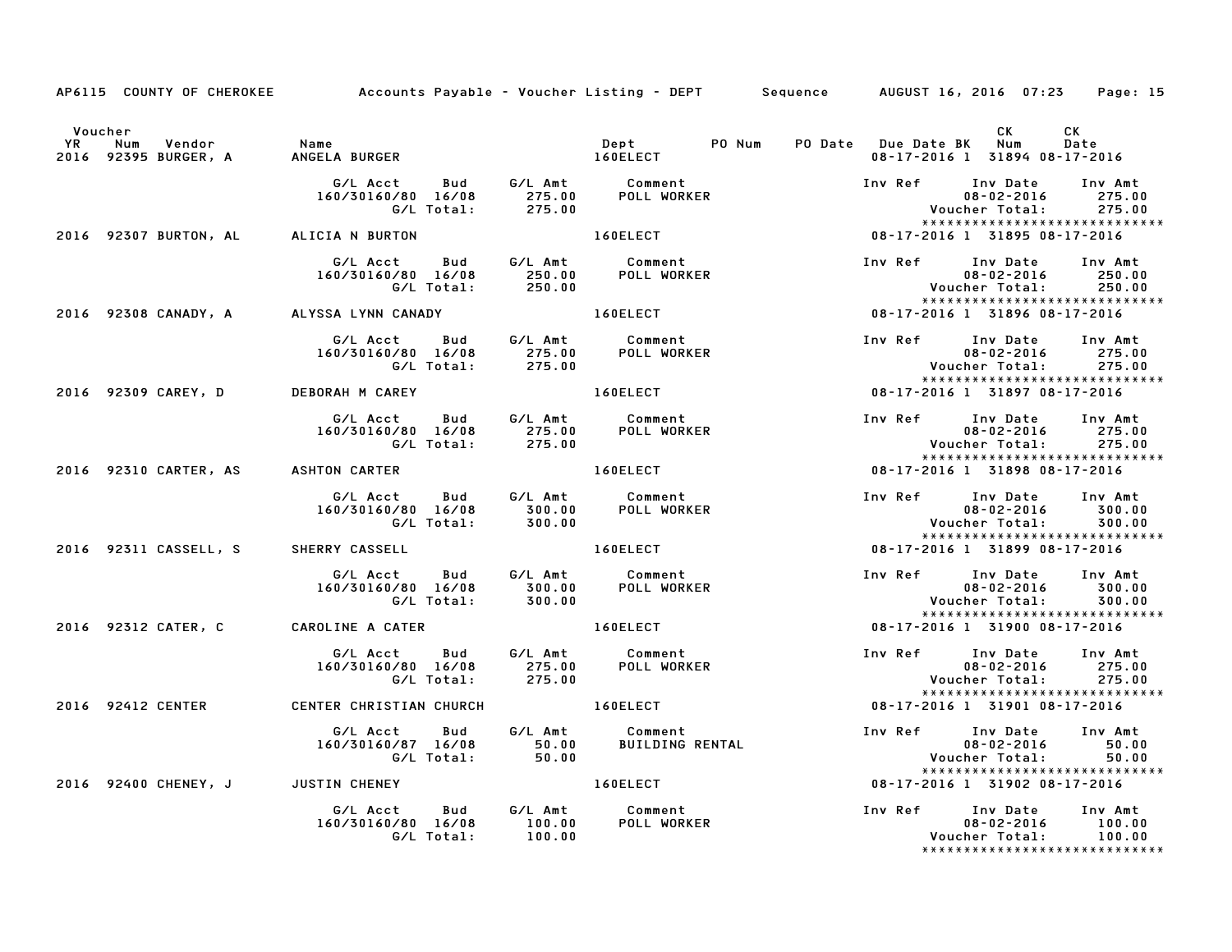| <b>YR</b> | Voucher<br>Vendor<br>Num<br>2016 92395 BURGER, A | <b>Name</b><br>ANGELA BURGER                                     |                             | Dept PO Num<br><b>160ELECT</b>                            | CK L<br>CK<br>PO Date Due Date BK Num<br>Date<br>08-17-2016 1 31894 08-17-2016                                             |
|-----------|--------------------------------------------------|------------------------------------------------------------------|-----------------------------|-----------------------------------------------------------|----------------------------------------------------------------------------------------------------------------------------|
|           |                                                  | G/L Acct<br><b>Bud</b><br>160/30160/80 16/08<br>G/L Total:       | 275.00<br>275.00            | G/L Amt Comment<br>275.00 POLL WORKE<br>POLL WORKER       | Inv Ref<br>Inv Date<br>Inv Amt<br>$08 - 02 - 2016$<br>275.00<br>Voucher Total:<br>275.00                                   |
|           | 2016 92307 BURTON, AL                            | ALICIA N BURTON                                                  |                             | 160ELECT                                                  | *****************************<br>08-17-2016 1 31895 08-17-2016                                                             |
|           |                                                  | G/L Acct Bud<br>160/30160/80 16/08<br>G/L Total:                 | 250.00<br>250.00            | G/L Amt Comment<br><b>POLL WORKER</b>                     | Inv Ref<br>Inv Date<br>Inv Amt<br>$08 - 02 - 2016$<br>250.00<br>Voucher Total:<br>250.00<br>*****************************  |
|           | 2016 92308 CANADY, A                             | ALYSSA LYNN CANADY                                               |                             | 160ELECT                                                  | 08-17-2016 1 31896 08-17-2016                                                                                              |
|           |                                                  | G/L Acct Bud G/L Amt Comment<br>160/30160/80 16/08<br>G/L Total: |                             |                                                           | Inv Ref Inv Date<br>Inv Amt<br>$08 - 02 - 2016$<br>275.00<br>275.00<br>Voucher Total:<br>*****************************     |
|           | 2016 92309 CAREY, D                              | DEBORAH M CAREY                                                  |                             | 160ELECT                                                  | 08-17-2016 1 31897 08-17-2016                                                                                              |
|           |                                                  | G/L Acct<br>Bud<br>160/30160/80 16/08<br>G/L Total:              | 275.00<br>275.00            | G/L Amt Comment<br><b>POLL WORKER</b>                     | Inv Ref Inv Date<br>Inv Amt<br>$08 - 02 - 2016$<br>275.00<br>Voucher Total:<br>275.00<br>*****************************     |
|           | 2016 92310 CARTER, AS                            | <b>ASHTON CARTER</b>                                             |                             | 160ELECT                                                  | 08-17-2016 1 31898 08-17-2016                                                                                              |
|           |                                                  | <b>Bud</b><br>G/L Acct<br>160/30160/80 16/08<br>G/L Total:       | G/L Amt<br>300.00<br>300.00 | Comment<br>POLL WORKER                                    | Inv Ref<br>Inv Date<br>Inv Amt<br>$08 - 02 - 2016$<br>300.00<br>Voucher Total:<br>300.00                                   |
|           | 2016 92311 CASSELL, S                            | <b>SHERRY CASSELL</b>                                            |                             | 160ELECT                                                  | *****************************<br>08-17-2016 1 31899 08-17-2016                                                             |
|           |                                                  | G/L Acct<br>Bud<br>160/30160/80 16/08<br>G/L Total:              | 300.00<br>300.00            | G/L Amt Comment<br>300.00 POLL WORK<br><b>POLL WORKER</b> | Inv Ref Inv Date<br>Inv Amt<br>$08 - 02 - 2016$<br>300.00<br>Voucher Total:<br>300.00                                      |
|           | 2016 92312 CATER, C                              | CAROLINE A CATER                                                 |                             | 160ELECT                                                  | *****************************<br>08-17-2016 1 31900 08-17-2016                                                             |
|           |                                                  | G/L Acct<br>Bud<br>160/30160/80 16/08<br>G/L Total:              | 275.00<br>275.00            | G/L Amt Comment<br><b>POLL WORKER</b>                     | Inv Ref<br>Inv Date<br>Inv Amt<br>$08 - 02 - 2016$<br>275.00<br>Voucher Total:<br>275.00<br>****************************** |
|           | 2016 92412 CENTER                                | CENTER CHRISTIAN CHURCH                                          |                             | <b>160ELECT</b>                                           | 08-17-2016 1 31901 08-17-2016                                                                                              |
|           |                                                  | G/L Acct Bud<br>160/30160/87 16/08<br>G/L Total:                 | G/L Amt<br>50.00<br>50.00   | Comment<br>BUILDING RENTAL                                | Inv Ref Inv Date<br>Inv Amt<br>08-02-2016<br>50.00<br>Voucher Total:<br>50.00                                              |
|           | 2016 92400 CHENEY, J JUSTIN CHENEY               |                                                                  |                             | <b>160ELECT</b>                                           | *****************************<br>08-17-2016 1 31902 08-17-2016                                                             |
|           |                                                  | G/L Acct<br>Bud<br>160/30160/80 16/08<br>G/L Total:              | G/L Amt<br>100.00<br>100.00 | Comment<br>POLL WORKER                                    | Inv Ref<br>Inv Date<br>Inv Amt<br>$08 - 02 - 2016$<br>100.00<br>Voucher Total:<br>100.00<br>****************************** |

AP6115 COUNTY OF CHEROKEE Accounts Payable - Voucher Listing - DEPT Sequence AUGUST 16, 2016 07:23 Page: 15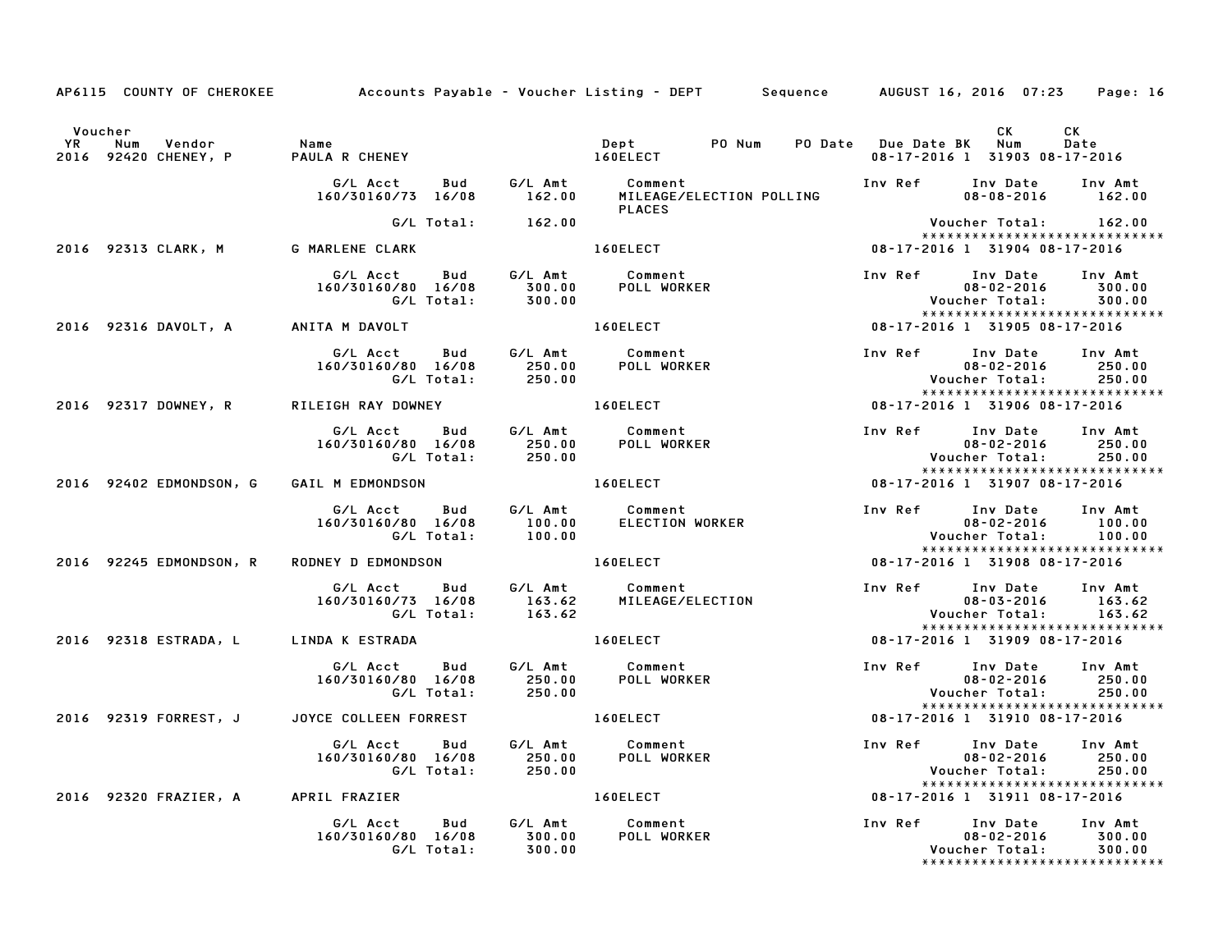|         |                                      | AP6115 COUNTY OF CHEROKEE Accounts Payable - Voucher Listing - DEPT Sequence AUGUST 16, 2016 07:23 Page: 16                                                                                                                   |                                                  |  |                                                                                                                                     |                             |
|---------|--------------------------------------|-------------------------------------------------------------------------------------------------------------------------------------------------------------------------------------------------------------------------------|--------------------------------------------------|--|-------------------------------------------------------------------------------------------------------------------------------------|-----------------------------|
| Voucher |                                      |                                                                                                                                                                                                                               |                                                  |  | CK .<br>08-17-2016 1 31903 08-17-2016                                                                                               | CK<br>Date                  |
|         |                                      |                                                                                                                                                                                                                               | <b>PLACES</b>                                    |  |                                                                                                                                     |                             |
|         |                                      | G/L Total: 162.00                                                                                                                                                                                                             |                                                  |  | Voucher Total: 162.00                                                                                                               |                             |
|         |                                      | 2016 92313 CLARK, M G MARLENE CLARK                                                                                                                                                                                           | 160ELECT                                         |  | *****************************<br>08-17-2016 1 31904 08-17-2016                                                                      |                             |
|         |                                      | G/L Acct  Bud  G/L Amt  Comment<br>160/30160/80  16/08  300.00  POLL WORKER<br>G/L Total:  300.00                                                                                                                             |                                                  |  | Inv Ref Inv Date Inv Amt<br>$08 - 02 - 2016$ 300.00<br>Voucher Total: 300.00                                                        |                             |
|         | 2016 92316 DAVOLT, A ANITA M DAVOLT  |                                                                                                                                                                                                                               |                                                  |  | *****************************                                                                                                       |                             |
|         |                                      |                                                                                                                                                                                                                               |                                                  |  | *****************************                                                                                                       |                             |
|         |                                      | 2016 92317 DOWNEY, R RILEIGH RAY DOWNEY                                                                                                                                                                                       | 160ELECT                                         |  | 1.1024 - 201011184 - 2010114<br>:*****************************<br>1916 -17-2016 -17-2016 -17-2016                                   |                             |
|         |                                      | G/L Acct Bud G/L Amt Comment<br>160/30160/80 16/08 250.00 POLL WORKER<br>G/L Total: 250.00                                                                                                                                    |                                                  |  | Inv Ref Inv Date<br>08-02-2016<br>Voucher Total:<br>********************<br><b>Voucher Total:</b><br>****************************** | Inv Amt<br>250.00<br>250.00 |
|         | 2016 92402 EDMONDSON, G              | GAIL M EDMONDSON 160ELECT 1909-17-2016 19907-08-17-2016                                                                                                                                                                       |                                                  |  |                                                                                                                                     |                             |
|         |                                      | G/L Acct  Bud  G/L Amt  Comment<br>160/30160/80  16/08  100.00  ELECTION  WORKER<br>G/L Total:  100.00                                                                                                                        |                                                  |  | Inv Ref Inv Date Inv Amt<br>$08 - 02 - 2016$ 100.00<br>*****************************                                                |                             |
|         | 2016 92245 EDMONDSON, R              | RODNEY D EDMONDSON 160ELECT                                                                                                                                                                                                   |                                                  |  | 08-17-2016 1 31908 08-17-2016                                                                                                       |                             |
|         |                                      | G/L Acct Bud G/L Amt Comment Inv Ref Inv Date Inv Amt<br>160/30160/73 16/08 163.62 MILEAGE/ELECTION 08-03-2016 163.62<br>163.62 Voucher Total: 163.62                                                                         |                                                  |  | 08-03-2016 163.62                                                                                                                   | 163.62                      |
|         | 2016 92318 ESTRADA, LLINDA K ESTRADA |                                                                                                                                                                                                                               | 160ELECT                                         |  | 08-17-2016 1 31909 08-17-2016                                                                                                       |                             |
|         |                                      | G/L Total: 250.00                                                                                                                                                                                                             |                                                  |  | Inv Ref Inv Date Inv Amt<br>$08 - 02 - 2016$ 250.00<br>Voucher Total: 250.00<br>*****************************                       |                             |
|         |                                      | ة 2016 92319 FORREST, J JOYCE COLLEEN FORREST و 160ELECT بالتابعية المستخدمة المستخدمة المستخدمة المستخدمة المستخدمة المستخدمة المستخدمة المستخدمة المستخدمة المستخدمة المستخدمة المستخدمة المستخدمة المستخدمة المستخدمة المس |                                                  |  |                                                                                                                                     |                             |
|         |                                      | G/L Acct Bud G/L Amt Comment<br>160/30160/80 16/08 250.00 POLL WORKER<br>G/L Total: 250.00                                                                                                                                    | $160ELECT$<br>$G/L \text{ Amt}$<br>$T = 0.8 - 1$ |  | Inv Ref       Inv Date     Inv Amt<br>08-02-2016            250.00<br>08-02-2016 250.00<br>cher Total: 250.00<br>Voucher Total:     | 250.00                      |
|         |                                      | 2016 92320 FRAZIER, A APRIL FRAZIER                                                                                                                                                                                           |                                                  |  | 08-17-2016 1 31911 08-17-2016                                                                                                       |                             |
|         |                                      | G/L Acct  Bud  G/L Amt  Comment<br>160/30160/80  16/08  300.00  POLL WORKE<br>G/L Total:  300.00                                                                                                                              | POLL WORKER                                      |  | Inv Ref Inv Date Inv Amt<br>$08 - 02 - 2016$<br>Voucher Total:<br>******************************                                    | 300.00<br>300.00            |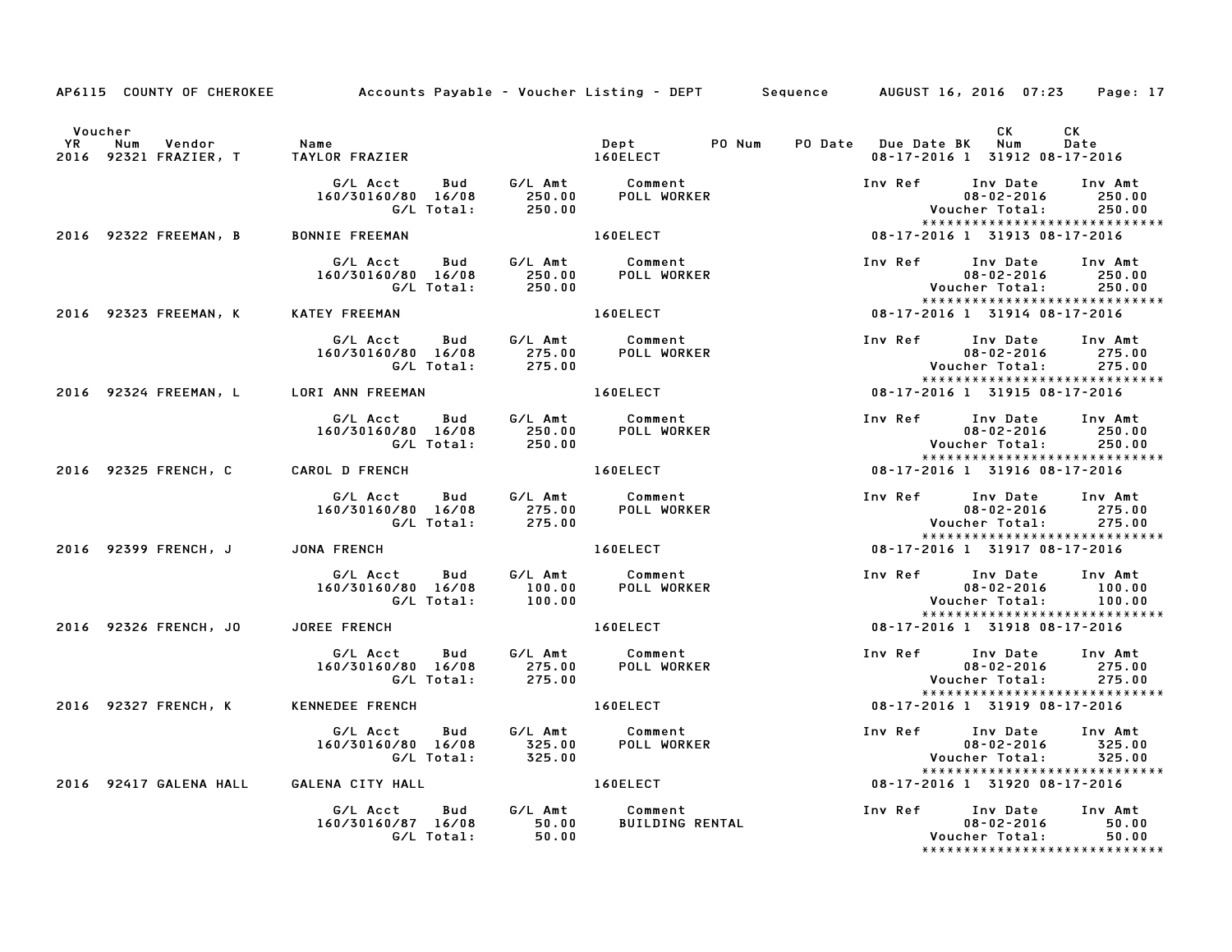|           |                                         | AP6115 COUNTY OF CHEROKEE Accounts Payable - Voucher Listing - DEPT Sequence AUGUST 16, 2016 07:23 Page: 17      |                  |                                           |                         |                                                                                                          |                             |
|-----------|-----------------------------------------|------------------------------------------------------------------------------------------------------------------|------------------|-------------------------------------------|-------------------------|----------------------------------------------------------------------------------------------------------|-----------------------------|
|           | Voucher                                 |                                                                                                                  |                  |                                           |                         | CK                                                                                                       | CK                          |
| <b>YR</b> | Vendor<br>Num                           | Name<br>2016 92321 FRAZIER, T TAYLOR FRAZIER 160ELECT                                                            |                  | Dept<br>PO Num                            | PO Date Due Date BK Num | 08-17-2016 1 31912 08-17-2016                                                                            | Date                        |
|           |                                         | G/LAcct Bud G/LAmt Comment<br>160/30160/80 16/08 250.00 POLLWORKER<br>G/LTotal: 250.00<br>160/30160/80 16/08     |                  |                                           | Inv Ref Inv Date        | $08 - 02 - 2016$<br>Voucher Total:<br>*****************************                                      | Inv Amt<br>250.00<br>250.00 |
|           | 2016 92322 FREEMAN, B BONNIE FREEMAN    |                                                                                                                  |                  | 160ELECT                                  |                         | 08-17-2016 1 31913 08-17-2016                                                                            |                             |
|           |                                         | G/L Acct Bud G/L Amt Comment<br>160/30160/80 16/08 250.00 POLL WORKER<br>60/80 16/08 250.00<br>G/L Total: 250.00 |                  |                                           | Inv Ref                 | Inv Date<br>$08 - 02 - 2016$<br>Voucher Total:<br>*****************************                          | Inv Amt<br>250.00<br>250.00 |
|           | 2016 92323 FREEMAN, K                   | KATEY FREEMAN                                                                                                    |                  | <b>160ELECT</b>                           |                         | 08-17-2016 1 31914 08-17-2016                                                                            |                             |
|           |                                         | G/L Acct Bud G/L Amt Comment<br>160/30160/80 16/08 275.00 POLL WORK<br>G/L Total: 275.00                         |                  | POLL WORKER                               |                         | Inv Ref Inv Date Inv Amt<br>$08 - 02 - 2016$<br>Voucher Total:<br>*****************************          | 275.00<br>275.00            |
|           | 2016 92324 FREEMAN, L LORI ANN FREEMAN  |                                                                                                                  |                  | 160ELECT                                  |                         | 08-17-2016 1 31915 08-17-2016                                                                            |                             |
|           |                                         | G/L Acct  Bud  G/L Amt  Comment<br>160/30160/80  16/08  250.00  POLL WORKER<br>G/L Total:  250.00                |                  |                                           |                         | Inv Ref Inv Date<br>$08 - 02 - 2016$<br>Voucher Total:<br>******************************                 | Inv Amt<br>250.00<br>250.00 |
|           | 2016 92325 FRENCH, C                    | <b>CAROL D FRENCH</b>                                                                                            |                  | 160ELECT                                  |                         | 08-17-2016 1 31916 08-17-2016                                                                            |                             |
|           |                                         | 160/30160/80 16/08                                                                                               |                  |                                           |                         | Inv Ref Inv Date<br>$08 - 02 - 2016$<br>Voucher Total:                                                   | Inv Amt<br>275.00<br>275.00 |
|           | 2016 92399 FRENCH, J                    | JONA FRENCH                                                                                                      |                  | 160ELECT                                  |                         | *****************************<br>***************************<br>1916–17-2016 17-2016 18-17-2016          |                             |
|           |                                         | G/LAcct Bud G/LAmt Comment<br>160/30160/80 16/08 100.00 POLLWORK!<br>160/30160/80 16/08<br>G/L Total:            | 100.00           | <b>POLL WORKER</b>                        |                         | Inv Ref Inv Date Inv Amt<br>$08 - 02 - 2016$<br>Voucher Total:<br>*****************************          | 100.00<br>100.00            |
|           | 2016 92326 FRENCH, JO JOREE FRENCH      |                                                                                                                  |                  | 160ELECT                                  |                         | 08-17-2016 1 31918 08-17-2016                                                                            |                             |
|           |                                         | G/L Acct   Bud<br>160/30160/80 16/08<br>G/L Total:                                                               | 275.00<br>275.00 | G/L Amt Comment<br>275.00 POLL WORKER     | Inv Ref Inv Date        | $08 - 02 - 2016$<br>Voucher Total:<br>*****************************                                      | Inv Amt<br>275.00<br>275.00 |
|           | 2016 92327 FRENCH, K                    | KENNEDEE FRENCH                                                                                                  |                  | 160ELECT                                  |                         | 08-17-2016 1 31919 08-17-2016                                                                            |                             |
|           |                                         | G/L Acct Bud<br>160/30160/80 16/08<br>G/L Total:                                                                 |                  | G/L Amt Comment                           |                         | Inv Ref Inv Date<br>$08 - 02 - 2016$<br>Voucher Total:                                                   | Inv Amt<br>325.00<br>325.00 |
|           | 2016 92417 GALENA HALL GALENA CITY HALL |                                                                                                                  |                  | <b>160ELECT</b>                           |                         | *****************************<br>08-17-2016 1 31920 08-17-2016                                           |                             |
|           |                                         | G/L Acct<br>Bud<br>160/30160/87 16/08<br>G/L Total:                                                              | 50.00<br>50.00   | G/L Amt Comment<br><b>BUILDING RENTAL</b> |                         | Inv Ref      Inv Date     Inv Amt<br>$08 - 02 - 2016$<br>Voucher Total:<br>***************************** | 50.00<br>50.00              |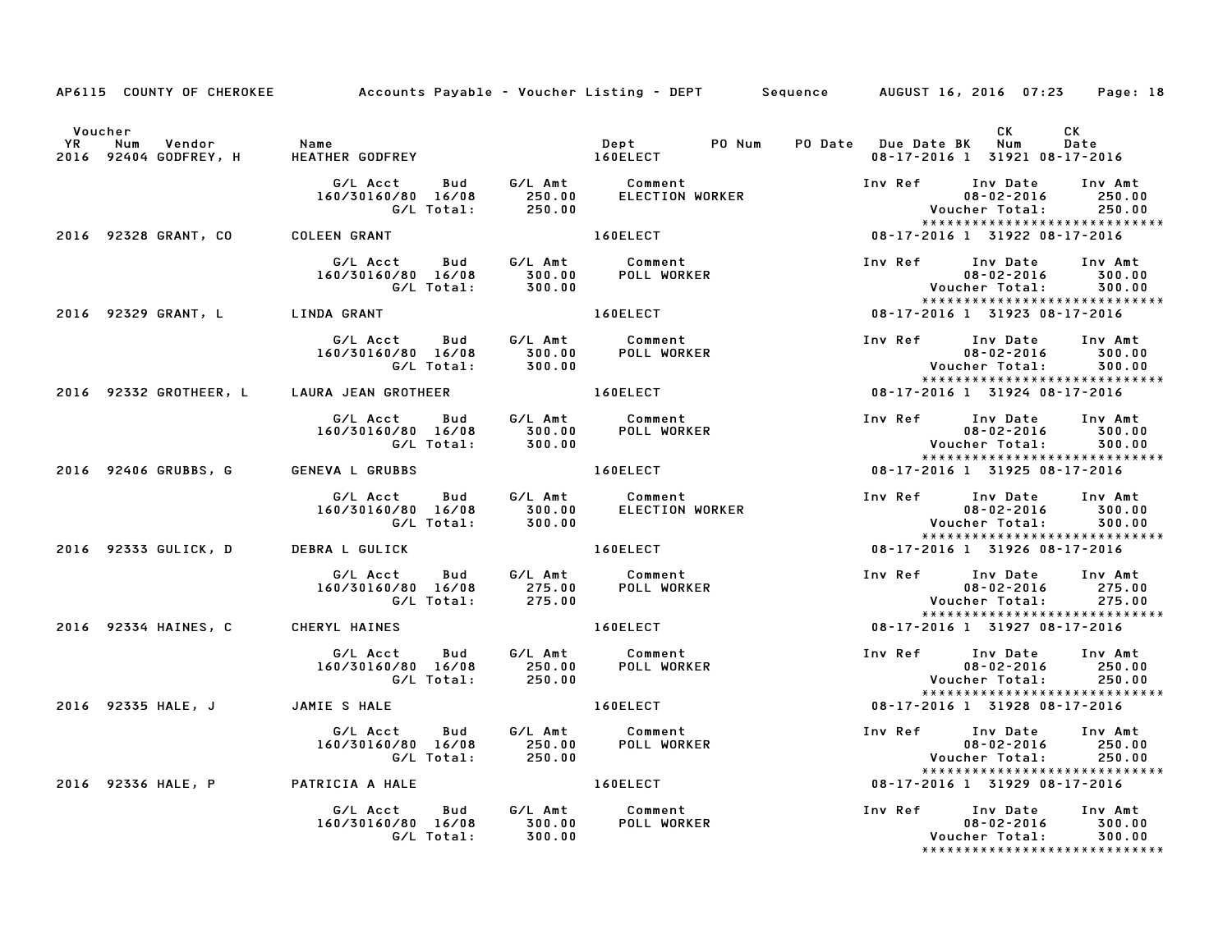|           |                                    | AP6115 COUNTY OF CHEROKEE Accounts Payable - Voucher Listing - DEPT Sequence AUGUST 16, 2016 07:23 Page: 18                                                           |                  |                                                                                                                |                         |                                                                                                        |                             |
|-----------|------------------------------------|-----------------------------------------------------------------------------------------------------------------------------------------------------------------------|------------------|----------------------------------------------------------------------------------------------------------------|-------------------------|--------------------------------------------------------------------------------------------------------|-----------------------------|
| <b>YR</b> | Voucher<br>Num                     | Name                                                                                                                                                                  |                  | Dept PO Num                                                                                                    |                         | CK                                                                                                     | CK<br>Date                  |
|           | Vendor<br>2016 92404 GODFREY, H    | HEATHER GODFREY 160ELECT                                                                                                                                              |                  |                                                                                                                | PO Date Due Date BK Num | 08-17-2016 1 31921 08-17-2016                                                                          |                             |
|           |                                    | 160/30160/80 16/08                                                                                                                                                    |                  | G/L Acct Bud G/L Amt Comment<br>160/30160/80 16/08 250.00 ELECTION WORKER<br>G/L Total: 250.00                 | Inv Ref Inv Date        | $08 - 02 - 2016$<br>Voucher Total:<br>*****************************                                    | Inv Amt<br>250.00<br>250.00 |
|           | 2016 92328 GRANT, CO               | <b>COLEEN GRANT</b>                                                                                                                                                   |                  | 160ELECT AND THE STATE OF THE STATE OF THE STATE OF THE STATE OF THE STATE OF THE STATE OF THE STATE OF THE ST |                         | 08-17-2016 1 31922 08-17-2016                                                                          |                             |
|           |                                    | G/L Acct Bud G/L Amt Comment<br>160/30160/80 16/08 300.00 POLL WORKER<br>160/30160/80 16/08<br>160/80     16/08             300.00<br>G/L  Total:              300.00 |                  |                                                                                                                | Inv Ref                 | Inv Date<br>$08 - 02 - 2016$<br>Voucher Total:<br>*****************************                        | Inv Amt<br>300.00<br>300.00 |
|           |                                    | 2016 92329 GRANT, L LINDA GRANT                                                                                                                                       |                  | 160ELECT                                                                                                       |                         | $08 - 17 - 2016$ 1 31923 08-17-2016                                                                    |                             |
|           |                                    | G/LAcct Bud G/LAmt Comment<br>160/30160/80 16/08 300.00 POLLWORK<br>G/LTotal: 300.00<br>160/30160/80 16/08                                                            |                  | POLL WORKER                                                                                                    |                         | Inv Ref Inv Date Inv Amt<br>$08 - 02 - 2016$<br>Voucher Total: 300.00<br>***************************** | 300.00                      |
|           |                                    | 2016 92332 GROTHEER, L LAURA JEAN GROTHEER                                                                                                                            |                  | 160ELECT                                                                                                       |                         | 08-17-2016 1 31924 08-17-2016                                                                          |                             |
|           |                                    | G/L Acct Bud G/L Amt Comment<br>160/30160/80 16/08 300.00 POLLWORKER<br>G/LTotal: 300.00                                                                              |                  |                                                                                                                |                         | Inv Ref      Inv Date<br>$08 - 02 - 2016$<br>Voucher Total:<br>******************************          | Inv Amt<br>300.00<br>300.00 |
|           | 2016 92406 GRUBBS, G               | <b>GENEVA L GRUBBS</b>                                                                                                                                                |                  | 160ELECT                                                                                                       |                         | 08-17-2016 1 31925 08-17-2016                                                                          |                             |
|           |                                    | 160/30160/80 16/08                                                                                                                                                    |                  |                                                                                                                |                         | Inv Ref Inv Date<br>$08 - 02 - 2016$<br>Voucher Total:                                                 | Inv Amt<br>300.00<br>300.00 |
|           | 2016 92333 GULICK, D               | <b>DEBRA L GULICK</b>                                                                                                                                                 |                  | 160ELECT                                                                                                       |                         | *****************************<br>08-17-2016 1 31926 08-17-2016                                         |                             |
|           |                                    | 160/30160/80 16/08<br>G/L Total:                                                                                                                                      | 275.00           | POLL WORKER                                                                                                    |                         | Inv Ref Inv Date Inv Amt<br>$08 - 02 - 2016$<br>Voucher Total: 275.00<br>***************************** | 275.00                      |
|           | 2016 92334 HAINES, C               | CHERYL HAINES                                                                                                                                                         |                  | 160ELECT                                                                                                       |                         | 08-17-2016 1 31927 08-17-2016                                                                          |                             |
|           |                                    | G/L Acct Bud<br>160/30160/80 16/08                                                                                                                                    |                  | Acct Bud G/LAmt Comment<br>160/80 16/08 250.00 POLLWORKER<br>G/LTotal: 250.00                                  | Inv Ref Inv Date        | $08 - 02 - 2016$<br>Voucher Total:<br>******************************                                   | Inv Amt<br>250.00<br>250.00 |
|           | 2016 92335 HALE, J                 | JAMIE S HALE                                                                                                                                                          |                  | 160ELECT                                                                                                       |                         | 08-17-2016 1 31928 08-17-2016                                                                          |                             |
|           |                                    | G/L Acct Bud<br>160/30160/80 16/08<br>G/L Total:                                                                                                                      |                  | G/L Amt Comment<br>250.00 POLL WORKER<br>250.00 POLL WORKER                                                    |                         | Inv Ref Inv Date<br>$08 - 02 - 2016$<br>Voucher Total:                                                 | Inv Amt<br>250.00<br>250.00 |
|           | 2016 92336 HALE, P PATRICIA A HALE |                                                                                                                                                                       |                  | <b>160ELECT</b>                                                                                                |                         | *****************************<br>08-17-2016 1 31929 08-17-2016                                         |                             |
|           |                                    | G/L Acct<br>160/30160/80 16/08<br>G/L Total:                                                                                                                          | 300.00<br>300.00 | Bud G/L Amt Comment<br>POLL WORKER                                                                             |                         | Inv Ref Inv Date<br>$08 - 02 - 2016$<br>Voucher Total:<br>*****************************                | Inv Amt<br>300.00<br>300.00 |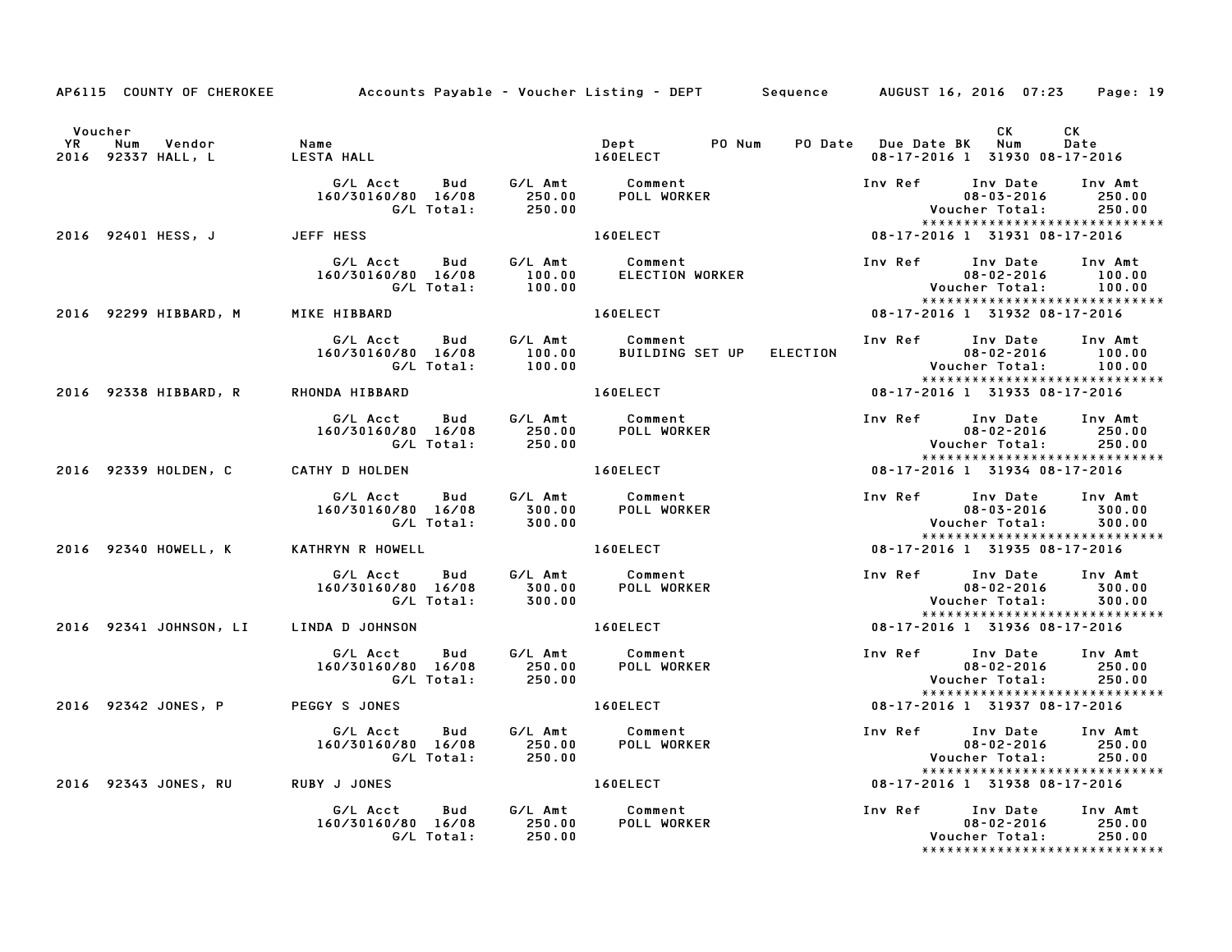|                      |                                     | AP6115 COUNTY OF CHEROKEE Accounts Payable - Voucher Listing - DEPT Sequence AUGUST 16, 2016 07:23 Page: 19                                  |                  |                                                                                                                |                                      |                                                                                                          |                             |
|----------------------|-------------------------------------|----------------------------------------------------------------------------------------------------------------------------------------------|------------------|----------------------------------------------------------------------------------------------------------------|--------------------------------------|----------------------------------------------------------------------------------------------------------|-----------------------------|
| Voucher<br><b>YR</b> | Num<br>Vendor<br>2016 92337 HALL, L |                                                                                                                                              |                  |                                                                                                                | PO Date Due Date BK Num              | <b>CK</b><br>08-17-2016 1 31930 08-17-2016                                                               | CK<br>Date                  |
|                      |                                     | G/L Acct  Bud  G/L Amt  Comment<br>160/30160/80  16/08  250.00  POLL WORKER<br>G/L Total:  250.00                                            |                  |                                                                                                                |                                      | Inv Ref      Inv Date     Inv Amt<br>$08 - 03 - 2016$<br>Voucher Total:<br>***************************** | 250.00<br>250.00            |
|                      | 2016 92401 HESS, J JEFF HESS        |                                                                                                                                              |                  | 160ELECT                                                                                                       |                                      | 08-17-2016 1 31931 08-17-2016                                                                            |                             |
|                      |                                     | G/L Acct Bud<br>160/30160/80 16/08<br>160/80 16/08 100.00<br>G/L Total: 100.00                                                               |                  | G/L Amt Comment<br>100.00 ELECTION WORKER                                                                      | Inv Ref Inv Date                     | $08 - 02 - 2016$<br>Voucher Total:<br>******************************                                     | Inv Amt<br>100.00<br>100.00 |
|                      |                                     | 2016 92299 HIBBARD, M MIKE HIBBARD                                                                                                           |                  | 160ELECT And The Second Second Second Second Second Second Second Second Second Second Second Second Second Se |                                      | 08-17-2016 1 31932 08-17-2016                                                                            |                             |
|                      |                                     | 160/30160/80 16/08                                                                                                                           |                  |                                                                                                                |                                      | Inv Ref Inv Date Inv Amt                                                                                 |                             |
|                      | 2016 92338 HIBBARD, R               | RHONDA HIBBARD                                                                                                                               |                  | <b>160ELECT</b>                                                                                                |                                      | 08-17-2016 1 31933 08-17-2016                                                                            |                             |
|                      |                                     | G/L Acct Bud G/L Amt Comment<br>160/80 16/08 250.00<br>G/L Total: 250.00<br>160/30160/80 16/08                                               |                  | POLL WORKER                                                                                                    |                                      | Inv Ref Inv Date Inv Amt<br>$08 - 02 - 2016$<br>Voucher Total:<br>*****************************          | 250.00<br>250.00            |
|                      | 2016 92339 HOLDEN, C                | <b>CATHY D HOLDEN</b>                                                                                                                        |                  | <b>160ELECT</b>                                                                                                |                                      | *************************<br>16-17-2016 1 31934 18-71-2016                                               |                             |
|                      |                                     | G/LAcct Bud G/LAmt Comment<br>160/30160/80 16/08   300.00   POLLWORKER<br>0/30160/80 16/08 300.00<br>G/L Total: 300.00<br>160/30160/80 16/08 |                  |                                                                                                                |                                      | Inv Ref Inv Date<br>$08 - 03 - 2016$<br>******************************                                   | Inv Amt<br>300.00<br>300.00 |
|                      | 2016 92340 HOWELL, K                | KATHRYN R HOWELL                                                                                                                             |                  | <b>Example 2016 160ELECT</b>                                                                                   |                                      |                                                                                                          |                             |
|                      |                                     | 160/30160/80 16/08<br>G/L Total:                                                                                                             | 300.00           |                                                                                                                |                                      | Inv Ref Inv Date Inv Amt<br>$08 - 02 - 2016$<br>Voucher Total: 300.00<br>*****************************   | 300.00                      |
|                      | 2016 92341 JOHNSON, LI              | LINDA D JOHNSON                                                                                                                              |                  | <b>160ELECT</b>                                                                                                |                                      | 08-17-2016 1 31936 08-17-2016                                                                            |                             |
|                      |                                     | G/L Acct Bud<br>160/30160/80 16/08<br>0160/80 16/08 250.00<br>G/L Total: 250.00                                                              |                  | G/L Amt Comment<br>250.00 POLL WORKER                                                                          | Inv Ref       Inv Date<br>08-02-2016 | $08 - 02 - 2016$<br>Voucher Total:<br>*****************************                                      | Inv Amt<br>250.00<br>250.00 |
|                      | 2016 92342 JONES, P                 | <b>PEGGY S JONES</b>                                                                                                                         |                  | 160ELECT                                                                                                       |                                      | 08-17-2016 1 31937 08-17-2016                                                                            |                             |
|                      |                                     | G/L Acct Bud G/L Amt Comment<br>160/30160/80 16/08<br>G/L Total:                                                                             | 250.00<br>250.00 | <b>POLL WORKER</b>                                                                                             |                                      | Inv Ref Inv Date Inv Amt<br>$08 - 02 - 2016$<br>Voucher Total:<br>*****************************          | 250.00<br>250.00            |
|                      | 2016 92343 JONES, RU                | <b>RUBY J JONES</b>                                                                                                                          |                  | 160ELECT THE                                                                                                   |                                      | 08-17-2016 1 31938 08-17-2016                                                                            |                             |
|                      |                                     | G/L Acct Bud<br>160/30160/80 16/08<br>G/L Total:                                                                                             | 250.00<br>250.00 | G/L Amt Comment<br>POLL WORKER                                                                                 | Inv Ref Inv Date                     | $08 - 02 - 2016$<br>Voucher Total:<br>******************************                                     | Inv Amt<br>250.00<br>250.00 |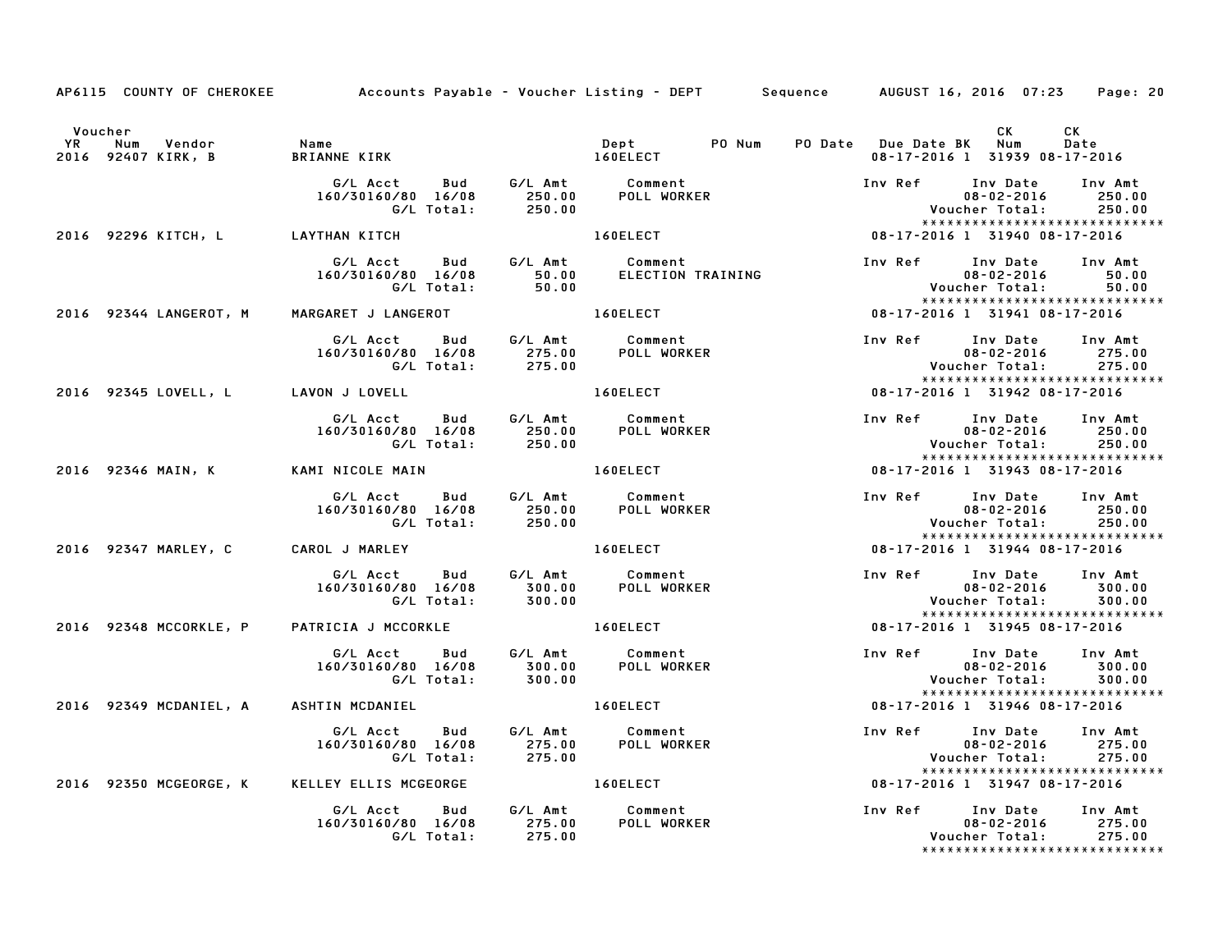|           |                                            | AP6115 COUNTY OF CHEROKEE Accounts Payable - Voucher Listing - DEPT Sequence AUGUST 16, 2016 07:23 Page: 20 |                              |                                                                            |  |                                                                                                                     |                             |
|-----------|--------------------------------------------|-------------------------------------------------------------------------------------------------------------|------------------------------|----------------------------------------------------------------------------|--|---------------------------------------------------------------------------------------------------------------------|-----------------------------|
|           | Voucher                                    |                                                                                                             |                              |                                                                            |  | <b>CK</b>                                                                                                           | CK                          |
| <b>YR</b> | Num Vendor<br>2016 92407 KIRK, B           | Name<br>BRIANN<br>BRIANNE KIRK 160ELECT                                                                     |                              | Dept PO Num PO Date Due Date BK Num                                        |  | 08-17-2016 1 31939 08-17-2016                                                                                       | Date                        |
|           |                                            | G/L Acct Bud G/L Amt Comment<br>160/30160/80 16/08 250.00 POLL WORKER<br>G/L Total: 250.00                  |                              |                                                                            |  | Inv Ref Inv Date<br>$08 - 02 - 2016$<br>Voucher Total:<br>*****************************                             | Inv Amt<br>250.00<br>250.00 |
|           | 2016 92296 KITCH, L LAYTHAN KITCH          |                                                                                                             |                              | 160ELECT                                                                   |  | 08-17-2016 1 31940 08-17-2016                                                                                       |                             |
|           |                                            | 60/80 16/08 50.00<br>G/L Total: 50.00                                                                       |                              | G/L Acct Bud G/L Amt Comment<br>160/30160/80 16/08 50.00 ELECTION TRAINING |  | Inv Ref Inv Date Inv Amt<br>08-02-2016<br>Voucher Total:<br>*****************************                           | 50.00<br>50.00              |
|           | 2016 92344 LANGEROT, M                     |                                                                                                             |                              |                                                                            |  | 08-17-2016 1 31941 08-17-2016                                                                                       |                             |
|           |                                            | G/L Acct  Bud  G/L Amt  Comment<br>160/30160/80  16/08  275.00  POLL WORK<br>G/L Total:  275.00             |                              | <b>POLL WORKER</b>                                                         |  | Inv Ref      Inv Date     Inv Amt<br>$08 - 02 - 2016$ 275.00<br>*****************************                       |                             |
|           | 2016 92345 LOVELL, L        LAVON J LOVELL |                                                                                                             |                              | <b>160ELECT</b>                                                            |  | 08-17-2016 1 31942 08-17-2016                                                                                       |                             |
|           |                                            | G/L Acct Bud G/L Amt Comment<br>160/30160/80 16/08 250.00 POLLWORKER<br>G/LTotal: 250.00                    |                              |                                                                            |  | Inv Ref      Inv Date     Inv Amt<br>$08 - 02 - 2016$<br>Voucher Total: 250.00<br>*****************************     | 250.00                      |
|           | 2016 92346 MAIN, K KAMI NICOLE MAIN        |                                                                                                             | <b>Example 2018</b> 160ELECT |                                                                            |  | $08-17-2016$ 1 31943 08-17-2016                                                                                     |                             |
|           |                                            | 160/30160/80 16/08                                                                                          |                              |                                                                            |  | Inv Ref Inv Date Inv Amt<br>$08 - 02 - 2016$<br>Voucher Total:                                                      | 250.00<br>250.00            |
|           | 2016 92347 MARLEY, C                       | <b>CAROL J MARLEY</b>                                                                                       |                              | 160ELECT                                                                   |  | .0du/voucner_lotal:/<br>*************************<br>08-17-2016 1 31944 08-17-2016<br>***************************** |                             |
|           |                                            | G/L Acct  Bud  G/L Amt  Comment<br>160/30160/80  16/08  300.00  POLL WORKER<br>G/L Total:                   | 300.00                       |                                                                            |  | Inv Ref Inv Date Inv Amt<br>$08 - 02 - 2016$<br>Voucher Total: 300.00<br>*****************************              | 300.00                      |
|           | 2016 92348 MCCORKLE, P                     | PATRICIA J MCCORKLE                                                                                         |                              | 160ELECT                                                                   |  | 08-17-2016 1 31945 08-17-2016                                                                                       |                             |
|           |                                            | G/L Acct Bud<br>160/30160/80 16/08<br>G/L Total:                                                            |                              | G/L Amt         Comment<br>300.00             POLL  WORKER<br>300.00       |  | Inv Ref Inv Date<br>$08 - 02 - 2016$<br>Voucher Total: 300.00<br>******************************                     | Inv Amt<br>300.00           |
|           | 2016 92349 MCDANIEL, A ASHTIN MCDANIEL     |                                                                                                             |                              | 160ELECT                                                                   |  | 08-17-2016 1 31946 08-17-2016                                                                                       |                             |
|           |                                            | G/L Acct Bud<br>160/30160/80 16/08<br>G/L Total:                                                            |                              | G/L Amt Comment<br>275.00 POLL WORKER<br>275.00 POLL WORKER                |  | Inv Ref Inv Date Inv Amt<br>08-02-2016 275.00<br>her Total: 275.00<br>Voucher Total:                                |                             |
|           |                                            | 2016 92350 MCGEORGE, K KELLEY ELLIS MCGEORGE 6 160ELECT                                                     |                              |                                                                            |  | *****************************<br>08-17-2016 1 31947 08-17-2016                                                      |                             |
|           |                                            | G/L Acct Bud G/L Amt Comment<br>160/30160/80 16/08<br>G/L Total: 275.00                                     | 275.00                       | POLL WORKER                                                                |  | Inv Ref      Inv Date     Inv Amt<br>$08 - 02 - 2016$<br>Voucher Total:<br>*****************************            | 275.00<br>275.00            |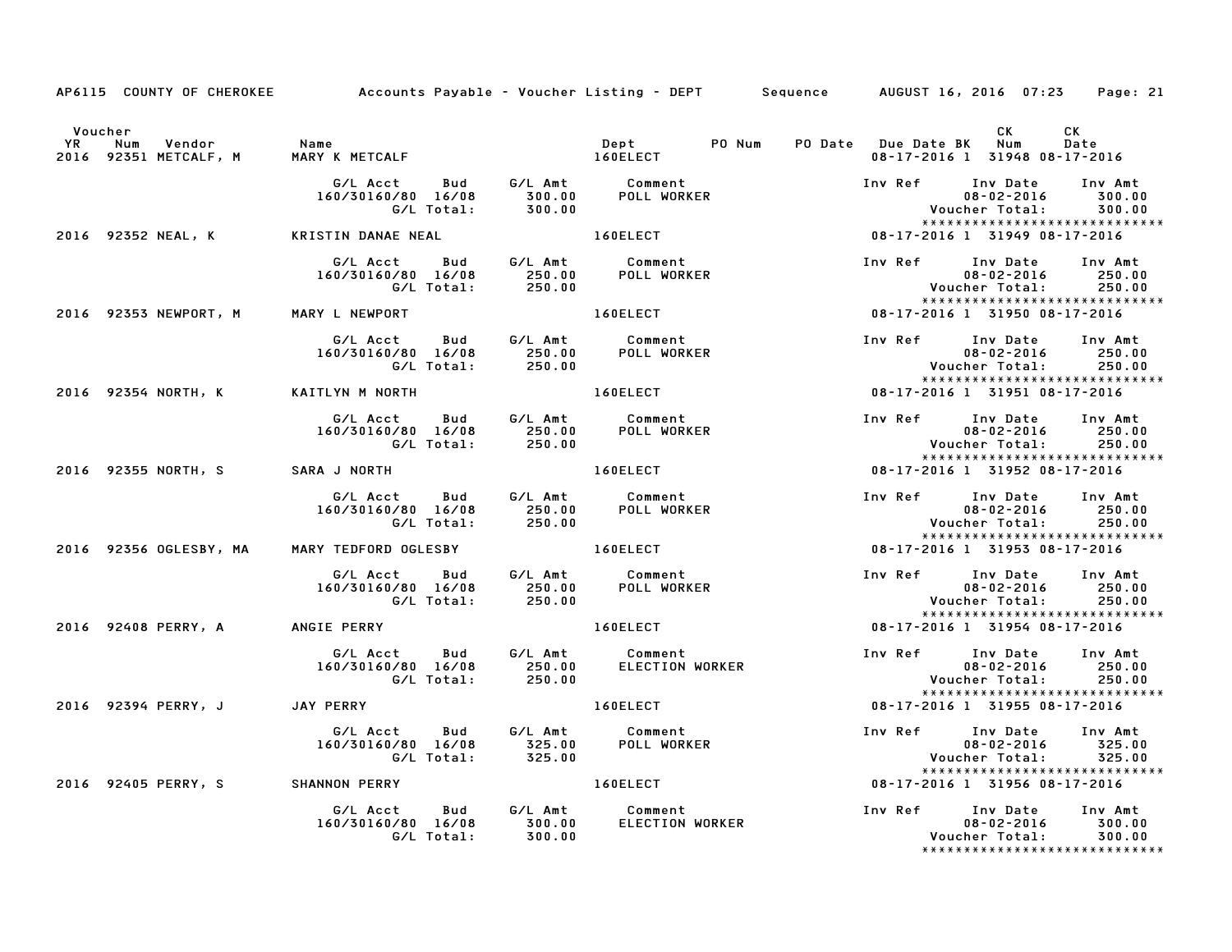|         |                                      | AP6115 COUNTY OF CHEROKEE Accounts Payable – Voucher Listing – DEPT Sequence AUGUST 16, 2016 07:23                  |                  |                                                                                                                                                                                                                                |                         |                                                                                                              | Page: 21                    |
|---------|--------------------------------------|---------------------------------------------------------------------------------------------------------------------|------------------|--------------------------------------------------------------------------------------------------------------------------------------------------------------------------------------------------------------------------------|-------------------------|--------------------------------------------------------------------------------------------------------------|-----------------------------|
| Voucher |                                      |                                                                                                                     |                  |                                                                                                                                                                                                                                | PO Date Due Date BK Num | CK .<br>08-17-2016 1 31948 08-17-2016                                                                        | CK<br>Date                  |
|         |                                      | G/L Acct Bud G/L Amt Comment<br>160/30160/80 16/08 300.00 POLL WORKER<br>G/L Total: 300.00                          | 300.00           | 0<br>160ELECT<br>2002                                                                                                                                                                                                          |                         | Inv Ref Inv Date Inv Amt<br>$08 - 02 - 2016$<br>Voucher Total: 300.00<br>*****************************       | 300.00                      |
|         |                                      | 2016 92352 NEAL, K KRISTIN DANAE NEAL                                                                               |                  |                                                                                                                                                                                                                                |                         | 08-17-2016 1 31949 08-17-2016                                                                                |                             |
|         |                                      | G/L Acct Bud G/L Amt Comment<br>160/30160/80 16/08 250.00 POLL WORKER<br>G/L Total: 250.00                          |                  |                                                                                                                                                                                                                                |                         | Inv Ref Inv Date<br>$08 - 02 - 2016$<br>Voucher Total:<br>******************************                     | Inv Amt<br>250.00<br>250.00 |
|         | 2016 92353 NEWPORT, M MARY L NEWPORT |                                                                                                                     |                  | 160ELECT                                                                                                                                                                                                                       |                         | 08-17-2016 1 31950 08-17-2016                                                                                |                             |
|         |                                      | G/L Acct Bud G/L Amt Comment<br>160/30160/80 16/08 250.00 POLL WORKER<br>G/L Total: 250.00                          |                  |                                                                                                                                                                                                                                |                         | Inv Ref Inv Date Inv Amt<br>******************************                                                   |                             |
|         | 2016 92354 NORTH, K KAITLYN M NORTH  |                                                                                                                     |                  | 160ELECT                                                                                                                                                                                                                       |                         | 08-17-2016 1 31951 08-17-2016                                                                                |                             |
|         |                                      | G/L Acct Bud G/L Amt Comment<br>160/30160/80 16/08 250.00 POLL WORKER<br>G/L Total: 250.00 POLL WORKER              |                  |                                                                                                                                                                                                                                |                         | *****************************                                                                                |                             |
|         |                                      | 2016 92355 NORTH, S SARA J NORTH                                                                                    |                  | 160ELECT                                                                                                                                                                                                                       |                         | 08-17-2016 1 31952 08-17-2016                                                                                |                             |
|         |                                      | 160/30160/80 16/08                                                                                                  |                  |                                                                                                                                                                                                                                |                         | Inv Ref Inv Date<br>$08 - 02 - 2016$<br>Voucher Total: 250.00<br>******************************              | Inv Amt<br>250.00           |
|         | 2016 92356 OGLESBY, MA               | MARY TEDFORD OGLESBY 160ELECT                                                                                       |                  |                                                                                                                                                                                                                                |                         | 08-17-2016 1 31953 08-17-2016                                                                                |                             |
|         |                                      | G/L Acct  Bud  G/L Amt  Comment<br>160/30160/80  16/08  250.00  POLL WORKER<br>G/L Total:  250.00                   |                  |                                                                                                                                                                                                                                |                         | Inv Ref Inv Date Inv Amt<br>*****************************                                                    |                             |
|         | 2016 92408 PERRY, A                  | ANGIE PERRY                                                                                                         |                  | 160ELECT                                                                                                                                                                                                                       |                         | 08-17-2016 1 31954 08-17-2016                                                                                |                             |
|         |                                      | G/L Acct Bud G/L Amt Comment<br>160/30160/80 16/08 250.00 ELECTION WORKER<br>G/L Total: 250.00                      |                  |                                                                                                                                                                                                                                |                         | Inv Ref Inv Date Inv Amt<br>$08 - 02 - 2016$ 250.00<br><b>Voucher Total:</b>                                 | 250.00                      |
|         | 2016 92394 PERRY, J JAY PERRY        |                                                                                                                     |                  | 160ELECT AND THE RESIDENCE OF A STRUCK AND THE RESIDENCE OF A STRUCK OF A STRUCK OF A STRUCK OF A STRUCK OF A STRUCK OF A STRUCK OF A STRUCK OF A STRUCK OF A STRUCK OF A STRUCK OF A STRUCK OF A STRUCK OF A STRUCK OF A STRU |                         | *****************************<br>08-17-2016 1 31955 08-17-2016                                               |                             |
|         |                                      | G/L Acct Bud<br>Acct Bud G/LAmt Comment<br>160/80 16/08 325.00 POLLWORKER<br>G/LTotal: 325.00<br>160/30160/80 16/08 |                  |                                                                                                                                                                                                                                |                         | Inv Ref Inv Date<br>08-02-2016<br>$08 - 02 - 2016$<br>Voucher Total: 325.00<br>***************************** | Inv Amt<br>325.00           |
|         |                                      | 2016 92405 PERRY, S SHANNON PERRY                                                                                   |                  | 160ELECT 08-17-2016 1 31956 08-17-2016                                                                                                                                                                                         |                         |                                                                                                              |                             |
|         |                                      | G/L Acct Bud G/L Amt Comment<br>160/30160/80 16/08<br>G/L Total:                                                    | 300.00<br>300.00 | ELECTION WORKER                                                                                                                                                                                                                |                         | Inv Ref Inv Date Inv Amt<br>08-02-2016 300.00<br>Voucher Total: 300.00                                       |                             |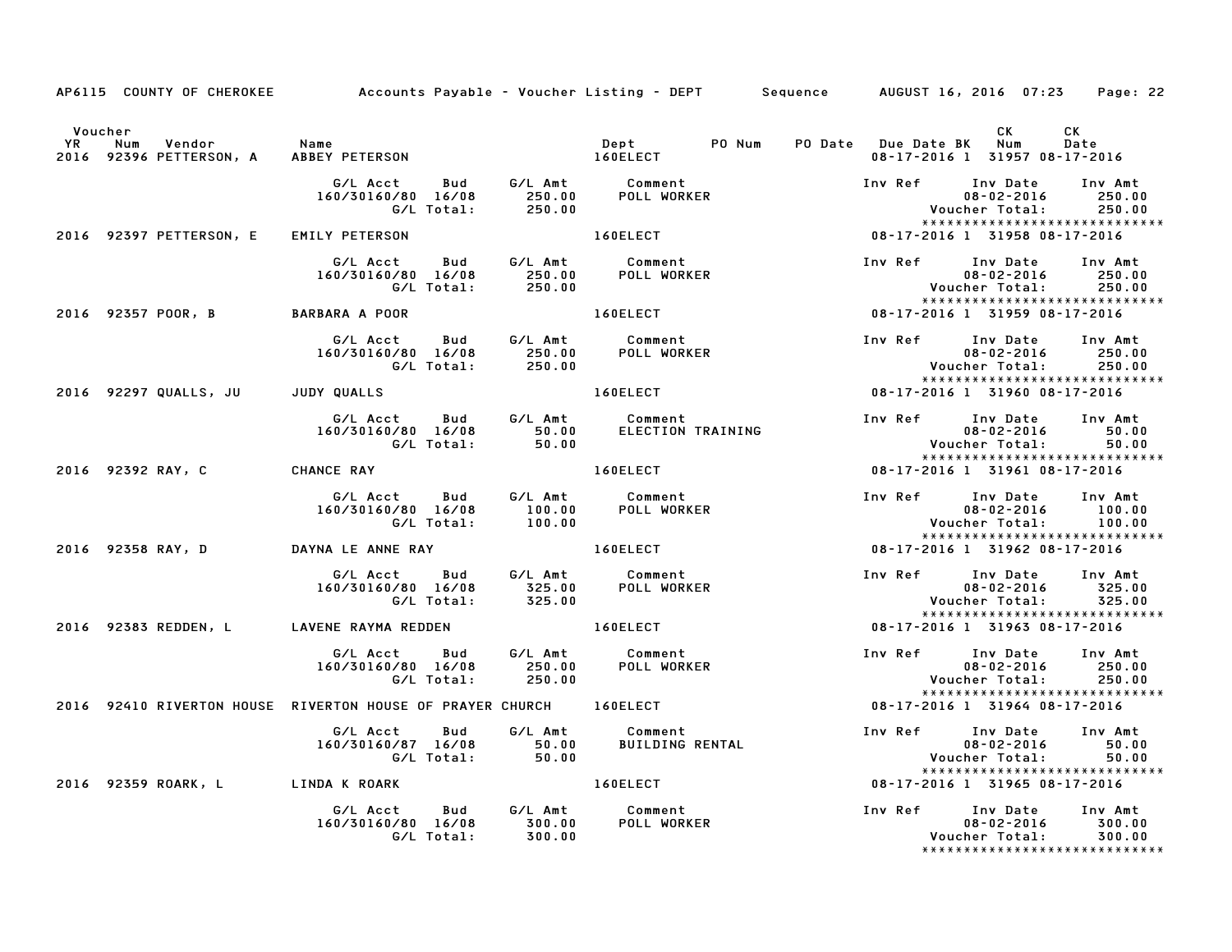|    | AP6115 COUNTY OF CHEROKEE                | Accounts Payable – Voucher Listing – DEPT         Sequence       AUGUST 16, 2016  07:23 |                                 |                                                               |                         |                                                                                         | Page: 22                    |
|----|------------------------------------------|-----------------------------------------------------------------------------------------|---------------------------------|---------------------------------------------------------------|-------------------------|-----------------------------------------------------------------------------------------|-----------------------------|
|    | Voucher                                  |                                                                                         |                                 |                                                               |                         | CK                                                                                      | CK.                         |
| YR | Vendor<br>Num<br>2016 92396 PETTERSON, A | Name<br>ABBEY PETERSON                                                                  |                                 | Dept<br>PO Num<br>160ELECT                                    | PO Date Due Date BK Num | 08-17-2016 1 31957 08-17-2016                                                           | Date                        |
|    |                                          | G/L Acct<br>160/30160/80 16/08<br>G/L Total:                                            | 250.00                          | Bud G/LAmt Comment<br>16/08 250.00 POLLWORKER<br>otal: 250.00 | Inv Ref Inv Date        | $08 - 02 - 2016$<br>Voucher Total:<br>*****************************                     | Inv Amt<br>250.00<br>250.00 |
|    | 2016 92397 PETTERSON, E                  | <b>EMILY PETERSON</b>                                                                   |                                 | 160ELECT                                                      |                         | 08-17-2016 1 31958 08-17-2016                                                           |                             |
|    |                                          | G/L Acct<br>160/30160/80 16/08<br>G/L Total:                                            | Bud G/L Amt<br>250.00<br>250.00 | Comment<br>POLL WORKER                                        | Inv Ref                 | Inv Date<br>$08 - 02 - 2016$<br>Voucher Total:<br>*****************************         | Inv Amt<br>250.00<br>250.00 |
|    | 2016 92357 POOR, B                       | <b>BARBARA A POOR</b>                                                                   |                                 | 160ELECT                                                      |                         | 08-17-2016 1 31959 08-17-2016                                                           |                             |
|    |                                          | G/L Acct<br>160/30160/80 16/08<br>G/L Total:                                            | 250.00<br>250.00                | Bud G/L Amt Comment<br>POLL WORKER                            | Inv Ref                 | Inv Date Inv Amt<br>$08 - 02 - 2016$<br>Voucher Total:<br>***************************** | 250.00<br>250.00            |
|    | 2016 92297 QUALLS, JU                    | JUDY QUALLS                                                                             |                                 | 160ELECT                                                      |                         | 08-17-2016 1 31960 08-17-2016                                                           |                             |
|    |                                          | G/L Acct Bud<br>160/30160/80 16/08<br>G/L Total:                                        | G/L Amt<br>50.00<br>50.00       | Comment<br>ELECTION TRAINING                                  | Inv Ref                 | Inv Date<br>$08 - 02 - 2016$<br>Voucher Total:<br>******************************        | Inv Amt<br>50.00<br>50.00   |
|    | 2016 92392 RAY, C                        | <b>CHANCE RAY</b>                                                                       |                                 | 160ELECT                                                      |                         | 08-17-2016 1 31961 08-17-2016                                                           |                             |
|    |                                          | G/L Acct Bud<br>160/30160/80 16/08<br>G/L Total:                                        | G/L Amt<br>100.00<br>100.00     | Comment<br>POLL WORKER                                        | Inv Ref                 | Inv Date<br>$08 - 02 - 2016$<br>Voucher Total:<br>*****************************         | Inv Amt<br>100.00<br>100.00 |
|    | 2016 92358 RAY, D                        | DAYNA LE ANNE RAY                                                                       |                                 | 160ELECT                                                      |                         | 08-17-2016 1 31962 08-17-2016                                                           |                             |
|    |                                          | G/L Acct<br>160/30160/80 16/08<br>G/L Total:                                            | 325.00                          | <b>POLL WORKER</b>                                            | Inv Ref Inv Date        | $08 - 02 - 2016$<br>Voucher Total:<br>*****************************                     | Inv Amt<br>325.00<br>325.00 |
|    |                                          | 2016 92383 REDDEN, L LAVENE RAYMA REDDEN                                                |                                 | 160ELECT                                                      |                         | 08-17-2016 1 31963 08-17-2016                                                           |                             |
|    |                                          | G/L Acct<br>Bud<br>160/30160/80 16/08<br>G/L Total:                                     | G/L Amt<br>250.00<br>250.00     | Comment<br>POLL WORKER                                        | Inv Ref Inv Date        | $08 - 02 - 2016$<br>Voucher Total:<br>*****************************                     | Inv Amt<br>250.00<br>250.00 |
|    |                                          | 2016 92410 RIVERTON HOUSE RIVERTON HOUSE OF PRAYER CHURCH 160ELECT                      |                                 |                                                               |                         | 08-17-2016 1 31964 08-17-2016                                                           |                             |
|    |                                          | G/L Acct<br>Bud<br>160/30160/87 16/08<br>G/L Total:                                     | G/L Amt<br>$50.00$<br>50.00     | Comment<br><b>BUILDING RENTAL</b>                             | Inv Ref                 | Inv Date<br>$08 - 02 - 2016$<br>Voucher Total:                                          | Inv Amt<br>50.00<br>50.00   |
|    | 2016 92359 ROARK, L                      | LINDA K ROARK                                                                           |                                 | <b>160ELECT</b>                                               |                         | *****************************<br>08-17-2016 1 31965 08-17-2016                          |                             |
|    |                                          | G/L Acct<br>Bud<br>160/30160/80 16/08<br>G/L Total:                                     | G/L Amt<br>300.00<br>300.00     | Comment<br>POLL WORKER                                        | Inv Ref                 | Inv Date<br>$08 - 02 - 2016$<br>Voucher Total:<br>*****************************         | Inv Amt<br>300.00<br>300.00 |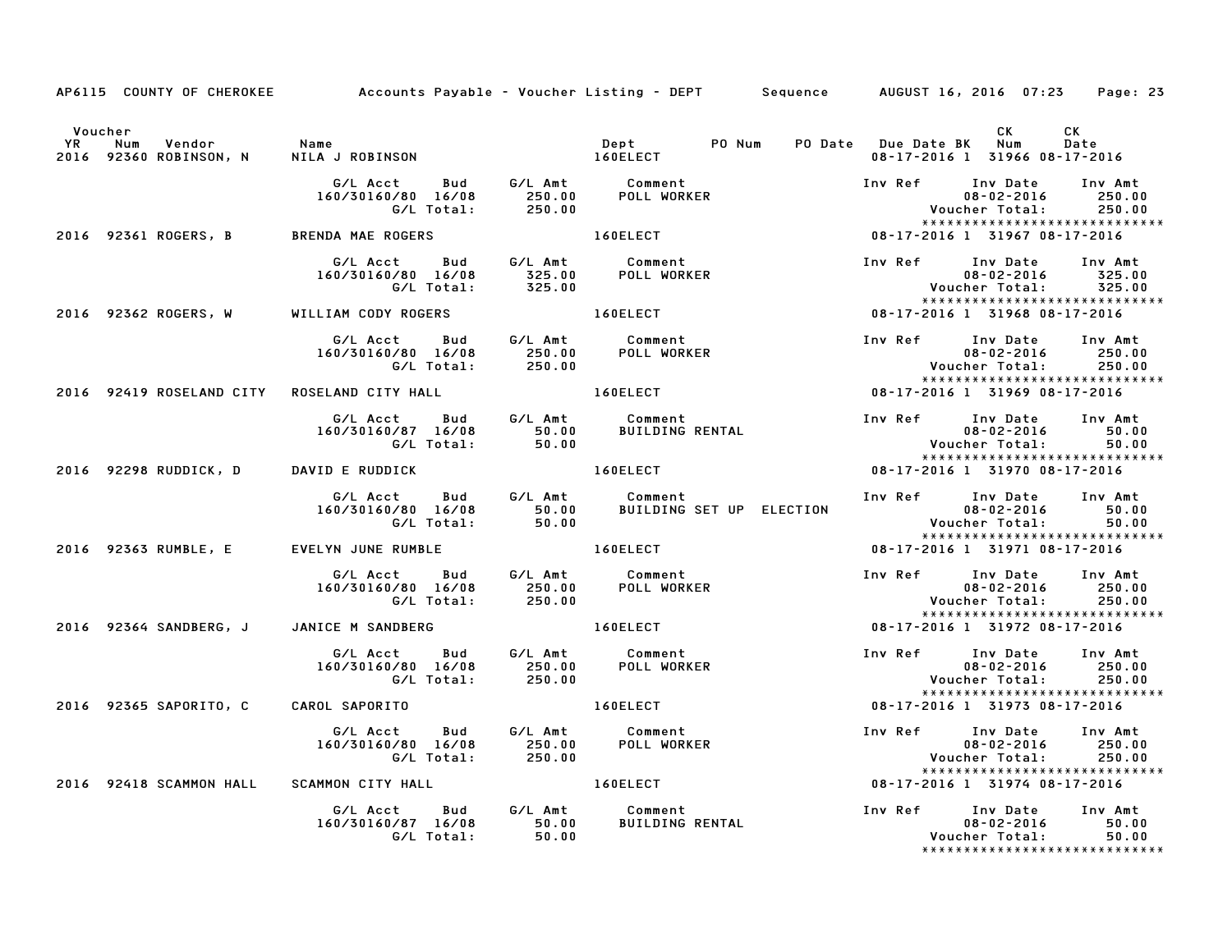|           |                                       | AP6115 COUNTY OF CHEROKEE Accounts Payable – Voucher Listing – DEPT Sequence AUGUST 16, 2016 07:23 Page: 23 |                              |                                                                                                                                                                                                                                |                         |                                                                                                               |                             |
|-----------|---------------------------------------|-------------------------------------------------------------------------------------------------------------|------------------------------|--------------------------------------------------------------------------------------------------------------------------------------------------------------------------------------------------------------------------------|-------------------------|---------------------------------------------------------------------------------------------------------------|-----------------------------|
| <b>YR</b> | Voucher<br>Vendor Name<br>Num         |                                                                                                             |                              | Dept PO Num                                                                                                                                                                                                                    | PO Date Due Date BK Num | CK                                                                                                            | CK<br>Date                  |
|           | 2016 92360 ROBINSON, N                | NILA J ROBINSON 160ELECT                                                                                    |                              |                                                                                                                                                                                                                                |                         | 08-17-2016 1 31966 08-17-2016                                                                                 |                             |
|           |                                       | G/L Acct  Bud  G/L Amt  Comment<br>160/30160/80  16/08  250.00  POLL WORKER<br>G/L Total:  250.00           |                              |                                                                                                                                                                                                                                |                         | Inv Ref Inv Date<br>$08 - 02 - 2016$<br>Voucher Total:<br>*****************************                       | Inv Amt<br>250.00<br>250.00 |
|           |                                       | 2016 92361 ROGERS, B BRENDA MAE ROGERS                                                                      |                              | 160ELECT NOTES                                                                                                                                                                                                                 |                         | 08-17-2016 1 31967 08-17-2016                                                                                 |                             |
|           |                                       | G/L Acct  Bud  G/L Amt  Comment<br>160/30160/80  16/08  325.00  POLL WORKER                                 |                              |                                                                                                                                                                                                                                | Inv Ref                 | Inv Date Inv Amt<br>$08 - 02 - 2016$<br><b>Voucher Total:</b><br>*****************************                | 325.00<br>325.00            |
|           | 2016 92362 ROGERS, W                  | WILLIAM CODY ROGERS 160ELECT                                                                                |                              |                                                                                                                                                                                                                                |                         |                                                                                                               |                             |
|           |                                       | G/L Acct  Bud  G/L Amt  Comment<br>160/30160/80  16/08  250.00  POLL WORKER<br>G/L Total:  250.00           |                              |                                                                                                                                                                                                                                |                         | Inv Ref Inv Date Inv Amt<br>$08 - 02 - 2016$ 250.00<br>Voucher Total: 250.00<br>***************************** |                             |
|           |                                       | 2016 92419 ROSELAND CITY ROSELAND CITY HALL                                                                 |                              |                                                                                                                                                                                                                                |                         | 08-17-2016 1 31969 08-17-2016                                                                                 |                             |
|           |                                       |                                                                                                             |                              |                                                                                                                                                                                                                                |                         | Inv Ref      Inv Date     Inv Amt<br>08-02-2016<br>Voucher Total: 50.00<br>*****************************      | 50.00                       |
|           | 2016 92298 RUDDICK, D DAVID E RUDDICK |                                                                                                             | <b>Example 2018 160ELECT</b> |                                                                                                                                                                                                                                |                         | 08-17-2016 1 31970 08-17-2016                                                                                 |                             |
|           |                                       | 160/30160/80 16/08                                                                                          |                              |                                                                                                                                                                                                                                |                         | Inv Ref Inv Date Inv Amt<br>01.00 02-2016 08-02<br>150.00 Voucher Total:<br>*****************************     |                             |
|           | 2016 92363 RUMBLE, E                  | EVELYN JUNE RUMBLE 160ELECT                                                                                 |                              |                                                                                                                                                                                                                                |                         | 08-17-2016 1 31971 08-17-2016                                                                                 |                             |
|           |                                       | G/L Acct Bud G/L Amt Comment<br>160/30160/80 16/08 250.00 POLL WORKER<br>G/L Total:                         | 250.00                       |                                                                                                                                                                                                                                |                         | Inv Ref Inv Date Inv Amt<br>$08 - 02 - 2016$<br>Voucher Total: 250.00<br>*****************************        | 250.00                      |
|           | 2016 92364 SANDBERG, J                | JANICE M SANDBERG                                                                                           |                              | <b>160ELECT</b>                                                                                                                                                                                                                |                         | 08-17-2016 1 31972 08-17-2016                                                                                 |                             |
|           |                                       |                                                                                                             |                              |                                                                                                                                                                                                                                |                         | Inv Ref Inv Date<br>08-02-2016<br>$08 - 02 - 2016$<br>Voucher Total:<br>******************************        | Inv Amt<br>250.00<br>250.00 |
|           | 2016 92365 SAPORITO, C                | CAROL SAPORITO                                                                                              |                              | 160ELECT AND THE RESIDENCE OF A STRUCK AND THE RESIDENCE OF A STRUCK OF A STRUCK OF A STRUCK OF A STRUCK OF A STRUCK OF A STRUCK OF A STRUCK OF A STRUCK OF A STRUCK OF A STRUCK OF A STRUCK OF A STRUCK OF A STRUCK OF A STRU |                         | 08-17-2016 1 31973 08-17-2016                                                                                 |                             |
|           |                                       | G/L Acct Bud<br>160/30160/80 16/08                                                                          |                              | G/L Amt Comment<br>است بالسنة 16/08 - 16/08<br>160/80 16/08 - 250.00 POLL WORKER<br>167 - 250.00 POLL WORKER                                                                                                                   |                         | Inv Ref Inv Date<br>$08 - 02 - 2016$<br>Voucher Total:                                                        | Inv Amt<br>250.00<br>250.00 |
|           |                                       | 2016 92418 SCAMMON HALL SCAMMON CITY HALL <b>160ELECT</b>                                                   |                              |                                                                                                                                                                                                                                |                         | *****************************<br>08-17-2016 1 31974 08-17-2016                                                |                             |
|           |                                       | G/L Acct<br>9 50.00 50.00 50.00 50.00<br>6/L Total: 50.00<br>160/30160/87 16/08                             |                              | Bud G/L Amt Comment<br><b>BUILDING RENTAL</b>                                                                                                                                                                                  |                         | Inv Ref     Inv Date   Inv Amt<br>$08 - 02 - 2016$<br>Voucher Total: 50.00<br>*****************************   | 50.00                       |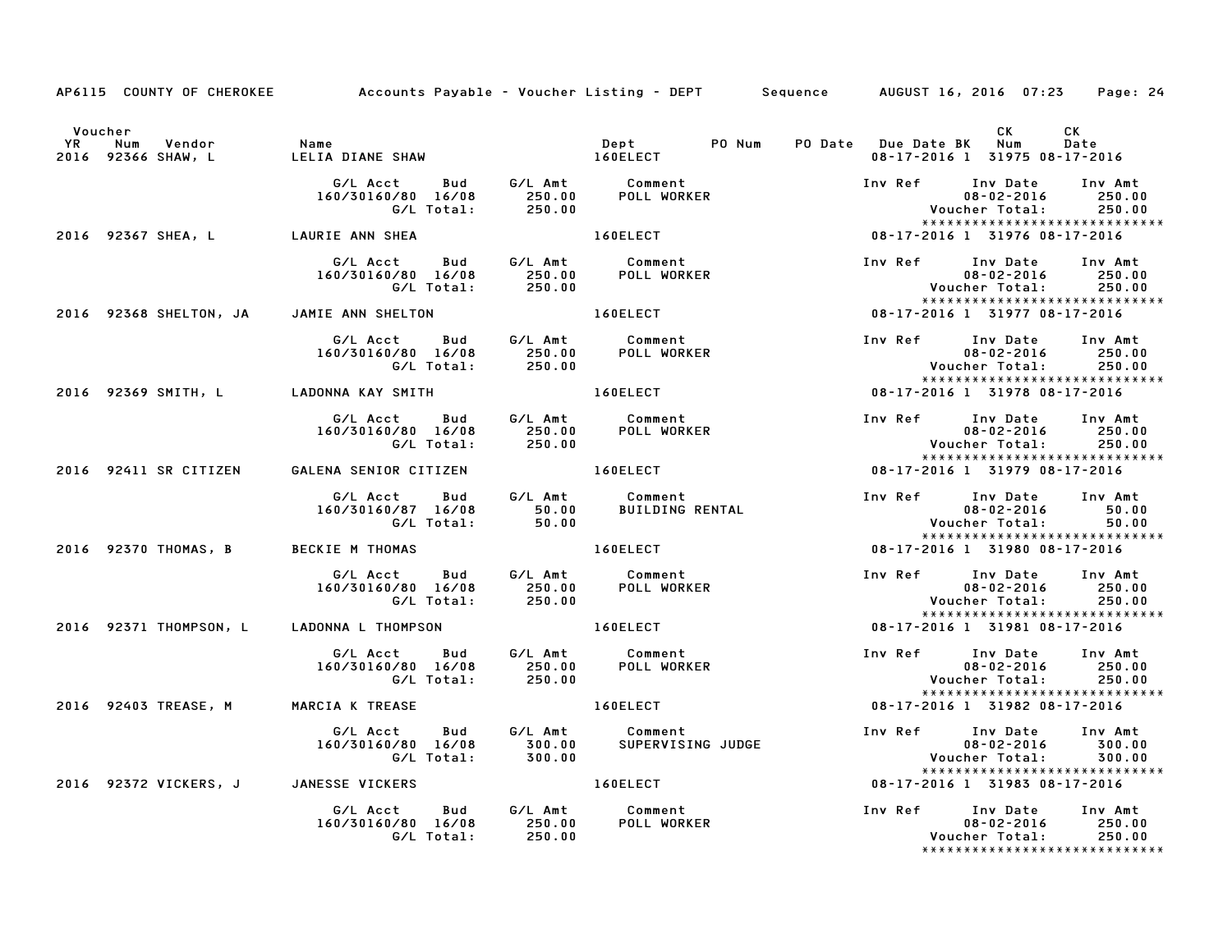|           | Voucher    |                              |                                                            |                             |                                                     |                                                          | CK                                             | CK                                                            |
|-----------|------------|------------------------------|------------------------------------------------------------|-----------------------------|-----------------------------------------------------|----------------------------------------------------------|------------------------------------------------|---------------------------------------------------------------|
| <b>YR</b> | <b>Num</b> | Vendor<br>2016 92366 SHAW, L | Name<br>LELIA DIANE SHAW                                   |                             | PO Num<br>Dept<br>1/351597<br>160ELECT              | PO Date Due Date BK Num<br>08-17-2016 1 31975 08-17-2016 |                                                | Date                                                          |
|           |            |                              | G/L Acct<br><b>Bud</b><br>160/30160/80 16/08               | 250.00                      | G/L Amt Comment<br>250.00 POLL WORKE<br>POLL WORKER | Inv Ref                                                  | Inv Date<br>$08 - 02 - 2016$                   | Inv Amt<br>250.00                                             |
|           |            |                              | G/L Total:                                                 | 250.00                      |                                                     |                                                          | Voucher Total:                                 | 250.00<br>*****************************                       |
|           |            | 2016 92367 SHEA, L           | LAURIE ANN SHEA                                            |                             | 160ELECT                                            | 08-17-2016 1 31976 08-17-2016                            |                                                |                                                               |
|           |            |                              | G/L Acct<br>160/30160/80 16/08<br>G/L Total:               | 250.00<br>250.00            | Bud G/L Amt Comment<br>POLL WORKER                  | Inv Ref                                                  | Inv Date<br>$08 - 02 - 2016$<br>Voucher Total: | Inv Amt<br>250.00<br>250.00                                   |
|           |            | 2016 92368 SHELTON, JA       | JAMIE ANN SHELTON                                          |                             | 160ELECT                                            | 08-17-2016 1 31977 08-17-2016                            |                                                | *****************************                                 |
|           |            |                              | G/L Acct<br>160/30160/80 16/08<br>G/L Total:               | 250.00<br>250.00            | Bud G/L Amt Comment<br><b>POLL WORKER</b>           | Inv Ref Inv Date                                         | $08 - 02 - 2016$<br>Voucher Total:             | Inv Amt<br>250.00<br>250.00<br>****************************** |
|           |            | 2016 92369 SMITH, L          | LADONNA KAY SMITH                                          |                             | 160ELECT                                            | 08-17-2016 1 31978 08-17-2016                            |                                                |                                                               |
|           |            |                              | <b>Bud</b><br>G/L Acct<br>160/30160/80 16/08<br>G/L Total: | G/L Amt<br>250.00<br>250.00 | Comment<br><b>POLL WORKER</b>                       | Inv Ref                                                  | Inv Date<br>$08 - 02 - 2016$<br>Voucher Total: | Inv Amt<br>250.00<br>250.00                                   |
|           |            | 2016 92411 SR CITIZEN        | GALENA SENIOR CITIZEN                                      |                             | 160ELECT                                            | 08-17-2016 1 31979 08-17-2016                            |                                                | *****************************                                 |
|           |            |                              | G/L Acct<br>Bud<br>160/30160/87 16/08<br>G/L Total:        | G/L Amt<br>50.00<br>50.00   | Comment<br><b>BUILDING RENTAL</b>                   | Inv Ref                                                  | Inv Date<br>$08 - 02 - 2016$<br>Voucher Total: | Inv Amt<br>50.00<br>50.00                                     |
|           |            | 2016 92370 THOMAS, B         | <b>BECKIE M THOMAS</b>                                     |                             | 160ELECT                                            | 08-17-2016 1 31980 08-17-2016                            |                                                | *****************************                                 |
|           |            |                              | G/L Acct<br>Bud<br>160/30160/80 16/08<br>G/L Total:        | G/L Amt<br>250.00<br>250.00 | Comment<br>POLI سام<br><b>POLL WORKER</b>           | Inv Ref                                                  | Inv Date<br>$08 - 02 - 2016$<br>Voucher Total: | Inv Amt<br>250.00<br>250.00                                   |
|           |            | 2016 92371 THOMPSON, L       | LADONNA L THOMPSON                                         |                             | 160ELECT                                            | 08-17-2016 1 31981 08-17-2016                            |                                                | ******************************                                |
|           |            |                              | G/L Acct Bud<br>160/30160/80 16/08<br>G/L Total:           | G/L Amt<br>250.00<br>250.00 | Comment<br>POLL WORKER                              | Inv Ref Inv Date                                         | $08 - 02 - 2016$<br>Voucher Total:             | Inv Amt<br>250.00<br>250.00                                   |
|           |            | 2016 92403 TREASE, M         | MARCIA K TREASE                                            |                             | <b>160ELECT</b>                                     | 08-17-2016 1 31982 08-17-2016                            |                                                | *****************************                                 |
|           |            |                              | G/L Acct<br>Bud<br>160/30160/80 16/08<br>G/L Total:        | G/L Amt<br>300.00<br>300.00 | Comment<br>SUPERVISING JUDGE                        | Inv Ref Inv Date                                         | $08 - 02 - 2016$<br>Voucher Total:             | Inv Amt<br>300.00<br>300.00<br>*****************************  |
|           |            | 2016 92372 VICKERS, J        | JANESSE VICKERS                                            |                             | 160ELECT                                            | 08-17-2016 1 31983 08-17-2016                            |                                                |                                                               |
|           |            |                              | G/L Acct<br>Bud<br>160/30160/80 16/08<br>G/L Total:        | G/L Amt<br>250.00<br>250.00 | Comment<br><b>POLL WORKER</b>                       | Inv Ref                                                  | Inv Date<br>$08 - 02 - 2016$<br>Voucher Total: | Inv Amt<br>250.00<br>250.00<br>*****************************  |

AP6115 COUNTY OF CHEROKEE Accounts Payable - Voucher Listing - DEPT Sequence AUGUST 16, 2016 07:23 Page: 24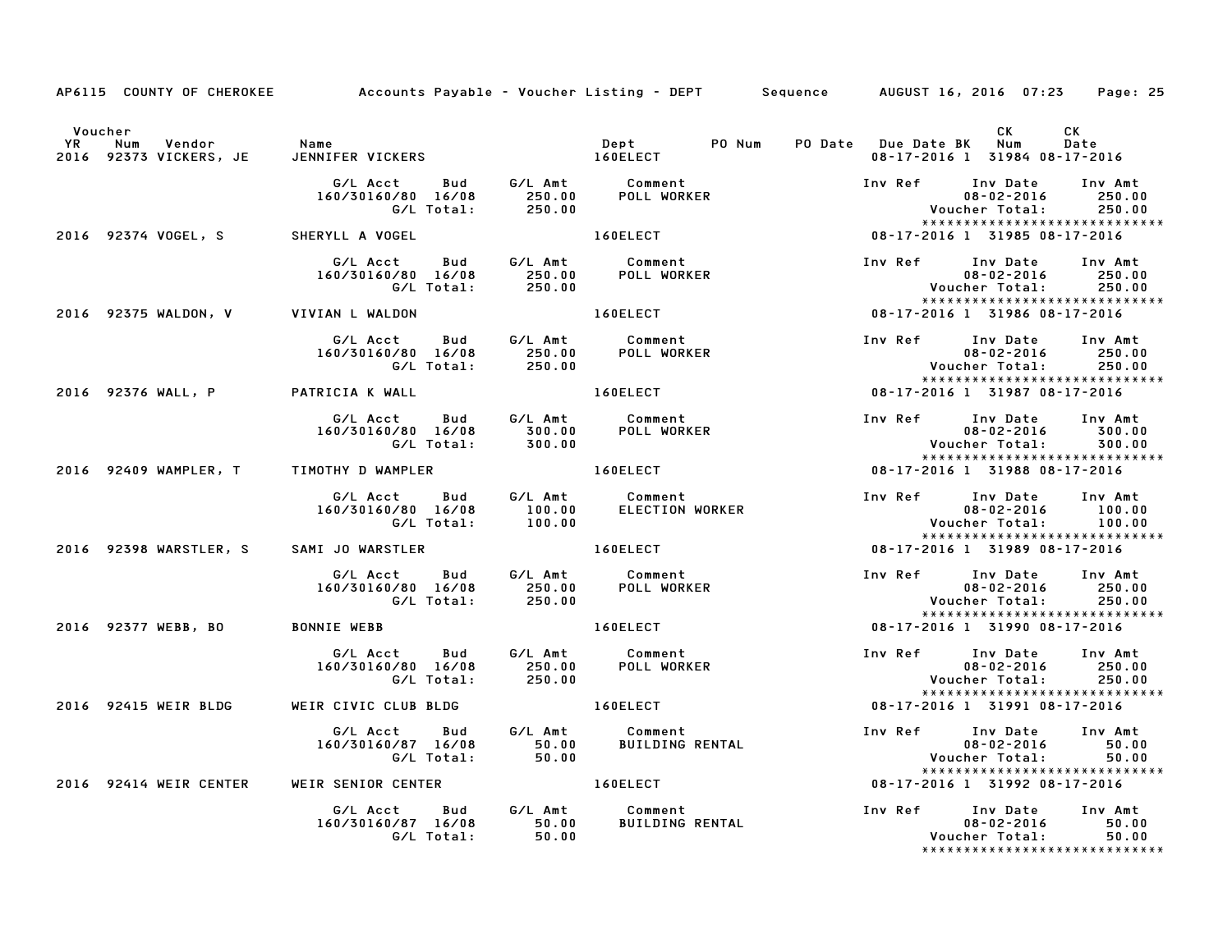|           |                                                         | AP6115 COUNTY OF CHEROKEE Accounts Payable – Voucher Listing – DEPT Sequence AUGUST 16, 2016 07:23     |                                                                                                                                                                                                                                |                                               |                                                        | Page: 25                                          |
|-----------|---------------------------------------------------------|--------------------------------------------------------------------------------------------------------|--------------------------------------------------------------------------------------------------------------------------------------------------------------------------------------------------------------------------------|-----------------------------------------------|--------------------------------------------------------|---------------------------------------------------|
| <b>YR</b> | Voucher<br>Vendor Name<br>Num<br>2016 92373 VICKERS, JE | JENNIFER VICKERS 160ELECT                                                                              | Dept PO Num                                                                                                                                                                                                                    | PO Date Due Date BK Num                       | CK<br>08-17-2016 1 31984 08-17-2016                    | CK<br>Date                                        |
|           |                                                         | G/L Acct<br>160/30160/80 16/08                                                                         |                                                                                                                                                                                                                                | Inv Ref Inv Date Inv Amt                      | $08 - 02 - 2016$ 250.00<br>Voucher Total:              | 250.00                                            |
|           | 2016 92374 VOGEL, S SHERYLL A VOGEL                     |                                                                                                        | 160ELECT                                                                                                                                                                                                                       | 08-17-2016 1 31985 08-17-2016                 |                                                        | *****************************                     |
|           |                                                         | G/L Acct<br><b>Bud</b><br>160/30160/80 16/08 250.00<br>G/L Total: 250.00                               | G/L Amt Comment<br>250.00 POLL WORKER                                                                                                                                                                                          | Inv Ref Inv Date Inv Amt<br>08-02-2016 250.00 | 08-02-2016<br>Voucher Total:                           | 250.00<br>250.00<br>***************************** |
|           | 2016 92375 WALDON, V VIVIAN L WALDON                    |                                                                                                        | 160ELECT                                                                                                                                                                                                                       | 08-17-2016 1 31986 08-17-2016                 |                                                        |                                                   |
|           |                                                         | G/L Acct Bud G/L Amt Comment<br>160/30160/80 16/08 250.00 POLL WORKER<br>G/L Total: 250.00 POLL WORKER |                                                                                                                                                                                                                                | Inv Ref Inv Date Inv Amt                      |                                                        | *****************************                     |
|           | 2016 92376 WALL, P PATRICIA K WALL                      |                                                                                                        | 160ELECT                                                                                                                                                                                                                       | 08-17-2016 1 31987 08-17-2016                 |                                                        |                                                   |
|           |                                                         | G/L Acct Bud G/L Amt Comment<br>160/30160/80 16/08 300.00 POLL WORKER<br>G/L Total: 300.00             |                                                                                                                                                                                                                                | Inv Ref Inv Date Inv Amt                      | 08-02-2016<br>Voucher Total: 300.00                    | 300.00<br>*****************************           |
|           |                                                         | 2016 92409 WAMPLER, T TIMOTHY D WAMPLER THE RESERVE LOBELECT                                           |                                                                                                                                                                                                                                | 08-17-2016 1 31988 08-17-2016                 |                                                        |                                                   |
|           |                                                         | 160/30160/80 16/08                                                                                     | G/L Acct Bud G/L Amt Comment<br>60/30160/80 16/08 100.00 ELECTION WORKER<br>G/L Total: 100.00                                                                                                                                  | Inv Ref                                       | Inv Date Inv Amt<br>$08 - 02 - 2016$<br>Voucher Total: | 100.00<br>100.00<br>***************************** |
|           | 2016 92398 WARSTLER, S SAMI JO WARSTLER                 |                                                                                                        | 160ELECT                                                                                                                                                                                                                       | 08-17-2016 1 31989 08-17-2016                 |                                                        |                                                   |
|           |                                                         | G/L Acct  Bud  G/L Amt  Comment<br>160/30160/80  16/08  250.00  POLL WORKER<br>G/L Total:  250.00      |                                                                                                                                                                                                                                | Inv Ref     Inv Date    Inv Amt               | $08 - 02 - 2016$ 250.00<br>Voucher Total:              | 250.00<br>*****************************           |
|           | 2016 92377 WEBB, BO                                     | <b>BONNIE WEBB</b>                                                                                     | 160ELECT                                                                                                                                                                                                                       | 08-17-2016 1 31990 08-17-2016                 |                                                        |                                                   |
|           |                                                         | G/L Acct  Bud  G/L Amt  Comment<br>160/30160/80  16/08  250.00  POLL WORKER<br>G/L Total:  250.00      |                                                                                                                                                                                                                                | Inv Ref Inv Date                              | $08 - 02 - 2016$<br>Voucher Total:                     | Inv Amt<br>250.00<br>250.00                       |
|           | 2016 92415 WEIR BLDG                                    | WEIR CIVIC CLUB BLDG                                                                                   | 160ELECT                                                                                                                                                                                                                       | 08-17-2016 1 31991 08-17-2016                 |                                                        | *****************************                     |
|           |                                                         | G/L Acct Bud<br>160/30160/87 16/08<br>0.00 16/08 50.00<br>160/87 16/08 50.00                           | G/L Amt Comment<br>50.00 BUILDING<br><b>BUILDING RENTAL</b>                                                                                                                                                                    | Inv Ref Inv Date<br>08-02-2016                | 08-02-2016<br>Voucher Total:                           | Inv Amt<br>50.00<br>50.00                         |
|           | 2016 92414 WEIR CENTER                                  | WEIR SENIOR CENTER                                                                                     | 160ELECT And the state of the state of the state of the state of the state of the state of the state of the state of the state of the state of the state of the state of the state of the state of the state of the state of t | 08-17-2016 1 31992 08-17-2016                 |                                                        | ******************************                    |
|           |                                                         | G/L Acct Bud G/L Amt Comment<br>160/30160/87 16/08 50.00<br>G/L Total: 50.00                           | <b>BUILDING RENTAL</b>                                                                                                                                                                                                         | Inv Ref Inv Date Inv Amt                      | 08-02-2016 50.00<br>Voucher Total: 50.00               |                                                   |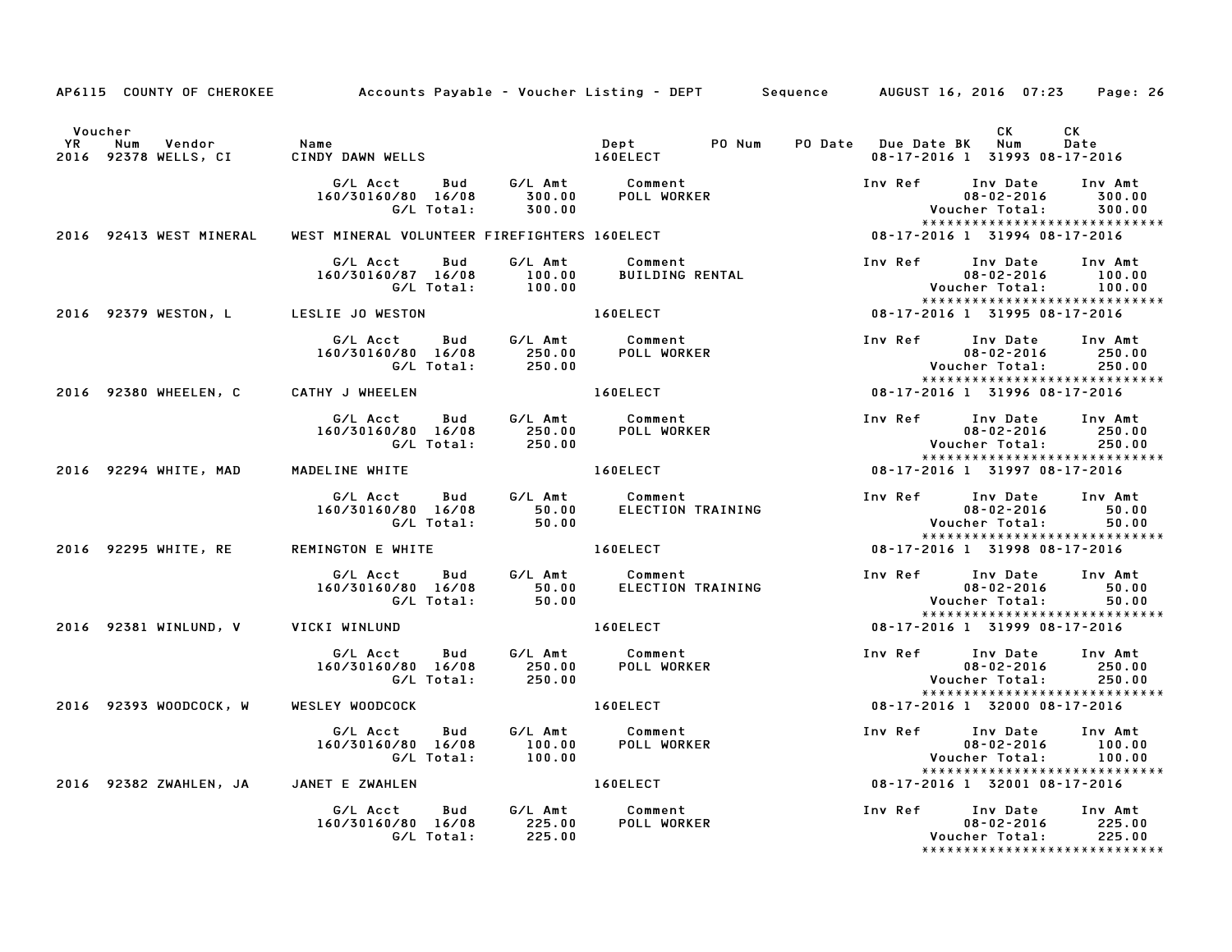| AP6115 COUNTY OF CHEROKEE Accounts Payable - Voucher Listing - DEPT Sequence AUGUST 16, 2016 07:23 Page: 26 |                                                                                                                 |                    |                                                                                                                |                  |                                                                                                          |                             |
|-------------------------------------------------------------------------------------------------------------|-----------------------------------------------------------------------------------------------------------------|--------------------|----------------------------------------------------------------------------------------------------------------|------------------|----------------------------------------------------------------------------------------------------------|-----------------------------|
| Voucher<br>YR Num Vendor<br>YR Num Vendor<br>2016 92378 WELLS, CI                                           | Name<br>CINDY DAWN WELLS 160ELECT                                                                               |                    | Dept PO Num PO Date Due Date BK Num                                                                            |                  | CK<br>08-17-2016 1 31993 08-17-2016                                                                      | CK<br>Date                  |
|                                                                                                             | G/L Acct  Bud  G/L Amt  Comment<br>160/30160/80  16/08  300.00  POLL WORKER<br>160/30160/80 16/08<br>G/L Total: | 300.00             |                                                                                                                |                  | Inv Ref      Inv Date<br>$08 - 02 - 2016$<br>Voucher Total:<br>*****************************             | Inv Amt<br>300.00<br>300.00 |
| 2016 92413 WEST MINERAL                                                                                     |                                                                                                                 |                    |                                                                                                                |                  |                                                                                                          |                             |
|                                                                                                             | G/L Acct<br>Bud<br>160/30160/87 16/08                                                                           |                    | G/L Amt Comment<br>100.00 BUILDING RENTAL                                                                      | Inv Ref Inv Date | $08 - 02 - 2016$<br><b>Voucher Total:</b><br>*****************************                               | Inv Amt<br>100.00<br>100.00 |
| 2016 92379 WESTON, L LESLIE JO WESTON                                                                       |                                                                                                                 |                    | 160ELECT And The Second Second Second Second Second Second Second Second Second Second Second Second Second Se |                  | 08-17-2016 1 31995 08-17-2016                                                                            |                             |
|                                                                                                             | G/L Acct Bud G/L Amt Comment<br>160/30160/80 16/08 250.00 POLL WORKER<br>G/L Total: 250.00                      |                    |                                                                                                                |                  | Inv Ref Inv Date Inv Amt                                                                                 |                             |
| 2016 92380 WHEELEN, C CATHY J WHEELEN                                                                       |                                                                                                                 |                    | <b>160ELECT</b>                                                                                                |                  | 08-17-2016 1 31996 08-17-2016                                                                            |                             |
|                                                                                                             | G/L Acct Bud G/L Amt Comment<br>160/80 16/08 250.00<br>G/L Total: 250.00<br>160/30160/80 16/08                  |                    | POLL WORKER                                                                                                    |                  | Inv Ref      Inv Date     Inv Amt<br>$08 - 02 - 2016$<br>Voucher Total:<br>***************************** | 250.00<br>250.00            |
| 2016 92294 WHITE, MAD                                                                                       | MADELINE WHITE                                                                                                  |                    | 160ELECT                                                                                                       |                  | 08-17-2016 1 31997 08-17-2016                                                                            |                             |
|                                                                                                             | 160/30160/80 16/08<br>G/L Total:                                                                                | 50.00              |                                                                                                                | Inv Ref Inv Date | $08 - 02 - 2016$<br>Voucher Total:<br>*****************************                                      | Inv Amt<br>50.00<br>50.00   |
| 2016 92295 WHITE, RE                                                                                        | REMINGTON E WHITE 160ELECT                                                                                      |                    |                                                                                                                |                  | 08-17-2016 1 31998 08-17-2016                                                                            |                             |
|                                                                                                             | G/L Acct Bud G/L Amt Comment<br>160/30160/80 16/08 50.00 ELECTION TRAINING<br>G/L Total:                        | 50.00              | ELECTION TRAINING                                                                                              |                  | Inv Ref      Inv Date     Inv Amt<br>$08 - 02 - 2016$<br>Voucher Total:<br>***************************** | 50.00<br>50.00              |
| 2016 92381 WINLUND, V VICKI WINLUND                                                                         |                                                                                                                 |                    | 160ELECT                                                                                                       |                  | 08-17-2016 1 31999 08-17-2016                                                                            |                             |
|                                                                                                             | G/L Acct Bud<br>160/30160/80 16/08<br>G/L Total:                                                                |                    |                                                                                                                | Inv Ref Inv Date | $08 - 02 - 2016$<br>Voucher Total:                                                                       | Inv Amt<br>250.00<br>250.00 |
| 2016 92393 WOODCOCK, W                                                                                      | WESLEY WOODCOCK                                                                                                 |                    | 160ELECT 08-17-2016 1 32000 08-17-2016                                                                         |                  | *****************************                                                                            |                             |
|                                                                                                             | G/L Acct Bud<br>160/30160/80 16/08<br>G/L Total:                                                                | $\frac{1}{100.00}$ | G/L Amt Comment<br><b>POLL WORKER</b>                                                                          |                  | Inv Ref Inv Date Inv Amt<br>$08 - 02 - 2016$<br>Voucher Total:                                           | 100.00<br>100.00            |
| 2016 92382 ZWAHLEN, JA JANET E ZWAHLEN                                                                      |                                                                                                                 |                    | <b>160ELECT</b>                                                                                                |                  | *****************************<br>08-17-2016 1 32001 08-17-2016                                           |                             |
|                                                                                                             | G/L Acct<br>160/30160/80 16/08<br>G/L Total: 225.00                                                             | 225.00             | Bud G/L Amt Comment<br>POLL WORKER                                                                             |                  | Inv Ref      Inv Date     Inv Amt<br>$08 - 02 - 2016$<br>Voucher Total:<br>***************************** | 225.00<br>225.00            |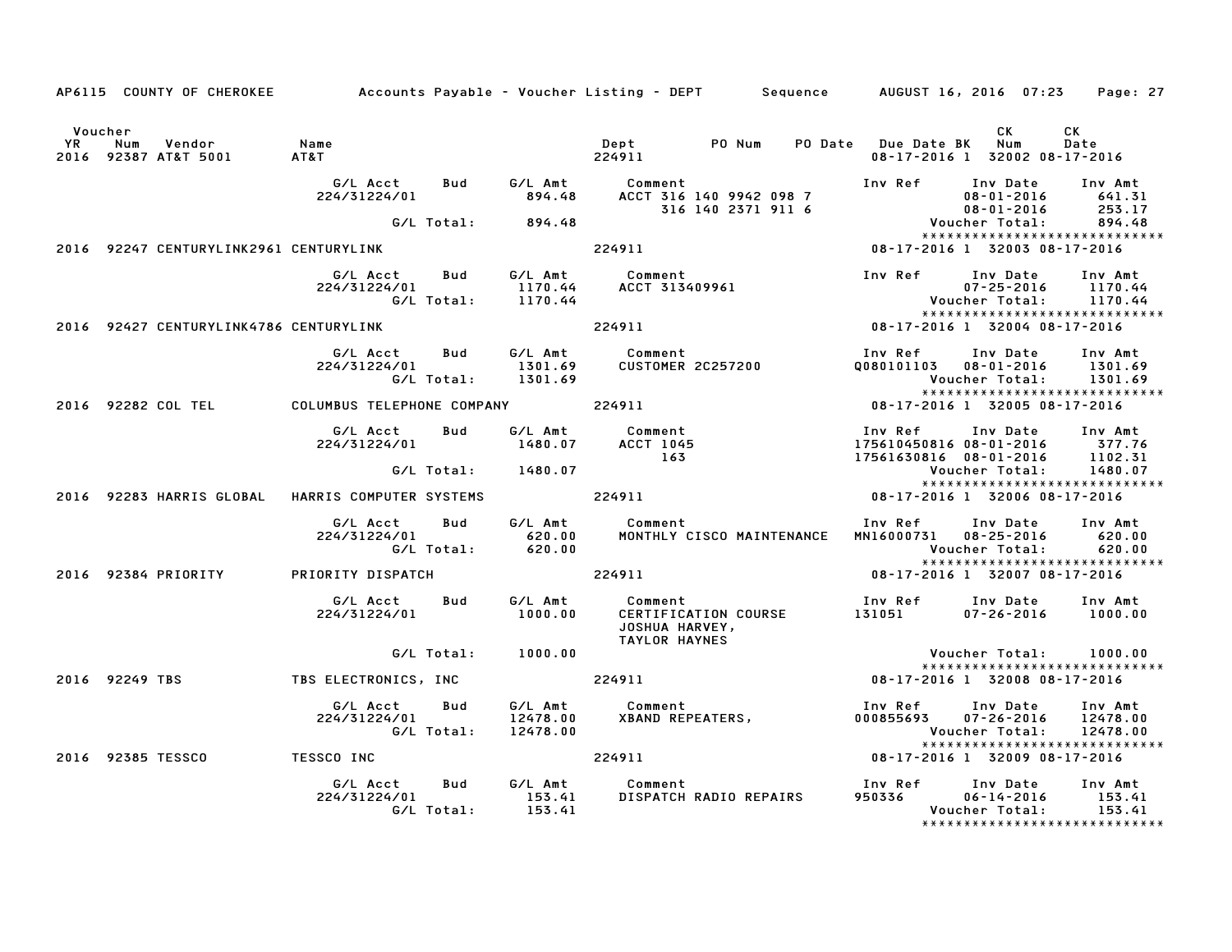|                      |                |                                        |                                                  |                   |                                 | AP6115 COUNTY OF CHEROKEE Accounts Payable - Voucher Listing - DEPT Sequence AUGUST 16, 2016 07:23 Page: 27 |                                    |                                                                                 |                                 |
|----------------------|----------------|----------------------------------------|--------------------------------------------------|-------------------|---------------------------------|-------------------------------------------------------------------------------------------------------------|------------------------------------|---------------------------------------------------------------------------------|---------------------------------|
| Voucher<br><b>YR</b> | Num            | Vendor<br>2016 92387 AT&T 5001         | Name<br>AT&T                                     |                   |                                 | Dept PO Num<br>224911                                                                                       | PO Date Due Date BK                | <b>CK</b><br>Num<br>08-17-2016 1 32002 08-17-2016                               | СK<br>Date                      |
|                      |                |                                        | G/L Acct<br>224/31224/01                         | Bud               | G/L Amt<br>894.48               | Comment<br>ACCT 316 140 9942 098 7<br>316 140 2371 911 6                                                    | Inv Ref Inv Date                   | $08 - 01 - 2016$                                                                | Inv Amt<br>641.31<br>253.17     |
|                      |                |                                        |                                                  | G/L Total:        | 894.48                          |                                                                                                             |                                    | 08-01-2016<br>:Voucher Total                                                    | 894.48                          |
|                      |                | 2016 92247 CENTURYLINK2961 CENTURYLINK |                                                  |                   |                                 | 224911                                                                                                      |                                    | *****************************<br>08-17-2016 1 32003 08-17-2016                  |                                 |
|                      |                |                                        | G/L Acct<br>224/31224/01                         | Bud<br>G/L Total: | G/L Amt<br>1170.44<br>1170.44   | Comment<br>соmment<br>ACCT 313409961                                                                        | Inv Ref                            | Inv Date<br>$07 - 25 - 2016$<br>Voucher Total:                                  | Inv Amt<br>1170.44<br>1170.44   |
|                      |                |                                        |                                                  |                   |                                 |                                                                                                             |                                    | *****************************                                                   |                                 |
|                      |                | 2016 92427 CENTURYLINK4786 CENTURYLINK |                                                  |                   |                                 | 224911                                                                                                      |                                    | 08-17-2016 1 32004 08-17-2016                                                   |                                 |
|                      |                |                                        | G/L Acct<br>224/31224/01                         | Bud<br>G/L Total: | G/L Amt<br>1301.69<br>1301.69   | Comment<br>CUSTOMER 2C257200                                                                                | Inv Ref<br>Q080101103  08-01-2016  | Inv Date<br>Voucher Total:<br>*****************************                     | Inv Amt<br>1301.69<br>1301.69   |
|                      |                | 2016 92282 COL TEL                     | COLUMBUS TELEPHONE COMPANY                       |                   |                                 | 224911                                                                                                      |                                    | 08-17-2016 1 32005 08-17-2016                                                   |                                 |
|                      |                |                                        | G/L Acct<br>224/31224/01                         | Bud               | G/L Amt<br>1480.07              | Comment<br><b>ACCT 1045</b><br>163                                                                          | Inv Ref<br>175610450816 08-01-2016 | Inv Date<br>17561630816 08-01-2016 1102.31                                      | Inv Amt<br>377.76               |
|                      |                |                                        |                                                  | G/L Total:        | 1480.07                         |                                                                                                             |                                    | Voucher Total:<br>******************************                                | 1480.07                         |
|                      |                |                                        | 2016 92283 HARRIS GLOBAL HARRIS COMPUTER SYSTEMS |                   |                                 | 224911                                                                                                      |                                    | 08-17-2016 1 32006 08-17-2016                                                   |                                 |
|                      |                |                                        | G/L Acct<br>224/31224/01                         | Bud<br>G/L Total: | G/L Amt<br>620.00<br>620.00     | Comment<br>MONTHLY CISCO MAINTENANCE                                                                        | MN16000731 08-25-2016              | Inv Ref Inv Date<br>Voucher Total:<br>*****************************             | Inv Amt<br>620.00<br>620.00     |
|                      |                | 2016 92384 PRIORITY                    | PRIORITY DISPATCH                                |                   |                                 | 224911                                                                                                      |                                    | 08-17-2016 1 32007 08-17-2016                                                   |                                 |
|                      |                |                                        | G/L Acct<br>224/31224/01                         | Bud               | G/L Amt<br>1000.00              | Comment<br>CERTIFICATION COURSE<br>JOSHUA HARVEY,<br><b>TAYLOR HAYNES</b>                                   | 131051                             | Inv Ref     Inv Date<br>07-26-2016                                              | Inv Amt<br>1000.00              |
|                      |                |                                        |                                                  | G/L Total:        | 1000.00                         |                                                                                                             |                                    | Voucher Total:                                                                  | 1000.00                         |
|                      | 2016 92249 TBS |                                        | TBS ELECTRONICS, INC                             |                   |                                 | 224911                                                                                                      |                                    | ******************************<br>08-17-2016 1 32008 08-17-2016                 |                                 |
|                      |                |                                        | G/L Acct<br>224/31224/01                         | Bud<br>G/L Total: | G/L Amt<br>12478.00<br>12478.00 | Comment<br><b>XBAND REPEATERS,</b>                                                                          | Inv Ref Inv Date<br>000855693      | 07-26-2016<br>Voucher Total:<br>*****************************                   | Inv Amt<br>12478.00<br>12478.00 |
|                      |                | 2016 92385 TESSCO                      | <b>TESSCO INC</b>                                |                   |                                 | 224911                                                                                                      |                                    | 08-17-2016 1 32009 08-17-2016                                                   |                                 |
|                      |                |                                        | G/L Acct<br>224/31224/01                         | Bud<br>G/L Total: | G/L Amt<br>153.41<br>153.41     | Comment<br>DISPATCH RADIO REPAIRS                                                                           | Inv Ref<br>950336                  | Inv Date<br>$06 - 14 - 2016$<br>Voucher Total:<br>***************************** | Inv Amt<br>153.41<br>153.41     |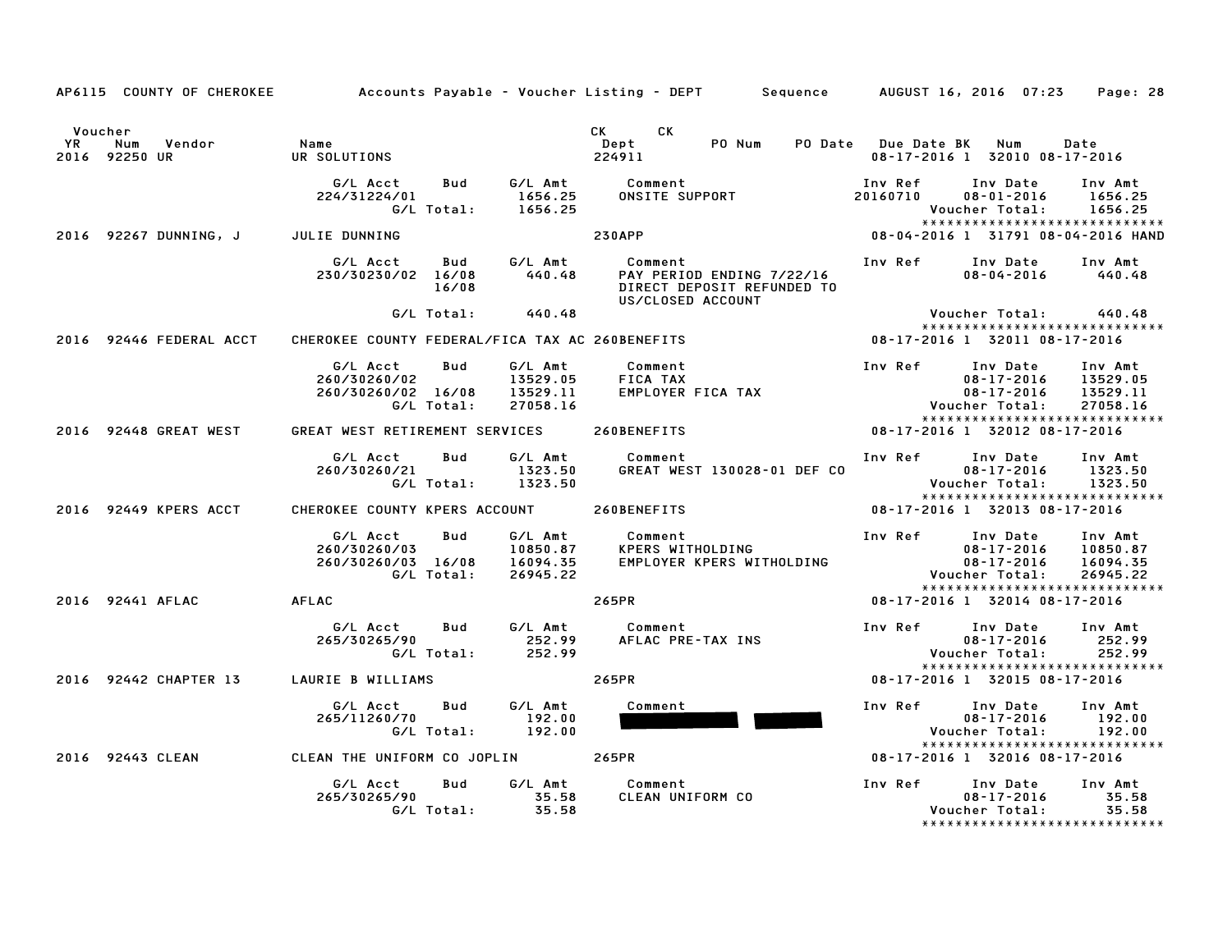|               | AP6115 COUNTY OF CHEROKEE         |                                                                            |                                             | Accounts Payable - Voucher Listing - DEPT Sequence AUGUST 16, 2016 07:23                |                         |                                                                                                        | Page: 28                                    |
|---------------|-----------------------------------|----------------------------------------------------------------------------|---------------------------------------------|-----------------------------------------------------------------------------------------|-------------------------|--------------------------------------------------------------------------------------------------------|---------------------------------------------|
| Voucher<br>YR | Vendor<br>Num<br>2016 92250 UR    | Name<br>UR SOLUTIONS                                                       |                                             | CK C<br>CK<br>PO Num<br>Dept<br>224911                                                  | PO Date Due Date BK Num | 08-17-2016 1 32010 08-17-2016                                                                          | Date                                        |
|               |                                   | G/L Acct<br>Bud<br>224/31224/01<br>G/L Total:                              | G/L Amt<br>1656.25<br>1656.25               | Comment<br>ONSITE SUPPORT                                                               | Inv Ref<br>20160710     | Inv Date<br>08-01-2016<br>Voucher Total:<br>*****************************                              | Inv Amt<br>1656.25<br>1656.25               |
|               | 2016 92267 DUNNING, JULIE DUNNING |                                                                            |                                             | <b>230APP</b>                                                                           |                         | 08-04-2016 1 31791 08-04-2016 HAND                                                                     |                                             |
|               |                                   | G/L Acct<br>Bud<br>230/30230/02 16/08<br>16/08                             | G/L Amt<br>440.48                           | Comment<br>PAY PERIOD ENDING 7/22/16<br>DIRECT DEPOSIT REFUNDED TO<br>US/CLOSED ACCOUNT | Inv Ref                 | Inv Date<br>$08 - 04 - 2016$                                                                           | Inv Amt<br>440.48                           |
|               |                                   | G/L Total:                                                                 | 440.48                                      |                                                                                         |                         | Voucher Total:<br>******************************                                                       | 440.48                                      |
|               | 2016 92446 FEDERAL ACCT           | CHEROKEE COUNTY FEDERAL/FICA TAX AC 260BENEFITS                            |                                             |                                                                                         |                         | 08-17-2016 1 32011 08-17-2016                                                                          |                                             |
|               |                                   | G/L Acct<br>Bud<br>260/30260/02<br>260/30260/02 16/08<br>G/L Total:        | G/L Amt<br>13529.05<br>13529.11<br>27058.16 | Comment<br>FICA TAX<br>FICA TAX<br>EMPLOYER FICA TAX                                    | Inv Ref                 | Inv Date<br>08-17-2016<br>$08 - 17 - 2016$<br>Voucher Total:<br>*****************************          | Inv Amt<br>13529.05<br>13529.11<br>27058.16 |
|               | 2016 92448 GREAT WEST             | GREAT WEST RETIREMENT SERVICES                                             |                                             | 260BENEFITS                                                                             |                         | 08-17-2016 1 32012 08-17-2016                                                                          |                                             |
|               |                                   | G/L Acct<br><b>Bud</b><br>260/30260/21<br>G/L Total:                       | G/L Amt<br>1323.50<br>1323.50               | Comment<br>GREAT WEST 130028-01 DEF CO                                                  | Inv Ref Inv Date        | $08 - 17 - 2016$<br><b>Voucher Total:</b>                                                              | Inv Amt<br>1323.50<br>1323.50               |
|               | 2016 92449 KPERS ACCT             | CHEROKEE COUNTY KPERS ACCOUNT                                              |                                             | 260BENEFITS                                                                             |                         | *****************************<br>08-17-2016 1 32013 08-17-2016                                         |                                             |
|               |                                   | <b>Bud</b><br>G/L Acct<br>260/30260/03<br>260/30260/03 16/08<br>G/L Total: | 10850.87<br>16094.35<br>26945.22            | G/L Amt Comment<br>KPERS WITHOLDING<br>EMPLOYER KPERS WITHOLDING                        |                         | Inv Ref Inv Date<br>$08 - 17 - 2016$<br>08-17-2016<br>Voucher Total:<br>****************************** | Inv Amt<br>10850.87<br>16094.35<br>26945.22 |
|               | 2016 92441 AFLAC                  | AFLAC                                                                      |                                             | 265PR                                                                                   |                         | 08-17-2016 1 32014 08-17-2016                                                                          |                                             |
|               |                                   | G/L Acct<br>Bud<br>265/30265/90<br>G/L Total:                              | G/L Amt<br>252.99<br>252.99                 | Comment<br>AFLAC PRE-TAX INS                                                            | Inv Ref Inv Date        | $08 - 17 - 2016$<br><b>Voucher Total:</b>                                                              | Inv Amt<br>252.99<br>252.99                 |
|               |                                   | 2016 92442 CHAPTER 13 LAURIE B WILLIAMS                                    |                                             | 265PR                                                                                   |                         | *****************************<br>08-17-2016 1 32015 08-17-2016                                         |                                             |
|               |                                   | G/L Acct<br>Bud<br>265/11260/70<br>G/L Total:                              | G/L Amt<br>192.00<br>192.00                 | Comment                                                                                 | Inv Ref                 | Inv Date<br>$08 - 17 - 2016$<br>Voucher Total:<br>*****************************                        | Inv Amt<br>192.00<br>192.00                 |
|               | 2016 92443 CLEAN                  | CLEAN THE UNIFORM CO JOPLIN 265PR                                          |                                             |                                                                                         |                         | 08-17-2016 1 32016 08-17-2016                                                                          |                                             |
|               |                                   | Bud<br>G/L Acct<br>265/30265/90<br>G/L Total:                              | G/L Amt<br>35.58<br>35.58                   | Comment<br>CLEAN UNIFORM CO                                                             | Inv Ref                 | Inv Date<br>$08 - 17 - 2016$<br>Voucher Total:<br>*******************************                      | Inv Amt<br>35.58<br>35.58                   |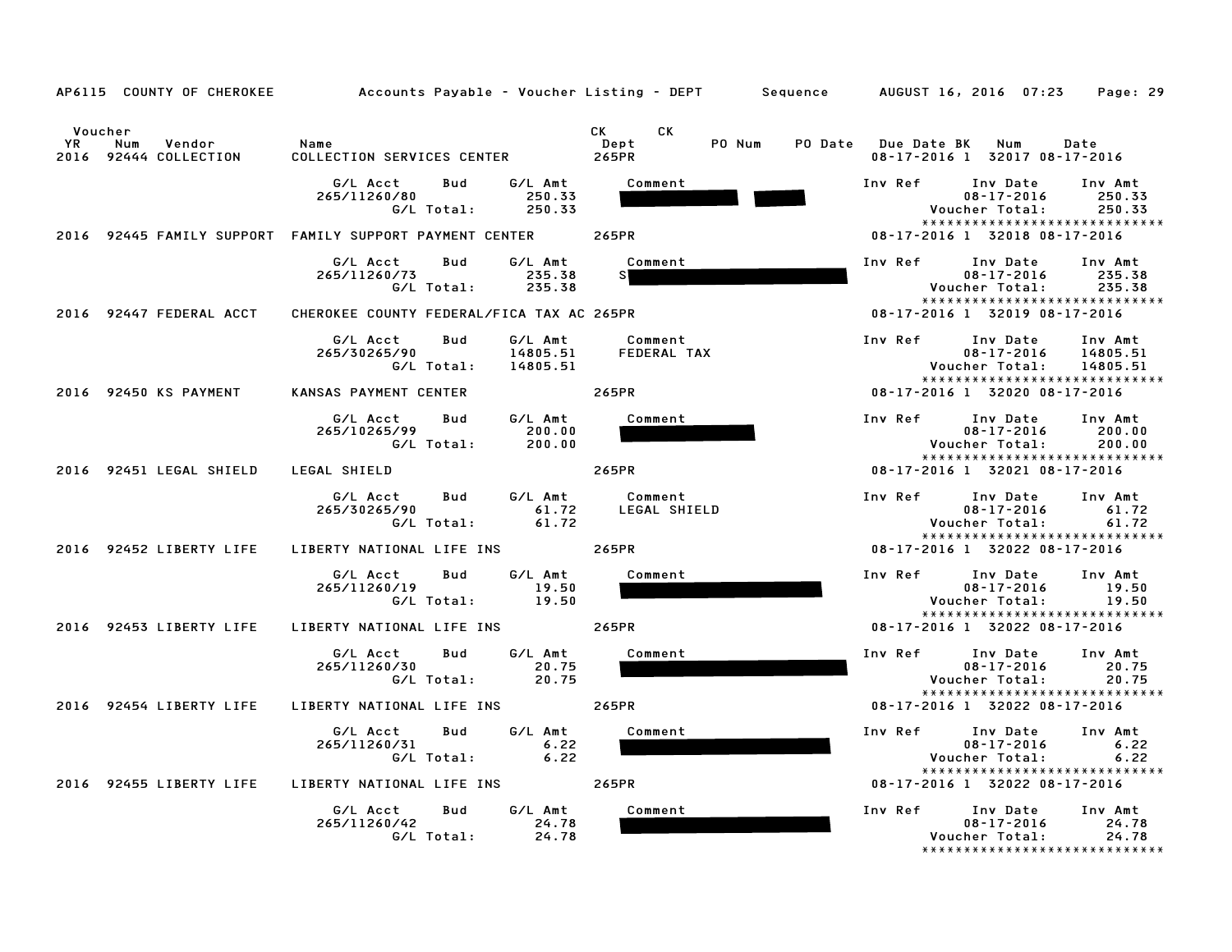|                                                                | AP6115 COUNTY OF CHEROKEE Accounts Payable - Voucher Listing - DEPT Sequence AUGUST 16, 2016 07:23 |                                                                                                                                                                                                                                                                 | Page: 29                                                                                                                      |
|----------------------------------------------------------------|----------------------------------------------------------------------------------------------------|-----------------------------------------------------------------------------------------------------------------------------------------------------------------------------------------------------------------------------------------------------------------|-------------------------------------------------------------------------------------------------------------------------------|
| Voucher<br><b>YR</b><br>Num<br>Vendor<br>2016 92444 COLLECTION | Name<br>COLLECTION SERVICES CENTER                                                                 | CK and the set of the set of the set of the set of the set of the set of the set of the set of the set of the set of the set of the set of the set of the set of the set of the set of the set of the set of the set of the se<br>CK<br>PO Num<br>Dept<br>265PR | PO Date Due Date BK<br>Num<br>Date<br>08-17-2016 1 32017 08-17-2016                                                           |
|                                                                | G/L Acct<br>Bud<br>G/L Amt<br>265/11260/80<br>250.33<br>G/L Total:<br>250.33                       | Comment                                                                                                                                                                                                                                                         | Inv Ref<br>Inv Date<br>Inv Amt<br>$08 - 17 - 2016$<br>250.33<br>Voucher Total:<br>250.33<br>*****************************     |
|                                                                | 2016   92445   FAMILY SUPPORT   FAMILY SUPPORT PAYMENT CENTER                                      | 265PR                                                                                                                                                                                                                                                           | 08-17-2016 1 32018 08-17-2016                                                                                                 |
|                                                                | G/L Acct<br>G/L Amt<br>Bud<br>265/11260/73<br>235.38<br>G/L Total:<br>235.38                       | Comment                                                                                                                                                                                                                                                         | Inv Ref<br>Inv Date<br>Inv Amt<br>$08 - 17 - 2016$<br>235.38<br>235.38<br>Voucher Total:<br>*****************************     |
| 2016 92447 FEDERAL ACCT                                        | CHEROKEE COUNTY FEDERAL/FICA TAX AC 265PR                                                          |                                                                                                                                                                                                                                                                 | 08-17-2016 1 32019 08-17-2016                                                                                                 |
|                                                                | G/L Amt<br>G/L Acct<br>Bud<br>265/30265/90<br>14805.51<br>G/L Total:<br>14805.51                   | Comment<br>FEDERAL TAX                                                                                                                                                                                                                                          | Inv Ref<br>Inv Date<br>Inv Amt<br>$08 - 17 - 2016$<br>14805.51<br>Voucher Total:<br>14805.51<br>***************************** |
| 2016 92450 KS PAYMENT                                          | KANSAS PAYMENT CENTER                                                                              | 265PR                                                                                                                                                                                                                                                           | 08-17-2016 1 32020 08-17-2016                                                                                                 |
|                                                                | G/L Acct<br>Bud<br>G/L Amt<br>265/10265/99<br>200.00<br>G/L Total:<br>200.00                       | Comment                                                                                                                                                                                                                                                         | Inv Ref<br>Inv Date<br>Inv Amt<br>$08 - 17 - 2016$<br>200.00<br>Voucher Total:<br>200.00<br>*****************************     |
| 2016 92451 LEGAL SHIELD                                        | LEGAL SHIELD                                                                                       | 265PR                                                                                                                                                                                                                                                           | 08-17-2016 1 32021 08-17-2016                                                                                                 |
|                                                                | G/L Amt<br>G/L Acct<br>Bud<br>265/30265/90<br>61.72<br>G/L Total:<br>61.72                         | Comment<br>LEGAL SHIELD                                                                                                                                                                                                                                         | Inv Ref<br>Inv Date<br>Inv Amt<br>$08 - 17 - 2016$<br>61.72<br>Voucher Total:<br>61.72<br>*****************************       |
| 2016 92452 LIBERTY LIFE                                        | LIBERTY NATIONAL LIFE INS                                                                          | 265PR                                                                                                                                                                                                                                                           | 08-17-2016 1 32022 08-17-2016                                                                                                 |
|                                                                | G/L Acct<br>Bud<br>G/L Amt<br>265/11260/19<br>19.50<br>G/L Total:<br>19.50                         | Comment                                                                                                                                                                                                                                                         | Inv Ref<br>Inv Date<br>Inv Amt<br>$08 - 17 - 2016$<br>19.50<br>Voucher Total:<br>19.50<br>*****************************       |
| 2016 92453 LIBERTY LIFE                                        | LIBERTY NATIONAL LIFE INS                                                                          | 265PR                                                                                                                                                                                                                                                           | 08-17-2016 1 32022 08-17-2016                                                                                                 |
|                                                                | G/L Acct<br>G/L Amt<br>Bud<br>265/11260/30<br>20.75<br>G/L Total:<br>20.75                         | Comment                                                                                                                                                                                                                                                         | Inv Date<br>Inv Ref<br>Inv Amt<br>$08 - 17 - 2016$<br>20.75<br>Voucher Total:<br>20.75<br>*****************************       |
| 2016 92454 LIBERTY LIFE                                        | LIBERTY NATIONAL LIFE INS                                                                          | 265PR                                                                                                                                                                                                                                                           | 08-17-2016 1 32022 08-17-2016                                                                                                 |
|                                                                | G/L Acct<br>Bud<br>G/L Amt<br>265/11260/31<br>6.22<br>G/L Total:<br>6.22                           | Comment                                                                                                                                                                                                                                                         | Inv Ref<br>Inv Date<br>Inv Amt<br>$08 - 17 - 2016$<br>6.22<br>Voucher Total:<br>6.22<br>*****************************         |
| 2016 92455 LIBERTY LIFE                                        | LIBERTY NATIONAL LIFE INS                                                                          | 265PR                                                                                                                                                                                                                                                           | 08-17-2016 1 32022 08-17-2016                                                                                                 |
|                                                                | G/L Acct<br>G/L Amt<br>Bud<br>265/11260/42<br>24.78<br>G/L Total:<br>24.78                         | Comment                                                                                                                                                                                                                                                         | Inv Ref<br>Inv Date<br>Inv Amt<br>$08 - 17 - 2016$<br>24.78<br>Voucher Total:<br>24.78<br>*****************************       |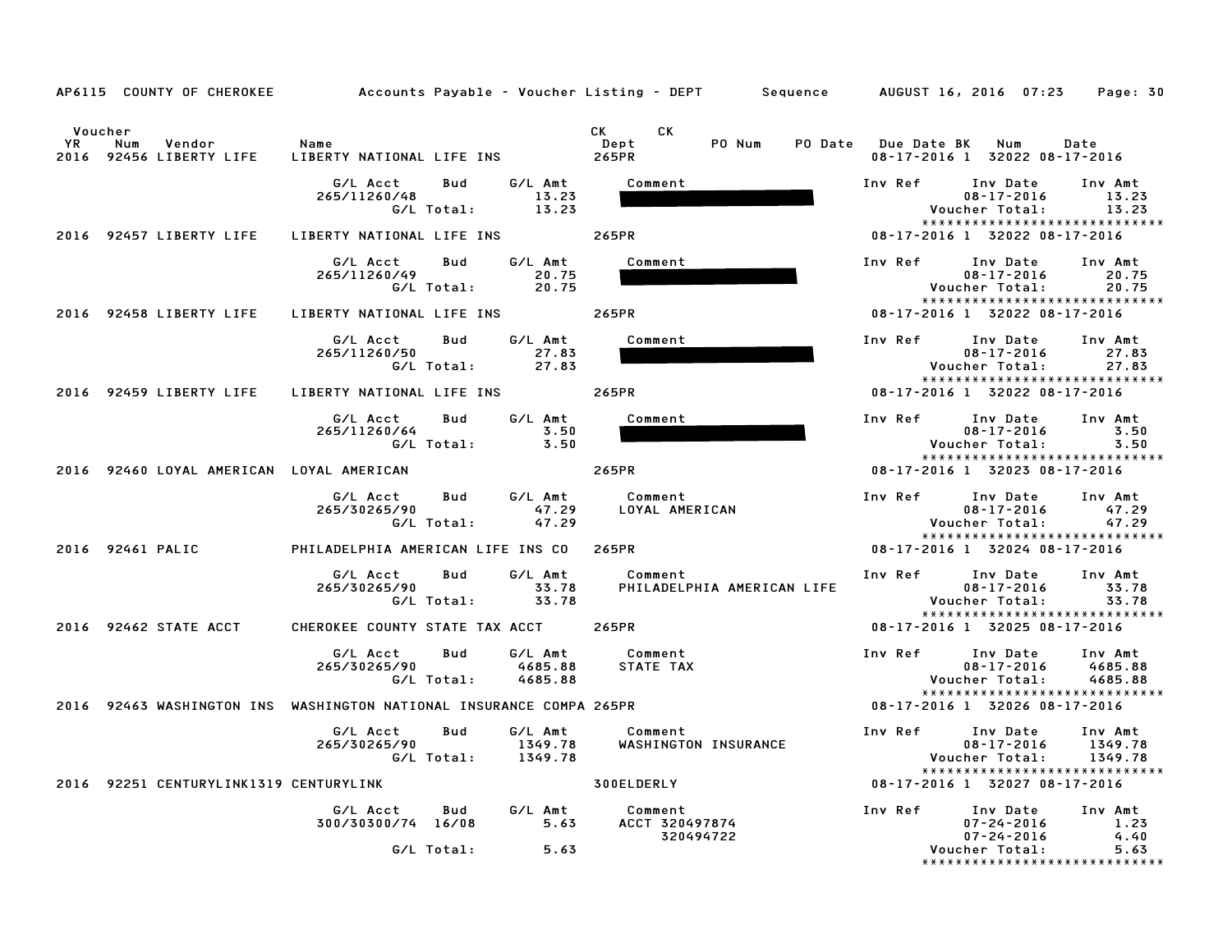| AP6115 COUNTY OF CHEROKEE                                           | Accounts Payable – Voucher Listing – DEPT         Sequence       AUGUST 16, 2016  07:23 |                                        | Page: 30                                                                                                                     |
|---------------------------------------------------------------------|-----------------------------------------------------------------------------------------|----------------------------------------|------------------------------------------------------------------------------------------------------------------------------|
| Voucher<br><b>YR</b><br>Num<br>Vendor<br>2016<br>92456 LIBERTY LIFE | Name<br>LIBERTY NATIONAL LIFE INS                                                       | CK C<br>CK.<br>PO Num<br>Dept<br>265PR | PO Date Due Date BK<br>Num<br>Date<br>08-17-2016 1 32022 08-17-2016                                                          |
|                                                                     | G/L Amt<br>G/L Acct<br>Bud<br>265/11260/48<br>13.23<br>G/L Total:<br>13.23              | Comment                                | Inv Date<br>Inv Ref<br>Inv Amt<br>$08 - 17 - 2016$<br>13.23<br>Voucher Total:<br>13.23<br>*****************************      |
| 2016 92457 LIBERTY LIFE                                             | LIBERTY NATIONAL LIFE INS                                                               | 265PR                                  | 08-17-2016 1 32022 08-17-2016                                                                                                |
|                                                                     | G/L Amt<br>G/L Acct<br>Bud<br>265/11260/49<br>20.75<br>G/L Total:<br>20.75              | Comment                                | Inv Ref<br>Inv Date<br>Inv Amt<br>20.75<br>$08 - 17 - 2016$<br>Voucher Total:<br>20.75<br>*****************************      |
| 2016 92458 LIBERTY LIFE                                             | LIBERTY NATIONAL LIFE INS                                                               | 265PR                                  | 08-17-2016 1 32022 08-17-2016                                                                                                |
|                                                                     | G/L Acct<br>G/L Amt<br>Bud<br>27.83<br>265/11260/50<br>G/L Total:<br>27.83              | Comment                                | Inv Ref<br>Inv Date<br>Inv Amt<br>$08 - 17 - 2016$<br>27.83<br>Voucher Total:<br>27.83                                       |
| 2016 92459 LIBERTY LIFE                                             | LIBERTY NATIONAL LIFE INS                                                               | 265PR                                  | *****************************<br>08-17-2016 1 32022 08-17-2016                                                               |
|                                                                     | G/L Acct<br>G/L Amt<br>Bud<br>3.50<br>265/11260/64<br>G/L Total:<br>3.50                | Comment                                | Inv Ref<br>Inv Date<br>Inv Amt<br>$08 - 17 - 2016$<br>3.50<br>3.50<br>Voucher Total:<br>*****************************        |
| 2016 92460 LOYAL AMERICAN LOYAL AMERICAN                            |                                                                                         | 265PR                                  | 08-17-2016 1 32023 08-17-2016                                                                                                |
|                                                                     | G/L Amt<br>G/L Acct<br>Bud<br>265/30265/90<br>47.29<br>G/L Total:<br>47.29              | Comment<br>LOYAL AMERICAN              | Inv Ref<br>Inv Date<br>Inv Amt<br>$08 - 17 - 2016$<br>47.29<br>Voucher Total:<br>47.29<br>*****************************      |
| 2016 92461 PALIC                                                    | PHILADELPHIA AMERICAN LIFE INS CO                                                       | 265PR                                  | 08-17-2016 1 32024 08-17-2016                                                                                                |
|                                                                     | G/L Amt<br>G/L Acct<br>Bud<br>265/30265/90<br>33.78<br>33.78<br>G/L Total:              | Comment<br>PHILADELPHIA AMERICAN LIFE  | Inv Ref<br>Inv Date<br>Inv Amt<br>$08 - 17 - 2016$<br>33.78<br>Voucher Total:<br>33.78<br>*****************************      |
| 2016 92462 STATE ACCT                                               | CHEROKEE COUNTY STATE TAX ACCT                                                          | 265PR                                  | 08-17-2016 1 32025 08-17-2016                                                                                                |
|                                                                     | G/L Acct<br>Bud<br>G/L Amt<br>265/30265/90<br>4685.88<br>G/L Total:<br>4685.88          | Comment<br>STATE TAX                   | Inv Ref<br>Inv Date<br>Inv Amt<br>$08 - 17 - 2016$<br>4685.88<br>Voucher Total:<br>4685.88<br>*****************************  |
|                                                                     | 2016 92463 WASHINGTON INS WASHINGTON NATIONAL INSURANCE COMPA 265PR                     |                                        | 08-17-2016 1 32026 08-17-2016                                                                                                |
|                                                                     | G/L Acct<br>G/L Amt<br>Bud<br>265/30265/90<br>1349.78<br>G/L Total:<br>1349.78          | Comment<br>WASHINGTON INSURANCE        | Inv Ref<br>Inv Date<br>Inv Amt<br>$08 - 17 - 2016$<br>1349.78<br>Voucher Total:<br>1349.78<br>****************************** |
| 2016 92251 CENTURYLINK1319 CENTURYLINK                              |                                                                                         | 300ELDERLY                             | 08-17-2016 1 32027 08-17-2016                                                                                                |
|                                                                     | Bud<br>G/L Amt<br>G/L Acct<br>5.63<br>300/30300/74 16/08<br>G/L Total:<br>5.63          | Comment<br>ACCT 320497874<br>320494722 | Inv Ref<br>Inv Amt<br>Inv Date<br>$07 - 24 - 2016$<br>1.23<br>$07 - 24 - 2016$<br>4.40<br>5.63                               |
|                                                                     |                                                                                         |                                        | Voucher Total:<br>*****************************                                                                              |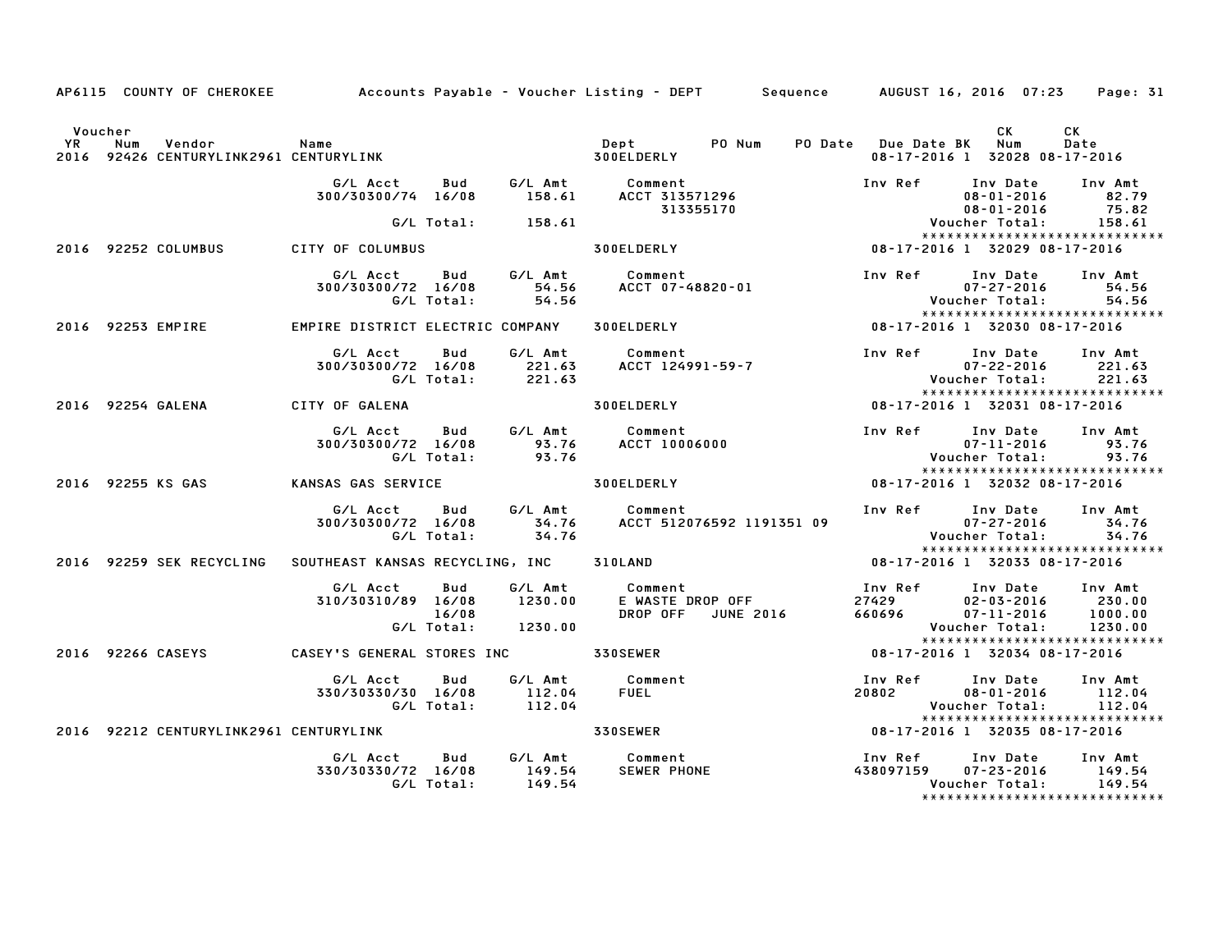|         |                                                                  |                                                            |                            |                                                     | AP6115 COUNTY OF CHEROKEE         Accounts Payable – Voucher Listing – DEPT       Sequence      AUGUST 16, 2016 07:23            |                         |                                                                                                                                   | Page: 31                     |
|---------|------------------------------------------------------------------|------------------------------------------------------------|----------------------------|-----------------------------------------------------|----------------------------------------------------------------------------------------------------------------------------------|-------------------------|-----------------------------------------------------------------------------------------------------------------------------------|------------------------------|
| Voucher | Name<br>2016 92426 CENTURYLINK2961 CENTURYLINK                   |                                                            |                            |                                                     | Dept PO Num<br>300ELDERLY                                                                                                        | PO Date Due Date BK Num | CK.<br>08-17-2016 1 32028 08-17-2016                                                                                              | CK<br>Date                   |
|         |                                                                  | G/L Acct Bud<br>300/30300/74 16/08                         |                            |                                                     | G/L Amt          Comment<br>158.61       ACCT 313571296<br>313355170                                                             |                         | Inv Ref Inv Date Inv Amt<br>$08 - 01 - 2016$<br>08-01-2016                                                                        | 82.79<br>75.82               |
|         |                                                                  |                                                            |                            | G/L Total: 158.61                                   |                                                                                                                                  |                         | Voucher Total:<br>*****************************                                                                                   | 75.82<br>158.61              |
|         | 2016 92252 COLUMBUS                                              | CITY OF COLUMBUS                                           |                            |                                                     | <b>300ELDERLY</b>                                                                                                                |                         | 08-17-2016 1 32029 08-17-2016                                                                                                     |                              |
|         |                                                                  | G/L Acct<br>300/30300/72 16/08                             | G/L Total:                 | 54.56                                               | Bud G/L Amt Comment                                                                                                              |                         | Inv Ref Inv Date Inv Amt<br>$07 - 27 - 2016$<br>Voucher Total:<br>*****************************                                   | 54.56<br>54.56               |
|         | 2016 92253 EMPIRE                                                | EMPIRE DISTRICT ELECTRIC COMPANY 300ELDERLY                |                            |                                                     |                                                                                                                                  |                         | 08-17-2016 1 32030 08-17-2016                                                                                                     |                              |
|         |                                                                  | G/L Acct<br>300/30300/72 16/08 221.63<br>6/L Total: 221.63 | Bud                        |                                                     | G/L Amt Comment<br>Comment<br>ACCT 124991-59-7                                                                                   |                         | Inv Ref Inv Date Inv Amt<br>$07 - 22 - 2016$<br>Voucher Total: 221.63                                                             | 221.63                       |
|         | 2016 92254 GALENA                                                | CITY OF GALENA                                             |                            |                                                     | 300ELDERLY                                                                                                                       |                         | *****************************<br>08-17-2016 1 32031 08-17-2016                                                                    |                              |
|         |                                                                  | G/L Acct<br>300/30300/72 16/08                             |                            |                                                     | Bud G/L Amt Comment<br>u/72 16/08 - ست:<br>10006000 - 93.76 ACCT 10006000<br>107.76 - 93.76 G/L Total:                           |                         | Inv Ref Inv Date Inv Amt<br>$07 - 11 - 2016$<br>Voucher Total:                                                                    | 93.76<br>93.76               |
|         | 2016 92255 KS GAS                                                | KANSAS GAS SERVICE                                         |                            |                                                     | <b>300ELDERLY</b>                                                                                                                |                         | ******************************<br>08-17-2016 1 32032 08-17-2016                                                                   |                              |
|         |                                                                  |                                                            |                            |                                                     | G/L Acct Bud G/L Amt Comment<br>300/30300/72 16/08 34.76 ACCT 512076592 1191351 09<br>G/L Total: 34.76 ACCT 512076592 1191351 09 |                         | Inv Ref Inv Date Inv Amt<br>$07 - 27 - 2016$<br>07-27-2016 - U7-27<br>24.76 Voucher Total: 34.76<br>***************************** |                              |
|         | 2016 92259 SEK RECYCLING SOUTHEAST KANSAS RECYCLING, INC 310LAND |                                                            |                            |                                                     |                                                                                                                                  |                         | 08-17-2016 1 32033 08-17-2016                                                                                                     |                              |
|         |                                                                  | G/L Acct<br>310/30310/89 16/08                             | Bud<br>16/08<br>G/L Total: | G/L Amt<br>1230.00<br>1230.00                       | Comment<br>Comment<br>E WASTE DROP OFF<br>DROP OFF   JUNE 2016                                                                   |                         | Inv Ref      Inv Date     Inv Amt<br>27429 02-03-2016<br>660696 07-11-2016<br>Voucher Total:<br>*****************************     | 230.00<br>1000.00<br>1230.00 |
|         | 2016 92266 CASEYS                                                | <b>CASEY'S GENERAL STORES INC 530SEWER</b>                 |                            |                                                     |                                                                                                                                  |                         | 08-17-2016 1 32034 08-17-2016                                                                                                     |                              |
|         |                                                                  | G/L Acct<br>330/30330/30 16/08                             | Bud                        | G/L Amt<br>330/30 16/08 112.04<br>G/L Total: 112.04 | Comment<br><b>Comment<br/>FUEL<br/>330SEWER</b>                                                                                  |                         | Inv Ref      Inv Date     Inv Amt<br>20802 08-01-2016 112.04<br>Voucher Total: 112.04<br>******************************           |                              |
|         | 2016 92212 CENTURYLINK2961 CENTURYLINK                           |                                                            |                            |                                                     |                                                                                                                                  |                         | $08 - 17 - 2016$ 1 32035 08-17-2016                                                                                               |                              |
|         |                                                                  | G/L Acct<br>330/30330/72 16/08                             | Bud<br>G/L Total:          | 149.54<br>149.54                                    | G/L Amt Comment<br><b>SEWER PHONE</b>                                                                                            |                         | Voucher Total:<br>*******************************                                                                                 | Inv Amt<br>149.54<br>149.54  |